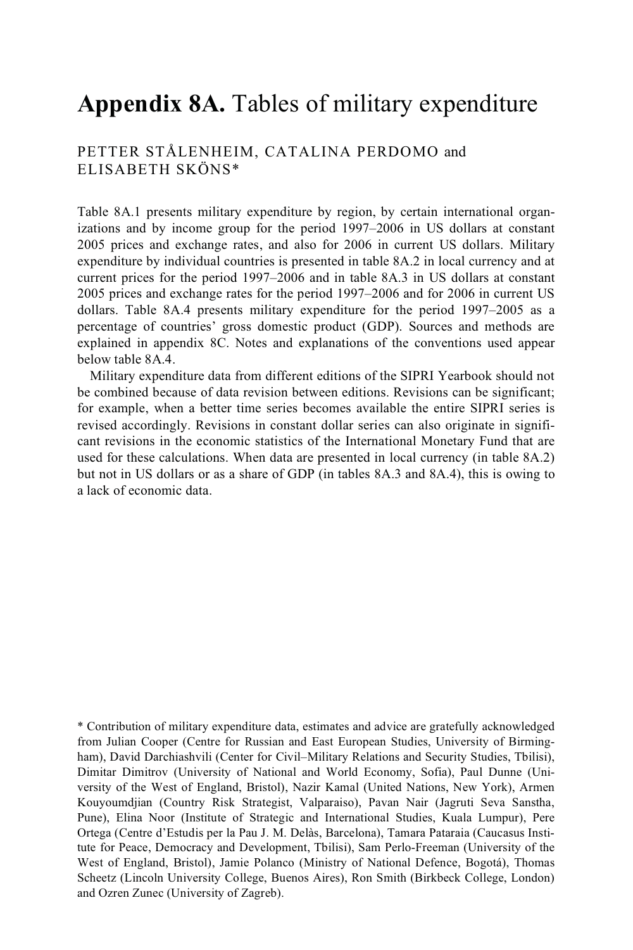## **Appendix 8A.** Tables of military expenditure

#### PETTER STÅLENHEIM, CATALINA PERDOMO and ELISABETH SKÖNS\*

Table 8A.1 presents military expenditure by region, by certain international organizations and by income group for the period 1997–2006 in US dollars at constant 2005 prices and exchange rates, and also for 2006 in current US dollars. Military expenditure by individual countries is presented in table 8A.2 in local currency and at current prices for the period 1997–2006 and in table 8A.3 in US dollars at constant 2005 prices and exchange rates for the period 1997–2006 and for 2006 in current US dollars. Table 8A.4 presents military expenditure for the period 1997–2005 as a percentage of countries' gross domestic product (GDP). Sources and methods are explained in appendix 8C. Notes and explanations of the conventions used appear below table 8A.4.

Military expenditure data from different editions of the SIPRI Yearbook should not be combined because of data revision between editions. Revisions can be significant; for example, when a better time series becomes available the entire SIPRI series is revised accordingly. Revisions in constant dollar series can also originate in significant revisions in the economic statistics of the International Monetary Fund that are used for these calculations. When data are presented in local currency (in table 8A.2) but not in US dollars or as a share of GDP (in tables 8A.3 and 8A.4), this is owing to a lack of economic data.

\* Contribution of military expenditure data, estimates and advice are gratefully acknowledged from Julian Cooper (Centre for Russian and East European Studies, University of Birmingham), David Darchiashvili (Center for Civil–Military Relations and Security Studies, Tbilisi), Dimitar Dimitrov (University of National and World Economy, Sofia), Paul Dunne (University of the West of England, Bristol), Nazir Kamal (United Nations, New York), Armen Kouyoumdjian (Country Risk Strategist, Valparaiso), Pavan Nair (Jagruti Seva Sanstha, Pune), Elina Noor (Institute of Strategic and International Studies, Kuala Lumpur), Pere Ortega (Centre d'Estudis per la Pau J. M. Delàs, Barcelona), Tamara Pataraia (Caucasus Institute for Peace, Democracy and Development, Tbilisi), Sam Perlo-Freeman (University of the West of England, Bristol), Jamie Polanco (Ministry of National Defence, Bogotá), Thomas Scheetz (Lincoln University College, Buenos Aires), Ron Smith (Birkbeck College, London) and Ozren Zunec (University of Zagreb).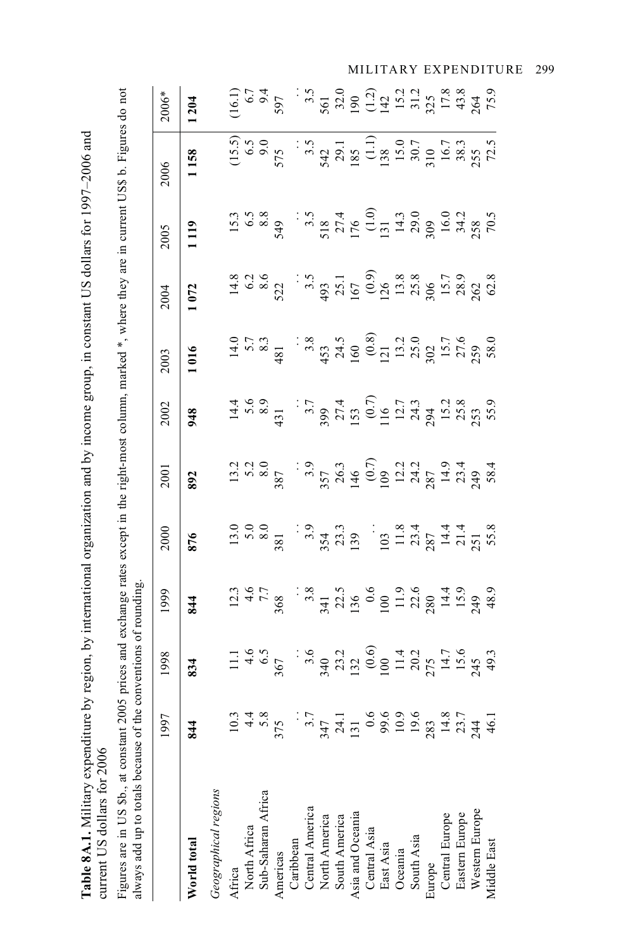| l<br>l           |                        |
|------------------|------------------------|
|                  |                        |
|                  |                        |
|                  |                        |
|                  |                        |
|                  |                        |
|                  |                        |
|                  |                        |
|                  |                        |
|                  |                        |
|                  |                        |
|                  |                        |
|                  |                        |
|                  |                        |
|                  |                        |
|                  |                        |
|                  |                        |
|                  |                        |
|                  |                        |
|                  |                        |
|                  |                        |
|                  |                        |
|                  |                        |
|                  |                        |
| ۱<br>١<br>í      | ٢<br>ı                 |
| Š<br>á           | <br> <br> <br>         |
|                  | $-3$                   |
| Table 8A.1. Mili | $\frac{1}{2}$          |
|                  |                        |
|                  | )<br>}<br>}<br>THE THE |
|                  |                        |

Figures are in US \$b., at constant 2005 prices and exchange rates except in the right-most column, marked \*, where they are in current US\$ b. Figures do not<br>always add up to totals because of the conventions of rounding. Figures are in US \$b., at constant 2005 prices and exchange rates except in the right-most column, marked \*, where they are in current US\$ b. Figures do not always add up to totals because of the conventions of rounding.

|     |          |                                                                                                                                                                            | 2000                                                                                                                                                                                                                                                                                      | 2001                                                                                                                  |                                                                                                                                                                                                                                                                                                                                                        |                                                                                                                                                                                                                                                                                                                                                                            |                                                                                                                                                                                                                                                                                                                                                                            |                                                                                                                                                                                                                                       | $\frac{2006*}{1204}$                                                                                                                                                                                                                                                                       |
|-----|----------|----------------------------------------------------------------------------------------------------------------------------------------------------------------------------|-------------------------------------------------------------------------------------------------------------------------------------------------------------------------------------------------------------------------------------------------------------------------------------------|-----------------------------------------------------------------------------------------------------------------------|--------------------------------------------------------------------------------------------------------------------------------------------------------------------------------------------------------------------------------------------------------------------------------------------------------------------------------------------------------|----------------------------------------------------------------------------------------------------------------------------------------------------------------------------------------------------------------------------------------------------------------------------------------------------------------------------------------------------------------------------|----------------------------------------------------------------------------------------------------------------------------------------------------------------------------------------------------------------------------------------------------------------------------------------------------------------------------------------------------------------------------|---------------------------------------------------------------------------------------------------------------------------------------------------------------------------------------------------------------------------------------|--------------------------------------------------------------------------------------------------------------------------------------------------------------------------------------------------------------------------------------------------------------------------------------------|
| 844 |          | 844                                                                                                                                                                        | 876                                                                                                                                                                                                                                                                                       | 892                                                                                                                   |                                                                                                                                                                                                                                                                                                                                                        |                                                                                                                                                                                                                                                                                                                                                                            |                                                                                                                                                                                                                                                                                                                                                                            |                                                                                                                                                                                                                                       |                                                                                                                                                                                                                                                                                            |
|     |          |                                                                                                                                                                            |                                                                                                                                                                                                                                                                                           |                                                                                                                       |                                                                                                                                                                                                                                                                                                                                                        |                                                                                                                                                                                                                                                                                                                                                                            |                                                                                                                                                                                                                                                                                                                                                                            |                                                                                                                                                                                                                                       |                                                                                                                                                                                                                                                                                            |
|     |          |                                                                                                                                                                            |                                                                                                                                                                                                                                                                                           |                                                                                                                       |                                                                                                                                                                                                                                                                                                                                                        |                                                                                                                                                                                                                                                                                                                                                                            |                                                                                                                                                                                                                                                                                                                                                                            |                                                                                                                                                                                                                                       |                                                                                                                                                                                                                                                                                            |
|     |          |                                                                                                                                                                            |                                                                                                                                                                                                                                                                                           |                                                                                                                       |                                                                                                                                                                                                                                                                                                                                                        |                                                                                                                                                                                                                                                                                                                                                                            |                                                                                                                                                                                                                                                                                                                                                                            |                                                                                                                                                                                                                                       |                                                                                                                                                                                                                                                                                            |
|     |          |                                                                                                                                                                            |                                                                                                                                                                                                                                                                                           |                                                                                                                       |                                                                                                                                                                                                                                                                                                                                                        |                                                                                                                                                                                                                                                                                                                                                                            |                                                                                                                                                                                                                                                                                                                                                                            |                                                                                                                                                                                                                                       |                                                                                                                                                                                                                                                                                            |
|     |          |                                                                                                                                                                            |                                                                                                                                                                                                                                                                                           |                                                                                                                       |                                                                                                                                                                                                                                                                                                                                                        |                                                                                                                                                                                                                                                                                                                                                                            |                                                                                                                                                                                                                                                                                                                                                                            |                                                                                                                                                                                                                                       | $(16.1)$<br>$6.7$<br>$6.7$<br>$6.7$<br>$6.7$<br>$6.7$<br>$6.7$<br>$6.7$<br>$6.7$<br>$6.7$<br>$6.7$<br>$6.7$<br>$6.7$<br>$6.7$<br>$6.7$<br>$6.7$<br>$6.7$<br>$6.7$<br>$6.7$<br>$6.7$<br>$6.7$<br>$6.7$<br>$6.7$<br>$6.7$<br>$6.7$<br>$6.7$<br>$6.7$<br>$6.7$<br>$6.7$<br>$6.7$<br>$6.7$<br> |
|     |          |                                                                                                                                                                            |                                                                                                                                                                                                                                                                                           |                                                                                                                       |                                                                                                                                                                                                                                                                                                                                                        |                                                                                                                                                                                                                                                                                                                                                                            |                                                                                                                                                                                                                                                                                                                                                                            |                                                                                                                                                                                                                                       |                                                                                                                                                                                                                                                                                            |
|     |          |                                                                                                                                                                            |                                                                                                                                                                                                                                                                                           |                                                                                                                       |                                                                                                                                                                                                                                                                                                                                                        |                                                                                                                                                                                                                                                                                                                                                                            |                                                                                                                                                                                                                                                                                                                                                                            |                                                                                                                                                                                                                                       |                                                                                                                                                                                                                                                                                            |
|     |          |                                                                                                                                                                            |                                                                                                                                                                                                                                                                                           |                                                                                                                       |                                                                                                                                                                                                                                                                                                                                                        |                                                                                                                                                                                                                                                                                                                                                                            |                                                                                                                                                                                                                                                                                                                                                                            |                                                                                                                                                                                                                                       |                                                                                                                                                                                                                                                                                            |
|     |          |                                                                                                                                                                            |                                                                                                                                                                                                                                                                                           |                                                                                                                       |                                                                                                                                                                                                                                                                                                                                                        |                                                                                                                                                                                                                                                                                                                                                                            |                                                                                                                                                                                                                                                                                                                                                                            |                                                                                                                                                                                                                                       |                                                                                                                                                                                                                                                                                            |
|     |          |                                                                                                                                                                            |                                                                                                                                                                                                                                                                                           |                                                                                                                       |                                                                                                                                                                                                                                                                                                                                                        |                                                                                                                                                                                                                                                                                                                                                                            |                                                                                                                                                                                                                                                                                                                                                                            |                                                                                                                                                                                                                                       |                                                                                                                                                                                                                                                                                            |
|     |          |                                                                                                                                                                            |                                                                                                                                                                                                                                                                                           |                                                                                                                       |                                                                                                                                                                                                                                                                                                                                                        |                                                                                                                                                                                                                                                                                                                                                                            |                                                                                                                                                                                                                                                                                                                                                                            |                                                                                                                                                                                                                                       |                                                                                                                                                                                                                                                                                            |
|     |          |                                                                                                                                                                            |                                                                                                                                                                                                                                                                                           |                                                                                                                       |                                                                                                                                                                                                                                                                                                                                                        |                                                                                                                                                                                                                                                                                                                                                                            |                                                                                                                                                                                                                                                                                                                                                                            |                                                                                                                                                                                                                                       |                                                                                                                                                                                                                                                                                            |
|     |          |                                                                                                                                                                            |                                                                                                                                                                                                                                                                                           |                                                                                                                       |                                                                                                                                                                                                                                                                                                                                                        |                                                                                                                                                                                                                                                                                                                                                                            |                                                                                                                                                                                                                                                                                                                                                                            |                                                                                                                                                                                                                                       |                                                                                                                                                                                                                                                                                            |
|     |          |                                                                                                                                                                            |                                                                                                                                                                                                                                                                                           |                                                                                                                       |                                                                                                                                                                                                                                                                                                                                                        |                                                                                                                                                                                                                                                                                                                                                                            |                                                                                                                                                                                                                                                                                                                                                                            |                                                                                                                                                                                                                                       |                                                                                                                                                                                                                                                                                            |
|     |          |                                                                                                                                                                            |                                                                                                                                                                                                                                                                                           |                                                                                                                       |                                                                                                                                                                                                                                                                                                                                                        |                                                                                                                                                                                                                                                                                                                                                                            |                                                                                                                                                                                                                                                                                                                                                                            |                                                                                                                                                                                                                                       |                                                                                                                                                                                                                                                                                            |
|     |          |                                                                                                                                                                            |                                                                                                                                                                                                                                                                                           |                                                                                                                       |                                                                                                                                                                                                                                                                                                                                                        |                                                                                                                                                                                                                                                                                                                                                                            |                                                                                                                                                                                                                                                                                                                                                                            |                                                                                                                                                                                                                                       |                                                                                                                                                                                                                                                                                            |
|     |          |                                                                                                                                                                            |                                                                                                                                                                                                                                                                                           |                                                                                                                       |                                                                                                                                                                                                                                                                                                                                                        |                                                                                                                                                                                                                                                                                                                                                                            |                                                                                                                                                                                                                                                                                                                                                                            |                                                                                                                                                                                                                                       |                                                                                                                                                                                                                                                                                            |
|     |          |                                                                                                                                                                            |                                                                                                                                                                                                                                                                                           |                                                                                                                       |                                                                                                                                                                                                                                                                                                                                                        |                                                                                                                                                                                                                                                                                                                                                                            |                                                                                                                                                                                                                                                                                                                                                                            |                                                                                                                                                                                                                                       |                                                                                                                                                                                                                                                                                            |
|     |          |                                                                                                                                                                            |                                                                                                                                                                                                                                                                                           |                                                                                                                       |                                                                                                                                                                                                                                                                                                                                                        |                                                                                                                                                                                                                                                                                                                                                                            |                                                                                                                                                                                                                                                                                                                                                                            |                                                                                                                                                                                                                                       |                                                                                                                                                                                                                                                                                            |
|     | 1997<br> | $11.496$<br>$14.606$<br>$14.606$<br>$14.607$<br>$14.607$<br>$14.607$<br>$14.607$<br>$14.607$<br>$14.607$<br>$14.607$<br>$14.607$<br>$14.607$<br>$14.607$<br>$-$ <b>834</b> | $\frac{13.66}{14.68}$ $\frac{13.66}{14.68}$ $\frac{13.66}{14.69}$ $\frac{13.66}{14.69}$ $\frac{13.66}{14.69}$ $\frac{13.66}{14.69}$ $\frac{13.66}{14.69}$ $\frac{13.66}{14.69}$ $\frac{13.66}{14.69}$ $\frac{13.66}{14.69}$ $\frac{13.66}{14.69}$ $\frac{13.66}{14.69}$ $\frac{1$<br>1999 | $15000$<br>$150000$<br>$1500000$<br>$15000000$<br>$15000000$<br>$150000000$<br>$150000000$<br>$15000000$<br>$1500000$ | $\frac{4369}{4500}$ : $\frac{4}{300}$ $\frac{4}{300}$ : $\frac{4}{300}$ $\frac{6}{300}$ $\frac{6}{300}$ $\frac{6}{300}$ $\frac{6}{300}$ $\frac{6}{300}$ $\frac{6}{300}$ $\frac{6}{300}$ $\frac{6}{300}$ $\frac{6}{300}$ $\frac{6}{300}$ $\frac{6}{300}$ $\frac{6}{300}$ $\frac{6}{300}$ $\frac{6}{300$<br>$\begin{array}{c c} 2002 \\ 948 \end{array}$ | $\frac{1}{4}$ $\frac{1}{2}$ $\frac{1}{2}$ $\frac{1}{2}$ $\frac{1}{2}$ $\frac{1}{2}$ $\frac{1}{2}$ $\frac{1}{2}$ $\frac{1}{2}$ $\frac{1}{2}$ $\frac{1}{2}$ $\frac{1}{2}$ $\frac{1}{2}$ $\frac{1}{2}$ $\frac{1}{2}$ $\frac{1}{2}$ $\frac{1}{2}$ $\frac{1}{2}$ $\frac{1}{2}$ $\frac{1}{2}$ $\frac{1}{2}$ $\frac{1}{2}$<br>$\begin{array}{c c} 2003 \ \hline 1016 \end{array}$ | $\frac{3}{4}$ $\frac{3}{8}$ $\frac{3}{8}$ $\frac{1}{2}$ $\frac{3}{4}$ $\frac{3}{4}$ $\frac{5}{4}$ $\frac{5}{4}$ $\frac{5}{4}$ $\frac{5}{4}$ $\frac{5}{4}$ $\frac{5}{4}$ $\frac{5}{4}$ $\frac{5}{4}$ $\frac{5}{4}$ $\frac{5}{4}$ $\frac{5}{4}$ $\frac{5}{4}$ $\frac{5}{4}$ $\frac{5}{4}$ $\frac{5}{4}$ $\frac{5}{4}$<br>$\begin{array}{c c} 2004 \ \hline 1072 \end{array}$ | $15.88$<br>$15.88$<br>$15.876$<br>$15.76$<br>$15.76$<br>$15.76$<br>$15.76$<br>$15.76$<br>$15.76$<br>$15.76$<br>$15.76$<br>$15.76$<br>$15.76$<br>$15.76$<br>$15.76$<br>$15.76$<br>$\begin{array}{c c} 2005 \\ \hline 1119 \end{array}$ | $\begin{array}{c} (15.5)\\ 6.5\\ 9.0\\ 575\\ 342\\ 138\\ 15.0\\ 138\\ 15.0\\ 15.0\\ 15.0\\ 15.0\\ 15.0\\ 16.7\\ 28.3\\ 59.7\\ 25.8\\ 72.5\\ 72.5\\ \end{array}$<br>$\begin{array}{c c} 2006 & \\ \hline & 1158 \end{array}$                                                                |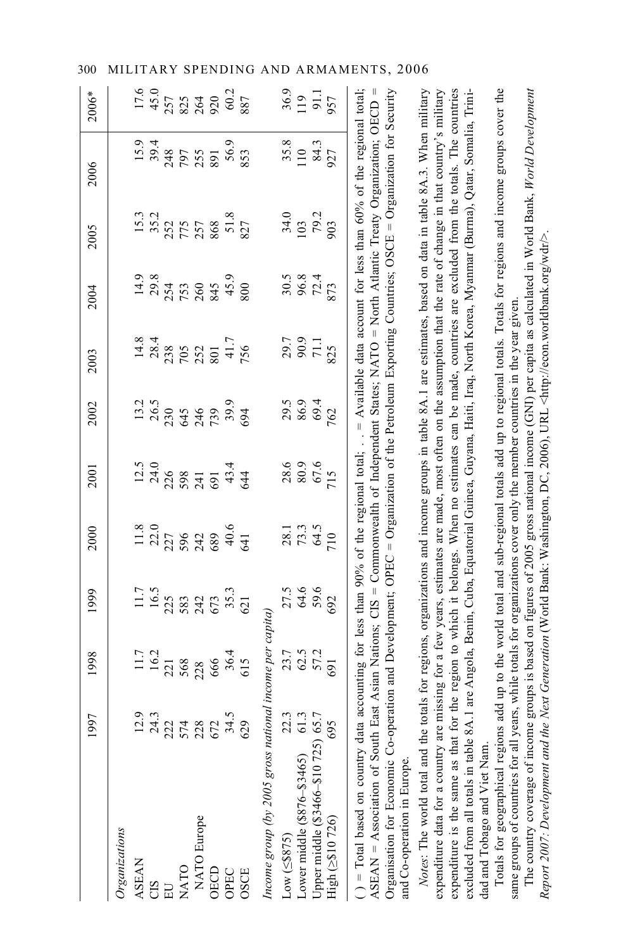|                                                                                                                                                                                                                                                                                                                                                                                                                                                                                                                                                                                                                                                                                                                                                                                                                                                                                                                 | 1997                                  | 1998           | 1999                                                  | 2000                 | 2001                                   | 2002                       | 2003                    | 2004                 | 2005               | 2006                                                                                                                                                                                                                                           | $2006*$                   |
|-----------------------------------------------------------------------------------------------------------------------------------------------------------------------------------------------------------------------------------------------------------------------------------------------------------------------------------------------------------------------------------------------------------------------------------------------------------------------------------------------------------------------------------------------------------------------------------------------------------------------------------------------------------------------------------------------------------------------------------------------------------------------------------------------------------------------------------------------------------------------------------------------------------------|---------------------------------------|----------------|-------------------------------------------------------|----------------------|----------------------------------------|----------------------------|-------------------------|----------------------|--------------------|------------------------------------------------------------------------------------------------------------------------------------------------------------------------------------------------------------------------------------------------|---------------------------|
| Organizations                                                                                                                                                                                                                                                                                                                                                                                                                                                                                                                                                                                                                                                                                                                                                                                                                                                                                                   |                                       |                |                                                       |                      |                                        |                            |                         |                      |                    |                                                                                                                                                                                                                                                |                           |
| <b>ASEAN</b>                                                                                                                                                                                                                                                                                                                                                                                                                                                                                                                                                                                                                                                                                                                                                                                                                                                                                                    |                                       |                |                                                       |                      |                                        |                            |                         | 14.9                 |                    |                                                                                                                                                                                                                                                |                           |
| CIS                                                                                                                                                                                                                                                                                                                                                                                                                                                                                                                                                                                                                                                                                                                                                                                                                                                                                                             |                                       | $11.7$<br>16.2 |                                                       | $\frac{11.8}{22.0}$  | $12.5$<br>24.0                         | $13.2$<br>26.5             | $14.8$<br>28.4          | 29.8                 | $15.3$<br>35.2     | $15.9$<br>39.4                                                                                                                                                                                                                                 | 17.6<br>45.0              |
|                                                                                                                                                                                                                                                                                                                                                                                                                                                                                                                                                                                                                                                                                                                                                                                                                                                                                                                 |                                       | 221            |                                                       |                      | 226                                    |                            |                         | 254                  |                    | 248                                                                                                                                                                                                                                            |                           |
| <b>NATO</b>                                                                                                                                                                                                                                                                                                                                                                                                                                                                                                                                                                                                                                                                                                                                                                                                                                                                                                     | 23.3<br>24.27 28.27<br>25.28.27 29.39 | 568            | $11.7$<br>$16.5$<br>$223$<br>$542$<br>$55.3$<br>$621$ | 227<br>596           |                                        | 230<br>645<br>739<br>739.9 | 23<br>705<br>252<br>801 |                      | 257<br>775<br>868  | 797<br>255                                                                                                                                                                                                                                     | 257<br>825<br>920<br>90.2 |
| NATO Europe                                                                                                                                                                                                                                                                                                                                                                                                                                                                                                                                                                                                                                                                                                                                                                                                                                                                                                     |                                       | 228            |                                                       | 242                  | $598$<br>$74$<br>$75$<br>$434$<br>$44$ |                            |                         | 753<br>260           |                    |                                                                                                                                                                                                                                                |                           |
| <b>OECD</b>                                                                                                                                                                                                                                                                                                                                                                                                                                                                                                                                                                                                                                                                                                                                                                                                                                                                                                     |                                       | 666            |                                                       | 689                  |                                        |                            |                         | 845<br>45.9          |                    | 891                                                                                                                                                                                                                                            |                           |
| OPEC                                                                                                                                                                                                                                                                                                                                                                                                                                                                                                                                                                                                                                                                                                                                                                                                                                                                                                            |                                       |                |                                                       | 40.6                 |                                        |                            | 41.7                    |                      |                    | 56.9                                                                                                                                                                                                                                           |                           |
| <b>OSCE</b>                                                                                                                                                                                                                                                                                                                                                                                                                                                                                                                                                                                                                                                                                                                                                                                                                                                                                                     |                                       | $36.4$<br>615  |                                                       | 641                  |                                        | 694                        | 756                     | 800                  | $\frac{51.8}{827}$ | 853                                                                                                                                                                                                                                            | 887                       |
| Income group (by 2005 gross national income per capita)                                                                                                                                                                                                                                                                                                                                                                                                                                                                                                                                                                                                                                                                                                                                                                                                                                                         |                                       |                |                                                       |                      |                                        |                            |                         |                      |                    |                                                                                                                                                                                                                                                |                           |
|                                                                                                                                                                                                                                                                                                                                                                                                                                                                                                                                                                                                                                                                                                                                                                                                                                                                                                                 |                                       | 23.7           |                                                       |                      | 28.6                                   |                            |                         |                      | 34.0               | 35.8                                                                                                                                                                                                                                           |                           |
|                                                                                                                                                                                                                                                                                                                                                                                                                                                                                                                                                                                                                                                                                                                                                                                                                                                                                                                 |                                       |                |                                                       |                      |                                        |                            | 29.7<br>90.9<br>71.1    | 30.8<br>96.3<br>72.4 |                    | 110                                                                                                                                                                                                                                            |                           |
| Low (≤8875) 22.3<br>Lower middle (8876–83465) 61.3<br>Upper middle (83466–810725) 65.7                                                                                                                                                                                                                                                                                                                                                                                                                                                                                                                                                                                                                                                                                                                                                                                                                          |                                       | 62.5<br>57.2   | 27.5<br>64.6<br>59.6                                  | 28.1<br>73.3<br>64.5 | 67.6                                   | 29.5<br>86.9<br>69.4       |                         |                      | $\frac{103}{79.2}$ | 84.3                                                                                                                                                                                                                                           | $\frac{36.9}{119}$        |
| High (2\$10 726)                                                                                                                                                                                                                                                                                                                                                                                                                                                                                                                                                                                                                                                                                                                                                                                                                                                                                                | 695                                   | 691            | 692                                                   | 710                  | 715                                    | 762                        | 825                     | 873                  | 506                | 927                                                                                                                                                                                                                                            | 957                       |
| expenditure is the same as that for the region to which it belongs. When no estimates can be made, countries are excluded from the totals. The countries<br>() = Total based on country data accounting for less than 90% of the regional total; $A$ vailable data account for less than 60% of the regional total;<br>Organisation for Economic Co-operation and Development; OPEC = Organization of the Petroleum Exporting Countries; OSCE = Organization for Security<br>expenditure data for a country are missing for a few years, estimates are made, most often on the assumption that the rate of change in that country's military<br>excluded from all totals in table 8A.1 are Angola, Benin, Cuba, Equatorial Guinea, Guyana, Haiti, Iraq, North Korea, Myanmar (Burma), Qatar, Somalia, Trini-<br>Notes: The world total and the<br>$ASEAR = Association of South$<br>and Co-operation in Europe. |                                       |                |                                                       |                      |                                        |                            |                         |                      |                    | totals for regions, organizations and income groups in table 8A.1 are estimates, based on data in table 8A.3. When military<br>East Asian Nations; CIS = Commonwealth of Independent States; NATO = North Atlantic Treaty Organization; OECD = |                           |

Totals for geographical regions add up to the world total and sub-regional totals add up to regional totals. Totals for regions and income groups cover the Totals for geographical regions add up to the world total and sub-regional totals add up to regional totals. Totals for regions and income groups cover the dad and Tobago and Viet Nam. dad and Tobago and Viet Nam.

The country coverage of income groups is based on figures of 2005 gross national income (GNI) per capita as calculated in World Bank, *World Development*  The country coverage of income groups is based on figures of 2005 gross national income (GNI) per capita as calculated in World Bank, World Development same groups of countries for all years, while totals for organizations cover only the member countries in the year given. same groups of countries for all years, while totals for organizations cover only the member countries in the year given.

*Report 2007: Development and the Next Generation* (World Bank: Washington, DC, 2006), URL <http://econ.worldbank.org/wdr/>.

Report 2007: Development and the Next Generation (World Bank: Washington, DC, 2006), URL <http://econ.worldbank.org/wdr/>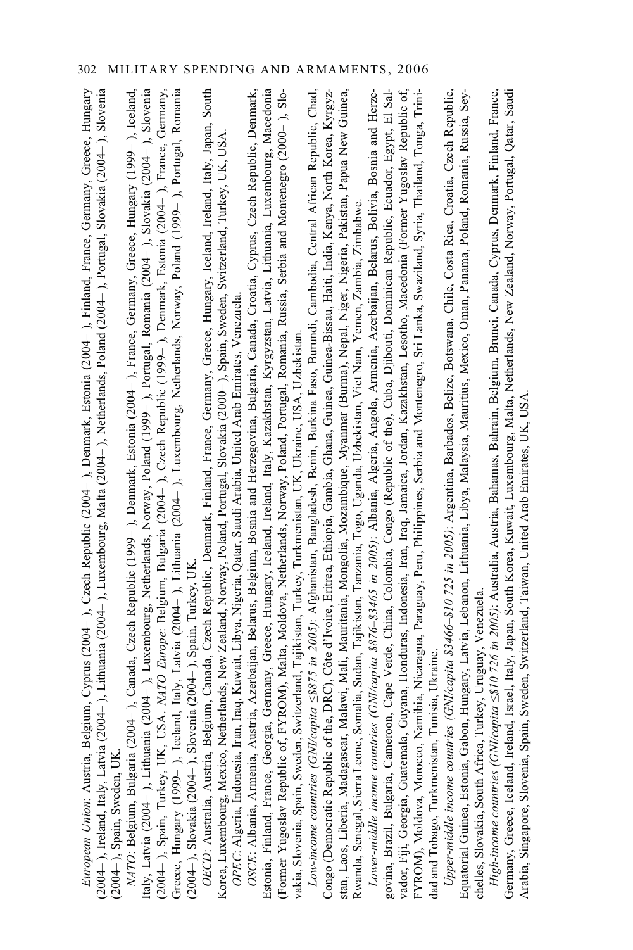| 004– ), Lithuania (2004– ), Luxembourg, Malta (2004– ), Netherlands, Poland (2004– ), Portugal, Slovakia (2004– ), Slovenia<br>Italy, Latvia (2004– ), Lithuania (2004– ), Luxembourg, Netherlands, Norway, Poland (1999– ), Portugal, Romania (2004– ), Slovakia (2004– ), Slovenia<br>(2004– ), Spain, Turkey, UK, USA. <i>NATO Europe</i> : Belgium, Bulgaria (2004<br>Greece, Hungary (1999– ), Iceland, Italy, Latvia (2004– ), Lithuania (2004– ), Luxembourg, Netherlands, Norway, Poland (1999– ), Portugal, Romania<br>(2004–), Slovakia (2004–), Slovenia (2004–), Spain, Turkey, UK.<br>OECD: Australia, Austria, Belgium, Canada, Czech Republic, Denmark, Finland, France, Germany, Greece, Hungary, Iceland, Ireland, Italy, Japan, South<br>Estonia, Finland, France, Georgia, Germany, Greece, Hungary, Iceland, Ireland, Italy, Kazakhstan, Kyrgyzstan, Latvia, Lithuania, Luxembourg, Macedonia<br>amibia, Nicaragua, Paraguay, Peru, Philippines, Serbia and Montenegro, Sri Lanka, Swaziland, Syria, Thailand, Tonga, Trini-<br>Low-income countries (GNI/capita <8875 in 2005): Afghanistan, Bangladesh, Benin, Burkina Faso, Burundi, Cambodia, Central African Republic, Chad,<br>Upper-middle income countries (GNI/capita \$3466-\$10725 in 2005): Argentina, Barbados, Belize, Botswana, Chile, Costa Rica, Croatia, Czech Republic,<br>OSCE: Albania, Armenia, Austria, Azerbaijan, Belarus, Belgium, Bosnia and Herzegovina, Bulgaria, Canada, Croatia, Cyprus, Czech Republic, Denmark,<br>govina, Brazil, Bulgaria, Cameroon, Cape Verde, China, Colombia, Congo (Republic of the), Cuba, Djibouti, Dominican Republic, Ecuador, Egypt, El Sal-<br>Guyana, Honduras, Indonesia, Iran, Iraq, Jamaica, Jordan, Kazakhstan, Lesotho, Macedonia (Former Yugoslav Republic of,<br>European Union: Austria, Belgium, Cyprus (2004–), Czech Republic (2004–), Denmark, Estonia (2004–), Finland, France, Germany, Greece, Hungary<br>04- ), Canada, Czech Republic (1999- ), Denmark, Estonia (2004- ), France, Germany, Greece, Hungary (1999- ), Iceland,<br>Former Yugoslav Republic of, FYROM), Malta, Moldova, Netherlands, Norway, Poland, Portugal, Romania, Russia, Serbia and Montenegro (2000-), Slo-<br>Congo (Democratic Republic of the, DRC), Côte d'Ivoire, Eritrea, Ethiopia, Gambia, Ghana, Guinea, Guinea-Bissau, Haiti, India, Kenya, North Korea, Kyrgyz-<br>Malawi, Mali, Mauritania, Mongolia, Mozambique, Myanmar (Burma), Nepal, Niger, Nigeria, Pakistan, Papua New Guinea,<br>Lower-middle income countries (GNI/capita \$876-\$3465 in 2005): Albania, Algeria, Angola, Armenia, Azerbaijan, Belarus, Bolivia, Bosnia and Herze-<br>Korea, Luxembourg, Mexico, Netherlands, New Zealand, Norway, Poland, Portugal, Slovakia (2000– ), Spain, Sweden, Switzerland, Turkey, UK, USA<br><i>OPEC</i> : Algeria, Indonesia, Iran, Iraq, Kuwait, Libya, Nigeria, Qatar, Saudi Ara<br>Rwanda, Senegal, Sierra Leone, Somalia, Sudan, Tajikistan, Tanzania, Togo, Uganda, Uzbekistan, Viet Nam, Yemen, Zambia, Zimbabwe<br>vakia, Slovenia, Spain, Sweden, Switzerland, Tajikistan, Turkey, Turkmenistan, UK, Ukraine, USA, Uzbekistan<br>unisia, Ukraine<br>NATO: Belgium, Bulgaria (200<br>dad and Tobago, Turkmenistan, T<br>$(2004-)$ , Ireland, Italy, Latvia $(20)$<br>stan, Laos, Liberia, Madagascar,<br>vador, Fiji, Georgia, Guatemala,<br>FYROM), Moldova, Morocco, N<br>(2004-), Spain, Sweden, UK | High-income countries (GNI/capita <8.10 726 in 2005): Australia, Austria, Bahamas, Bahrain, Belgium, Brunei, Canada, Cyprus, Denmark, Finland, France,<br>Equatorial Guinea, Estonia, Gabon, Hungary, Latvia, Lebanon, Lithuania, Libya, Malaysia, Mauritius, Mexico, Oman, Panama, Poland, Romania, Russia, Sey-<br>chelles, Slovakia, South Africa, Turkey, Uruguay, Venezuela. |
|----------------------------------------------------------------------------------------------------------------------------------------------------------------------------------------------------------------------------------------------------------------------------------------------------------------------------------------------------------------------------------------------------------------------------------------------------------------------------------------------------------------------------------------------------------------------------------------------------------------------------------------------------------------------------------------------------------------------------------------------------------------------------------------------------------------------------------------------------------------------------------------------------------------------------------------------------------------------------------------------------------------------------------------------------------------------------------------------------------------------------------------------------------------------------------------------------------------------------------------------------------------------------------------------------------------------------------------------------------------------------------------------------------------------------------------------------------------------------------------------------------------------------------------------------------------------------------------------------------------------------------------------------------------------------------------------------------------------------------------------------------------------------------------------------------------------------------------------------------------------------------------------------------------------------------------------------------------------------------------------------------------------------------------------------------------------------------------------------------------------------------------------------------------------------------------------------------------------------------------------------------------------------------------------------------------------------------------------------------------------------------------------------------------------------------------------------------------------------------------------------------------------------------------------------------------------------------------------------------------------------------------------------------------------------------------------------------------------------------------------------------------------------------------------------------------------------------------------------------------------------------------------------------------------------------------------------------------------------------------------------------------------------------------------------------------------------------------------------------------------------------------------------------------------------------------------------------------------------------------------------------------------------------------------------------------------------------------------------------------------------------------------------------------------------------------------------------|-----------------------------------------------------------------------------------------------------------------------------------------------------------------------------------------------------------------------------------------------------------------------------------------------------------------------------------------------------------------------------------|
|----------------------------------------------------------------------------------------------------------------------------------------------------------------------------------------------------------------------------------------------------------------------------------------------------------------------------------------------------------------------------------------------------------------------------------------------------------------------------------------------------------------------------------------------------------------------------------------------------------------------------------------------------------------------------------------------------------------------------------------------------------------------------------------------------------------------------------------------------------------------------------------------------------------------------------------------------------------------------------------------------------------------------------------------------------------------------------------------------------------------------------------------------------------------------------------------------------------------------------------------------------------------------------------------------------------------------------------------------------------------------------------------------------------------------------------------------------------------------------------------------------------------------------------------------------------------------------------------------------------------------------------------------------------------------------------------------------------------------------------------------------------------------------------------------------------------------------------------------------------------------------------------------------------------------------------------------------------------------------------------------------------------------------------------------------------------------------------------------------------------------------------------------------------------------------------------------------------------------------------------------------------------------------------------------------------------------------------------------------------------------------------------------------------------------------------------------------------------------------------------------------------------------------------------------------------------------------------------------------------------------------------------------------------------------------------------------------------------------------------------------------------------------------------------------------------------------------------------------------------------------------------------------------------------------------------------------------------------------------------------------------------------------------------------------------------------------------------------------------------------------------------------------------------------------------------------------------------------------------------------------------------------------------------------------------------------------------------------------------------------------------------------------------------------------------------------------------|-----------------------------------------------------------------------------------------------------------------------------------------------------------------------------------------------------------------------------------------------------------------------------------------------------------------------------------------------------------------------------------|

Germany, Greece, Iceland, Ireland, Israel, Italy, Japan, South Korea, Kuwait, Luxembourg, Malta, Netherlands, New Zealand, Norway, Portugal, Qatar, Saudi

Germany, Greece, Leeland, Ireland, Israel, Italy, Japan, South Korea, Kuwatt, Luxembourg, Malta, Netherlands, New Zealand, Norway, Portugal, Qatar, Saudi<br>Arabia, Singapore, Slovenia, Spain, Sweden, Switzerland, Taiwan, Uni Arabia, Singapore, Slovenia, Spain, Sweden, Switzerland, Taiwan, United Arab Emirates, UK, USA.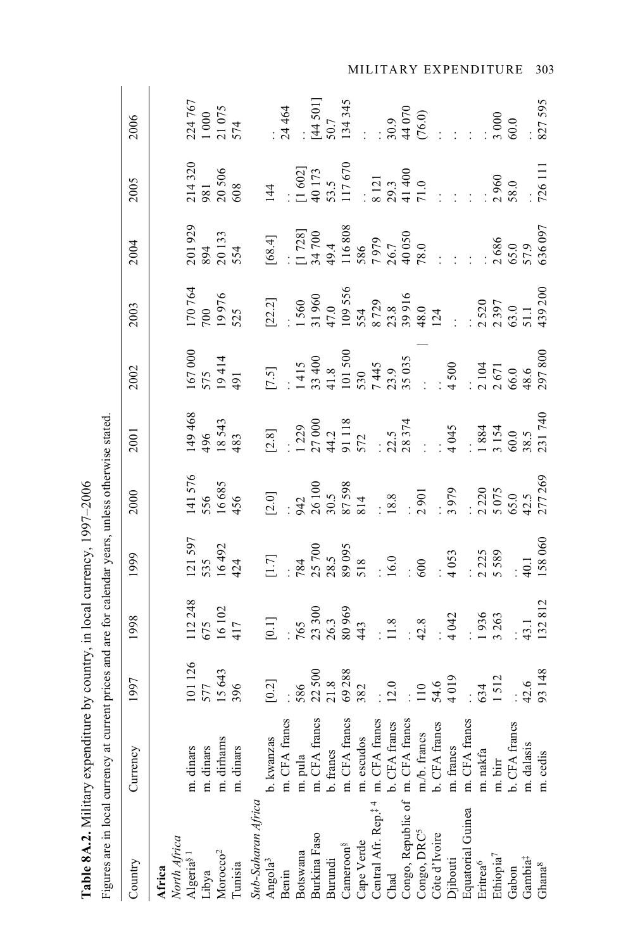| Figures are in local currency at cur                                        |                               |                                 | rent prices and are for calendar years, unless otherwise stated                                             |                                                              |                                                                                                                                                                                                                                                        |                                 |                                 |                                                                                                                                                                                                                              |                                                                                                                                                                                                                                                                        |                                                                                                                                                                         |                                                                                                                                                                                                                                                                                                          |
|-----------------------------------------------------------------------------|-------------------------------|---------------------------------|-------------------------------------------------------------------------------------------------------------|--------------------------------------------------------------|--------------------------------------------------------------------------------------------------------------------------------------------------------------------------------------------------------------------------------------------------------|---------------------------------|---------------------------------|------------------------------------------------------------------------------------------------------------------------------------------------------------------------------------------------------------------------------|------------------------------------------------------------------------------------------------------------------------------------------------------------------------------------------------------------------------------------------------------------------------|-------------------------------------------------------------------------------------------------------------------------------------------------------------------------|----------------------------------------------------------------------------------------------------------------------------------------------------------------------------------------------------------------------------------------------------------------------------------------------------------|
| Country                                                                     | Currency                      | 1997                            | 1998                                                                                                        | 1999                                                         | 2000                                                                                                                                                                                                                                                   | 2001                            | 2002                            | 2003                                                                                                                                                                                                                         | 2004                                                                                                                                                                                                                                                                   | 2005                                                                                                                                                                    | 2006                                                                                                                                                                                                                                                                                                     |
| Africa                                                                      |                               |                                 |                                                                                                             |                                                              |                                                                                                                                                                                                                                                        |                                 |                                 |                                                                                                                                                                                                                              |                                                                                                                                                                                                                                                                        |                                                                                                                                                                         |                                                                                                                                                                                                                                                                                                          |
| North Africa<br>Algeria <sup>§ 1</sup>                                      | m. dinars                     |                                 |                                                                                                             |                                                              |                                                                                                                                                                                                                                                        |                                 |                                 |                                                                                                                                                                                                                              |                                                                                                                                                                                                                                                                        |                                                                                                                                                                         |                                                                                                                                                                                                                                                                                                          |
| Libya                                                                       |                               |                                 |                                                                                                             |                                                              |                                                                                                                                                                                                                                                        |                                 |                                 |                                                                                                                                                                                                                              |                                                                                                                                                                                                                                                                        |                                                                                                                                                                         |                                                                                                                                                                                                                                                                                                          |
| Morocco <sup>2</sup>                                                        | m. dinars<br>m. dirhams       |                                 |                                                                                                             |                                                              |                                                                                                                                                                                                                                                        |                                 |                                 |                                                                                                                                                                                                                              |                                                                                                                                                                                                                                                                        |                                                                                                                                                                         |                                                                                                                                                                                                                                                                                                          |
| Tunisia                                                                     | m. dinars                     | 101 126<br>577<br>15 643<br>396 | $\begin{array}{c} 112\,248 \\ 675 \\ 16\,102 \\ 417 \end{array}$                                            | $\begin{array}{c} 121597 \\ 535 \\ 16492 \\ 424 \end{array}$ | 141 576<br>556<br>16 685<br>456                                                                                                                                                                                                                        | 149 468<br>496<br>18 543<br>483 | 167 000<br>575<br>19 414<br>491 | 170 764<br>700<br>19 976<br>525                                                                                                                                                                                              | 201 929<br>894<br>20 133<br>554                                                                                                                                                                                                                                        | $\frac{214320}{981}$<br>981<br>20 506<br>608                                                                                                                            | 224 767<br>1 000<br>21 075<br>574                                                                                                                                                                                                                                                                        |
| Sub-Saharan Africa                                                          |                               |                                 |                                                                                                             |                                                              |                                                                                                                                                                                                                                                        |                                 |                                 |                                                                                                                                                                                                                              |                                                                                                                                                                                                                                                                        |                                                                                                                                                                         |                                                                                                                                                                                                                                                                                                          |
| Angola <sup>3</sup>                                                         | b. kwanzas                    |                                 | $[0.1]$<br>765<br>763,300<br>763,300<br>763,300<br>443,1<br>43.1<br>7936<br>7936<br>7936<br>743,1<br>713812 |                                                              | $[2.0]$<br>$942$<br>$30.5$<br>$30.5$<br>$30.5$<br>$30.5$<br>$30.5$<br>$30.5$<br>$30.5$<br>$30.5$<br>$30.5$<br>$30.5$<br>$30.5$<br>$30.5$<br>$30.5$<br>$30.5$<br>$30.5$<br>$30.5$<br>$30.5$<br>$30.5$<br>$30.5$<br>$30.5$<br>$30.5$<br>$30.5$<br>$30.5$ |                                 |                                 | $[22.2]$ $[1560$ $[109556$ $554$ $554$ $554$ $5529$ $554$ $5538$ $554$ $5529$ $554$ $12.$ $[11.100536$ $12.$ $[11.100536]$ $[12.100536]$ $[12.100536]$ $[11.100536]$ $[11.100536]$ $[11.100536]$ $[11.100536]$ $[11.100536]$ | $[68.4]$<br>$[1728]$<br>$[1728]$<br>$[16808$<br>$[16808]$<br>$[16808]$<br>$[16808]$<br>$[16808]$<br>$[16808]$<br>$[16808]$<br>$[16808]$<br>$[16808]$<br>$[16808]$<br>$[16808]$<br>$[16808]$<br>$[16808]$<br>$[16808]$<br>$[16808]$<br>$[16808]$<br>$[16808]$<br>$[168$ | 144<br>$\begin{array}{r} 144 \\  \vdots \\ 1602 \\  49173 \\  53.5 \\  53.11 \\  7670 \\  803.3 \\  724 \\  71.0 \\  7261 \\  \vdots \\ 726111 \\  726111\n\end{array}$ |                                                                                                                                                                                                                                                                                                          |
| Benin                                                                       | m. CFA francs                 |                                 |                                                                                                             |                                                              |                                                                                                                                                                                                                                                        |                                 |                                 |                                                                                                                                                                                                                              |                                                                                                                                                                                                                                                                        |                                                                                                                                                                         |                                                                                                                                                                                                                                                                                                          |
| Botswana                                                                    |                               |                                 |                                                                                                             |                                                              |                                                                                                                                                                                                                                                        |                                 |                                 |                                                                                                                                                                                                                              |                                                                                                                                                                                                                                                                        |                                                                                                                                                                         |                                                                                                                                                                                                                                                                                                          |
| Burkina Faso                                                                | m. pula<br>m. CFA francs      |                                 |                                                                                                             |                                                              |                                                                                                                                                                                                                                                        |                                 |                                 |                                                                                                                                                                                                                              |                                                                                                                                                                                                                                                                        |                                                                                                                                                                         |                                                                                                                                                                                                                                                                                                          |
| Burundi                                                                     |                               |                                 |                                                                                                             |                                                              |                                                                                                                                                                                                                                                        |                                 |                                 |                                                                                                                                                                                                                              |                                                                                                                                                                                                                                                                        |                                                                                                                                                                         |                                                                                                                                                                                                                                                                                                          |
| Cameron <sup>§</sup>                                                        | b. francs<br>m. CFA francs    |                                 |                                                                                                             |                                                              |                                                                                                                                                                                                                                                        |                                 |                                 |                                                                                                                                                                                                                              |                                                                                                                                                                                                                                                                        |                                                                                                                                                                         | $: A = 5017$<br>$: A = 5017$<br>$: A = 5017$<br>$: A = 5017$<br>$: A = 5007$<br>$: A = 5007$<br>$: A = 5007$<br>$: A = 5007$<br>$: A = 5007$<br>$: A = 5007$<br>$: A = 5007$<br>$: A = 5007$<br>$: A = 5007$<br>$: A = 5007$<br>$: A = 5007$<br>$: A = 5007$<br>$: A = 5007$<br>$: A = 5007$<br>$: A = $ |
|                                                                             |                               |                                 |                                                                                                             |                                                              |                                                                                                                                                                                                                                                        |                                 |                                 |                                                                                                                                                                                                                              |                                                                                                                                                                                                                                                                        |                                                                                                                                                                         |                                                                                                                                                                                                                                                                                                          |
| Cape Verde m. escudos<br>Central Afr. Rep. <sup>‡ 4</sup> m. CFA francs     |                               |                                 |                                                                                                             |                                                              |                                                                                                                                                                                                                                                        |                                 |                                 |                                                                                                                                                                                                                              |                                                                                                                                                                                                                                                                        |                                                                                                                                                                         |                                                                                                                                                                                                                                                                                                          |
|                                                                             |                               |                                 |                                                                                                             |                                                              |                                                                                                                                                                                                                                                        |                                 |                                 |                                                                                                                                                                                                                              |                                                                                                                                                                                                                                                                        |                                                                                                                                                                         |                                                                                                                                                                                                                                                                                                          |
| Chad<br>Congo, Republic of m. CFA francs                                    |                               |                                 |                                                                                                             |                                                              |                                                                                                                                                                                                                                                        |                                 |                                 |                                                                                                                                                                                                                              |                                                                                                                                                                                                                                                                        |                                                                                                                                                                         |                                                                                                                                                                                                                                                                                                          |
| $\mathop{\rm Congo}\nolimits, \mathop{\rm DRC}\nolimits^5$<br>Côte d'Ivoire | m./b. francs<br>b. CFA francs |                                 |                                                                                                             |                                                              |                                                                                                                                                                                                                                                        |                                 |                                 |                                                                                                                                                                                                                              |                                                                                                                                                                                                                                                                        |                                                                                                                                                                         |                                                                                                                                                                                                                                                                                                          |
|                                                                             |                               |                                 |                                                                                                             |                                                              |                                                                                                                                                                                                                                                        |                                 |                                 |                                                                                                                                                                                                                              |                                                                                                                                                                                                                                                                        |                                                                                                                                                                         |                                                                                                                                                                                                                                                                                                          |
| Djibouti                                                                    | m. francs                     |                                 |                                                                                                             |                                                              |                                                                                                                                                                                                                                                        |                                 |                                 |                                                                                                                                                                                                                              |                                                                                                                                                                                                                                                                        |                                                                                                                                                                         |                                                                                                                                                                                                                                                                                                          |
| Equatorial Guinea                                                           | m. CFA francs                 |                                 |                                                                                                             |                                                              |                                                                                                                                                                                                                                                        |                                 |                                 |                                                                                                                                                                                                                              |                                                                                                                                                                                                                                                                        |                                                                                                                                                                         |                                                                                                                                                                                                                                                                                                          |
| Eritrea <sup>6</sup>                                                        | m. nakfa                      |                                 |                                                                                                             |                                                              |                                                                                                                                                                                                                                                        |                                 |                                 |                                                                                                                                                                                                                              |                                                                                                                                                                                                                                                                        |                                                                                                                                                                         |                                                                                                                                                                                                                                                                                                          |
| Ethiopia <sup>7</sup>                                                       | m. birr                       |                                 |                                                                                                             |                                                              |                                                                                                                                                                                                                                                        |                                 |                                 |                                                                                                                                                                                                                              |                                                                                                                                                                                                                                                                        |                                                                                                                                                                         |                                                                                                                                                                                                                                                                                                          |
| Gabon                                                                       | b. CFA francs                 |                                 |                                                                                                             |                                                              |                                                                                                                                                                                                                                                        |                                 |                                 |                                                                                                                                                                                                                              |                                                                                                                                                                                                                                                                        |                                                                                                                                                                         |                                                                                                                                                                                                                                                                                                          |
| Gambia <sup>‡</sup>                                                         | m. dalasis                    |                                 |                                                                                                             |                                                              |                                                                                                                                                                                                                                                        |                                 |                                 |                                                                                                                                                                                                                              |                                                                                                                                                                                                                                                                        |                                                                                                                                                                         |                                                                                                                                                                                                                                                                                                          |
| Ghana <sup>8</sup>                                                          | m. cedis                      |                                 |                                                                                                             |                                                              |                                                                                                                                                                                                                                                        |                                 |                                 |                                                                                                                                                                                                                              |                                                                                                                                                                                                                                                                        |                                                                                                                                                                         |                                                                                                                                                                                                                                                                                                          |

Table 8A.2. Military expenditure by country, in local currency, 1997-2006 **Table 8A.2.** Military expenditure by country, in local currency, 1997–2006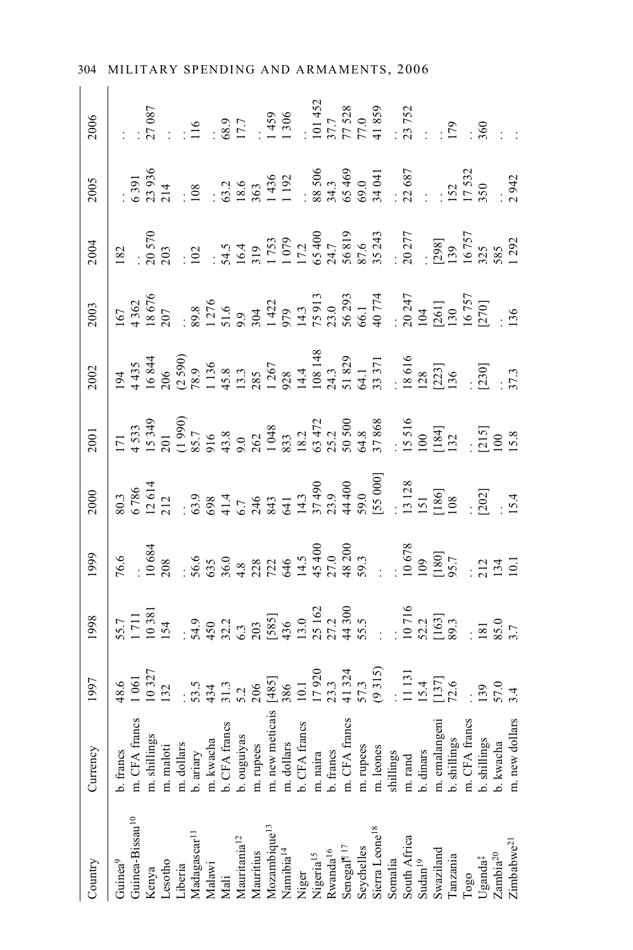| Country                                                                                                                                                                                                        | Currency                                                   |  |  |  |  | $\begin{array}{c cccccc} 0.005 & 0.005 & 0.0000 & 0.0000 & 0.0000 & 0.0000 & 0.0000 & 0.0000 & 0.0000 & 0.0000 & 0.0000 & 0.0000 & 0.0000 & 0.0000 & 0.0000 & 0.0000 & 0.0000 & 0.0000 & 0.0000 & 0.0000 & 0.0000 & 0.0000 & 0.0000 & 0.0000 & 0.0000 & 0.0000 & 0.0$ |  |
|----------------------------------------------------------------------------------------------------------------------------------------------------------------------------------------------------------------|------------------------------------------------------------|--|--|--|--|-----------------------------------------------------------------------------------------------------------------------------------------------------------------------------------------------------------------------------------------------------------------------|--|
| Guinea <sup>9</sup>                                                                                                                                                                                            |                                                            |  |  |  |  |                                                                                                                                                                                                                                                                       |  |
|                                                                                                                                                                                                                | b. francs<br>m. CFA francs                                 |  |  |  |  |                                                                                                                                                                                                                                                                       |  |
|                                                                                                                                                                                                                | m. shillings<br>m. maloti<br>m. dollars                    |  |  |  |  |                                                                                                                                                                                                                                                                       |  |
|                                                                                                                                                                                                                |                                                            |  |  |  |  |                                                                                                                                                                                                                                                                       |  |
|                                                                                                                                                                                                                |                                                            |  |  |  |  |                                                                                                                                                                                                                                                                       |  |
|                                                                                                                                                                                                                |                                                            |  |  |  |  |                                                                                                                                                                                                                                                                       |  |
|                                                                                                                                                                                                                | b. ariary<br>m. kwacha<br>b. CFA francs<br>b. ouguiyas     |  |  |  |  |                                                                                                                                                                                                                                                                       |  |
|                                                                                                                                                                                                                |                                                            |  |  |  |  |                                                                                                                                                                                                                                                                       |  |
|                                                                                                                                                                                                                |                                                            |  |  |  |  |                                                                                                                                                                                                                                                                       |  |
|                                                                                                                                                                                                                | m. rupees                                                  |  |  |  |  |                                                                                                                                                                                                                                                                       |  |
|                                                                                                                                                                                                                |                                                            |  |  |  |  |                                                                                                                                                                                                                                                                       |  |
| Guinea-Bissau <sup>10</sup><br>Kenya<br>Lesotho<br>Liberia<br>Madagascar <sup>11</sup><br>Mali<br>Mauritania <sup>12</sup><br>Mauritania <sup>12</sup><br>Mauritania <sup>12</sup><br>Mauritania <sup>12</sup> |                                                            |  |  |  |  |                                                                                                                                                                                                                                                                       |  |
|                                                                                                                                                                                                                |                                                            |  |  |  |  |                                                                                                                                                                                                                                                                       |  |
|                                                                                                                                                                                                                |                                                            |  |  |  |  |                                                                                                                                                                                                                                                                       |  |
|                                                                                                                                                                                                                |                                                            |  |  |  |  |                                                                                                                                                                                                                                                                       |  |
| Niger<br>Nigeria <sup>15</sup><br>Rwanda <sup>16</sup><br>Senegal <sup>117</sup><br>Seychelles<br>Sychelles<br>Sierra Leone <sup>18</sup><br>South Africa<br>Sudan <sup>19</sup>                               | b. francs<br>m. CFA francs                                 |  |  |  |  |                                                                                                                                                                                                                                                                       |  |
|                                                                                                                                                                                                                |                                                            |  |  |  |  |                                                                                                                                                                                                                                                                       |  |
|                                                                                                                                                                                                                | m. rupees<br>m. leones                                     |  |  |  |  |                                                                                                                                                                                                                                                                       |  |
|                                                                                                                                                                                                                | shillings                                                  |  |  |  |  |                                                                                                                                                                                                                                                                       |  |
|                                                                                                                                                                                                                | m. $\operatorname{rand}$                                   |  |  |  |  |                                                                                                                                                                                                                                                                       |  |
|                                                                                                                                                                                                                | b. dinars<br>m. emalangeni                                 |  |  |  |  |                                                                                                                                                                                                                                                                       |  |
|                                                                                                                                                                                                                |                                                            |  |  |  |  |                                                                                                                                                                                                                                                                       |  |
| Tanzania                                                                                                                                                                                                       |                                                            |  |  |  |  |                                                                                                                                                                                                                                                                       |  |
|                                                                                                                                                                                                                |                                                            |  |  |  |  |                                                                                                                                                                                                                                                                       |  |
| $\begin{array}{l} \text{Togo} \\ \text{Uganda}^\ddagger \\ \text{Zambia}^{20} \\ \text{Zimbabwe}^{21} \end{array}$                                                                                             | b. shillings<br>m. CFA francs<br>b. shillings<br>b. kwacha |  |  |  |  |                                                                                                                                                                                                                                                                       |  |
|                                                                                                                                                                                                                |                                                            |  |  |  |  |                                                                                                                                                                                                                                                                       |  |
|                                                                                                                                                                                                                | m. new dollars                                             |  |  |  |  |                                                                                                                                                                                                                                                                       |  |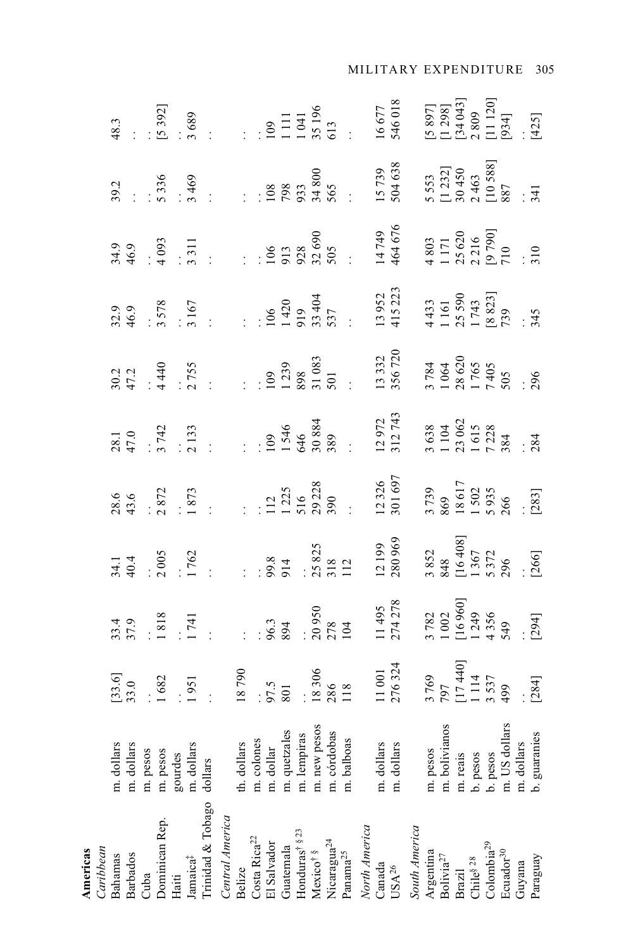| Caribbean<br>Americas                                                                                                            |                                                                                                            |  |                                                                                                                                                                                                                                                                                                  |  |                                                                                                                                                                                                                                   |                                                                                                                                                                                                                                |                                                                                                                                                                                                                                |                                                                                                                                                                                                                                                                                                                                                                                                            |
|----------------------------------------------------------------------------------------------------------------------------------|------------------------------------------------------------------------------------------------------------|--|--------------------------------------------------------------------------------------------------------------------------------------------------------------------------------------------------------------------------------------------------------------------------------------------------|--|-----------------------------------------------------------------------------------------------------------------------------------------------------------------------------------------------------------------------------------|--------------------------------------------------------------------------------------------------------------------------------------------------------------------------------------------------------------------------------|--------------------------------------------------------------------------------------------------------------------------------------------------------------------------------------------------------------------------------|------------------------------------------------------------------------------------------------------------------------------------------------------------------------------------------------------------------------------------------------------------------------------------------------------------------------------------------------------------------------------------------------------------|
| Bahamas                                                                                                                          | m. dollars                                                                                                 |  |                                                                                                                                                                                                                                                                                                  |  |                                                                                                                                                                                                                                   |                                                                                                                                                                                                                                |                                                                                                                                                                                                                                |                                                                                                                                                                                                                                                                                                                                                                                                            |
| Barbados                                                                                                                         | m. dollars                                                                                                 |  |                                                                                                                                                                                                                                                                                                  |  |                                                                                                                                                                                                                                   |                                                                                                                                                                                                                                |                                                                                                                                                                                                                                |                                                                                                                                                                                                                                                                                                                                                                                                            |
| Cuba                                                                                                                             | m. pesos                                                                                                   |  |                                                                                                                                                                                                                                                                                                  |  |                                                                                                                                                                                                                                   |                                                                                                                                                                                                                                |                                                                                                                                                                                                                                |                                                                                                                                                                                                                                                                                                                                                                                                            |
| Dominican Rep.                                                                                                                   | m. pesos                                                                                                   |  |                                                                                                                                                                                                                                                                                                  |  |                                                                                                                                                                                                                                   |                                                                                                                                                                                                                                |                                                                                                                                                                                                                                |                                                                                                                                                                                                                                                                                                                                                                                                            |
| Haiti                                                                                                                            | gourdes                                                                                                    |  |                                                                                                                                                                                                                                                                                                  |  |                                                                                                                                                                                                                                   |                                                                                                                                                                                                                                |                                                                                                                                                                                                                                |                                                                                                                                                                                                                                                                                                                                                                                                            |
| $\mbox{Jamaica}^\ddag$                                                                                                           | m. dollars                                                                                                 |  |                                                                                                                                                                                                                                                                                                  |  |                                                                                                                                                                                                                                   |                                                                                                                                                                                                                                |                                                                                                                                                                                                                                |                                                                                                                                                                                                                                                                                                                                                                                                            |
| Trinidad & Tobago dollars                                                                                                        |                                                                                                            |  |                                                                                                                                                                                                                                                                                                  |  |                                                                                                                                                                                                                                   |                                                                                                                                                                                                                                |                                                                                                                                                                                                                                |                                                                                                                                                                                                                                                                                                                                                                                                            |
| Central America                                                                                                                  |                                                                                                            |  |                                                                                                                                                                                                                                                                                                  |  |                                                                                                                                                                                                                                   |                                                                                                                                                                                                                                |                                                                                                                                                                                                                                |                                                                                                                                                                                                                                                                                                                                                                                                            |
| Belize                                                                                                                           | th. dollars                                                                                                |  |                                                                                                                                                                                                                                                                                                  |  |                                                                                                                                                                                                                                   |                                                                                                                                                                                                                                |                                                                                                                                                                                                                                |                                                                                                                                                                                                                                                                                                                                                                                                            |
|                                                                                                                                  | m. colones                                                                                                 |  |                                                                                                                                                                                                                                                                                                  |  |                                                                                                                                                                                                                                   |                                                                                                                                                                                                                                |                                                                                                                                                                                                                                |                                                                                                                                                                                                                                                                                                                                                                                                            |
| $\frac{\text{Costa } \text{Rica}^{22}}{\text{El Salvador}}$                                                                      | m. dollar                                                                                                  |  |                                                                                                                                                                                                                                                                                                  |  |                                                                                                                                                                                                                                   |                                                                                                                                                                                                                                |                                                                                                                                                                                                                                |                                                                                                                                                                                                                                                                                                                                                                                                            |
| Guatemala                                                                                                                        |                                                                                                            |  |                                                                                                                                                                                                                                                                                                  |  |                                                                                                                                                                                                                                   |                                                                                                                                                                                                                                |                                                                                                                                                                                                                                |                                                                                                                                                                                                                                                                                                                                                                                                            |
| $\begin{array}{l} \rm{Honduras}^{\dagger\ 8\ 23}\\ \rm{Mexico}^{\dagger\ 8} \end{array}$                                         |                                                                                                            |  |                                                                                                                                                                                                                                                                                                  |  |                                                                                                                                                                                                                                   |                                                                                                                                                                                                                                |                                                                                                                                                                                                                                |                                                                                                                                                                                                                                                                                                                                                                                                            |
|                                                                                                                                  |                                                                                                            |  |                                                                                                                                                                                                                                                                                                  |  |                                                                                                                                                                                                                                   |                                                                                                                                                                                                                                |                                                                                                                                                                                                                                |                                                                                                                                                                                                                                                                                                                                                                                                            |
| ${\rm Nicaragua^{24}}\\ {\rm Paman}^{25}$                                                                                        |                                                                                                            |  |                                                                                                                                                                                                                                                                                                  |  |                                                                                                                                                                                                                                   |                                                                                                                                                                                                                                |                                                                                                                                                                                                                                |                                                                                                                                                                                                                                                                                                                                                                                                            |
|                                                                                                                                  | m. quetzales<br>m. lempiras<br>m. new pesos<br>m. córdobas<br>m. balboas<br>m. dollars<br>m. dollars       |  |                                                                                                                                                                                                                                                                                                  |  |                                                                                                                                                                                                                                   |                                                                                                                                                                                                                                |                                                                                                                                                                                                                                |                                                                                                                                                                                                                                                                                                                                                                                                            |
| North America                                                                                                                    |                                                                                                            |  |                                                                                                                                                                                                                                                                                                  |  |                                                                                                                                                                                                                                   |                                                                                                                                                                                                                                |                                                                                                                                                                                                                                |                                                                                                                                                                                                                                                                                                                                                                                                            |
| Canada<br>USA<br>$^{26}$                                                                                                         |                                                                                                            |  |                                                                                                                                                                                                                                                                                                  |  |                                                                                                                                                                                                                                   |                                                                                                                                                                                                                                |                                                                                                                                                                                                                                |                                                                                                                                                                                                                                                                                                                                                                                                            |
|                                                                                                                                  |                                                                                                            |  | $\begin{array}{cccc} 8.6 & 6\\ 43.6 & 12\\ 2.8 & 12\\ 1 & 12 & 12\\ 1 & 12 & 12\\ 1 & 12 & 12\\ 1 & 12 & 12\\ 1 & 12 & 12\\ 1 & 12 & 12\\ 1 & 12 & 12\\ 1 & 12 & 12\\ 1 & 12 & 12\\ 12 & 12 & 12\\ 12 & 12 & 12\\ 12 & 12 & 12\\ 12 & 12 & 12\\ 12 & 12 & 12\\ 12 & 12 & 12\\ 12 & 12 & 12\\ 12$ |  | $3.39$<br>$46.9$<br>$3.578$<br>$3.578$<br>$3.578$<br>$3.5743$<br>$3.5743$<br>$3.5743$<br>$4.433$<br>$1.515$<br>$1.59$<br>$1.5743$<br>$1.5743$<br>$1.5743$<br>$1.5743$<br>$1.5743$<br>$1.5743$<br>$1.5743$<br>$1.5743$<br>$1.5743$ | $34.9$ $4.9$ $4.9$ $5.9$ $5.9$ $5.9$ $5.9$ $5.9$ $5.9$ $5.9$ $5.9$ $5.9$ $5.9$ $5.9$ $5.9$ $5.9$ $5.9$ $5.9$ $5.9$ $5.9$ $5.9$ $5.9$ $5.9$ $5.9$ $5.9$ $5.9$ $5.9$ $5.9$ $5.9$ $5.9$ $5.9$ $5.9$ $5.9$ $5.9$ $5.9$ $5.9$ $5.9$ | $39.2$ $5.336$ $5.336$ $5.336$ $5.336$ $5.336$ $5.337$ $5.337$ $5.337$ $5.337$ $5.337$ $5.337$ $5.337$ $5.337$ $5.337$ $5.337$ $5.337$ $5.337$ $5.337$ $5.337$ $5.337$ $5.337$ $5.337$ $5.337$ $5.337$ $5.337$ $5.337$ $5.337$ | 48.3<br>$\begin{array}{ccc} 48.3 & & & \\ . & .5 & .921 & & \\ .5 & .889 & & & \\ .5 & .89 & & & \\ .5 & .89 & & & \\ .5 & .89 & & & \\ .5 & .89 & & & \\ .5 & .89 & & & \\ .5 & .89 & & & \\ .5 & .89 & & & \\ .5 & .89 & & & \\ .5 & .89 & & & \\ .5 & .89 & & & \\ .5 & .89 & & & \\ .5 & .89 & & & \\ .5 & .89 & & & \\ .5 & .89 & & & \\ .5 & .8 & .89 & & \\ .5 & .8 & .89 & & \\ .5 & .8 & .8 & .8$ |
| South America                                                                                                                    | m. pesos<br>m. bolivianos<br>m. reais<br>t. reais<br>b. pesos<br>m. US dollars<br>m. dollars<br>m. dollars |  |                                                                                                                                                                                                                                                                                                  |  |                                                                                                                                                                                                                                   |                                                                                                                                                                                                                                |                                                                                                                                                                                                                                |                                                                                                                                                                                                                                                                                                                                                                                                            |
| Argentina                                                                                                                        |                                                                                                            |  |                                                                                                                                                                                                                                                                                                  |  |                                                                                                                                                                                                                                   |                                                                                                                                                                                                                                |                                                                                                                                                                                                                                |                                                                                                                                                                                                                                                                                                                                                                                                            |
|                                                                                                                                  |                                                                                                            |  |                                                                                                                                                                                                                                                                                                  |  |                                                                                                                                                                                                                                   |                                                                                                                                                                                                                                |                                                                                                                                                                                                                                |                                                                                                                                                                                                                                                                                                                                                                                                            |
| $\begin{array}{ll} \mbox{Boïvia}^{27} \\ \mbox{Brazil} \\ \mbox{Chil\'e}^{8~28} \\ \mbox{Co} \\ \mbox{fochila}^{29} \end{array}$ |                                                                                                            |  |                                                                                                                                                                                                                                                                                                  |  |                                                                                                                                                                                                                                   |                                                                                                                                                                                                                                |                                                                                                                                                                                                                                |                                                                                                                                                                                                                                                                                                                                                                                                            |
|                                                                                                                                  |                                                                                                            |  |                                                                                                                                                                                                                                                                                                  |  |                                                                                                                                                                                                                                   |                                                                                                                                                                                                                                |                                                                                                                                                                                                                                |                                                                                                                                                                                                                                                                                                                                                                                                            |
|                                                                                                                                  |                                                                                                            |  |                                                                                                                                                                                                                                                                                                  |  |                                                                                                                                                                                                                                   |                                                                                                                                                                                                                                |                                                                                                                                                                                                                                |                                                                                                                                                                                                                                                                                                                                                                                                            |
| Ecuador <sup>30</sup>                                                                                                            |                                                                                                            |  |                                                                                                                                                                                                                                                                                                  |  |                                                                                                                                                                                                                                   |                                                                                                                                                                                                                                |                                                                                                                                                                                                                                |                                                                                                                                                                                                                                                                                                                                                                                                            |
| Guyana                                                                                                                           |                                                                                                            |  |                                                                                                                                                                                                                                                                                                  |  |                                                                                                                                                                                                                                   |                                                                                                                                                                                                                                |                                                                                                                                                                                                                                |                                                                                                                                                                                                                                                                                                                                                                                                            |
| Paraguay                                                                                                                         |                                                                                                            |  |                                                                                                                                                                                                                                                                                                  |  |                                                                                                                                                                                                                                   |                                                                                                                                                                                                                                |                                                                                                                                                                                                                                |                                                                                                                                                                                                                                                                                                                                                                                                            |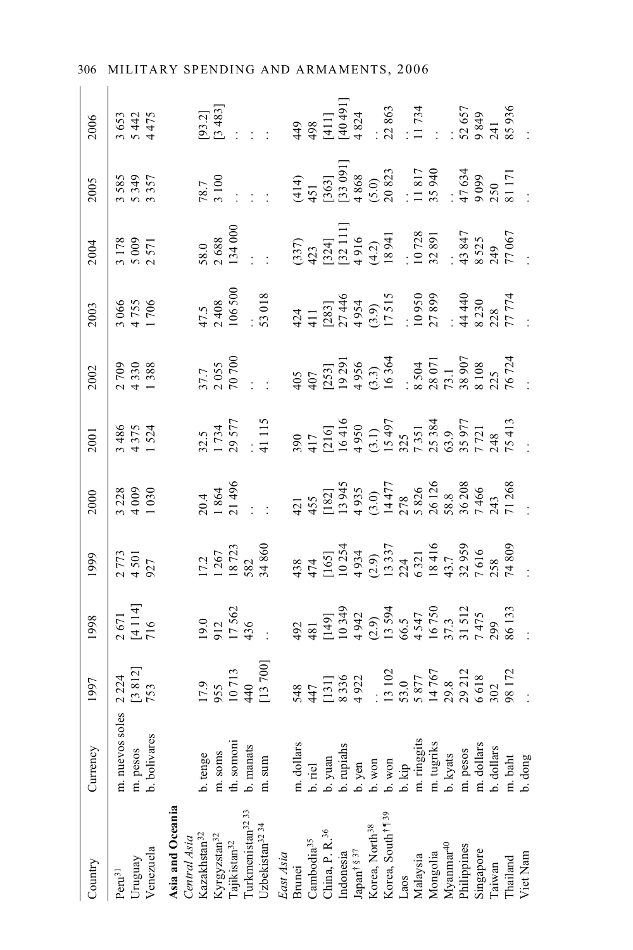| Country                                                                                                                                                                                                  | Currency                                        | 1997                                                                                                                                                                                                                                                                      | 998                                                                                                           |                                                                                                    |                                                                                             |                                                                                                                                                                                                                                                               |                                                                                              |                                                                                                                                                                                                                                                                                       |                                                                                                                                                                                                                                      | 2005                                                                                                                                                                                                                             |                                                                                                                                                                                                                                                                                                                        |
|----------------------------------------------------------------------------------------------------------------------------------------------------------------------------------------------------------|-------------------------------------------------|---------------------------------------------------------------------------------------------------------------------------------------------------------------------------------------------------------------------------------------------------------------------------|---------------------------------------------------------------------------------------------------------------|----------------------------------------------------------------------------------------------------|---------------------------------------------------------------------------------------------|---------------------------------------------------------------------------------------------------------------------------------------------------------------------------------------------------------------------------------------------------------------|----------------------------------------------------------------------------------------------|---------------------------------------------------------------------------------------------------------------------------------------------------------------------------------------------------------------------------------------------------------------------------------------|--------------------------------------------------------------------------------------------------------------------------------------------------------------------------------------------------------------------------------------|----------------------------------------------------------------------------------------------------------------------------------------------------------------------------------------------------------------------------------|------------------------------------------------------------------------------------------------------------------------------------------------------------------------------------------------------------------------------------------------------------------------------------------------------------------------|
| $\mbox{Peru}^{31}$                                                                                                                                                                                       | m. nuevos soles                                 | 2 224<br>[3 812]<br>753                                                                                                                                                                                                                                                   | 2 671<br>[4 1 14]<br>716                                                                                      | $\frac{1999}{2\ 773}$                                                                              | $\begin{array}{c c}\n 2000 \\  \times 28 \\  \hline\n 328 \\  \hline\n 409 \\  \end{array}$ | $\begin{array}{c c}\n 2001 \\  \hline\n 3486 \\  \hline\n 4375 \\  \hline\n 1.524\n \end{array}$                                                                                                                                                              | $\begin{array}{c c}\n 2002 \\  \hline\n 209 \\  \hline\n 330 \\  \hline\n 438\n \end{array}$ | $\begin{array}{c c}\n 2003 \\  \hline\n 3066 \\  \hline\n 4755 \\  \hline\n 1706\n \end{array}$                                                                                                                                                                                       | $\begin{array}{c c}\n 2004 \\  \hline\n 178 \\  \hline\n 5009 \\  \hline\n 571\n \end{array}$                                                                                                                                        | 3 585<br>5 349<br>3 357                                                                                                                                                                                                          | $\begin{array}{c c}\n 2006 \\  -3653 \\  -5475 \\  +175\n \end{array}$                                                                                                                                                                                                                                                 |
| Uruguay<br>Venezuela                                                                                                                                                                                     | m. pesos                                        |                                                                                                                                                                                                                                                                           |                                                                                                               |                                                                                                    |                                                                                             |                                                                                                                                                                                                                                                               |                                                                                              |                                                                                                                                                                                                                                                                                       |                                                                                                                                                                                                                                      |                                                                                                                                                                                                                                  |                                                                                                                                                                                                                                                                                                                        |
|                                                                                                                                                                                                          | b. bolivares                                    |                                                                                                                                                                                                                                                                           |                                                                                                               |                                                                                                    |                                                                                             |                                                                                                                                                                                                                                                               |                                                                                              |                                                                                                                                                                                                                                                                                       |                                                                                                                                                                                                                                      |                                                                                                                                                                                                                                  |                                                                                                                                                                                                                                                                                                                        |
| Asia and Oceania<br>Central Asia<br>Kazakhstan <sup>32</sup>                                                                                                                                             |                                                 |                                                                                                                                                                                                                                                                           |                                                                                                               |                                                                                                    |                                                                                             |                                                                                                                                                                                                                                                               |                                                                                              |                                                                                                                                                                                                                                                                                       |                                                                                                                                                                                                                                      |                                                                                                                                                                                                                                  |                                                                                                                                                                                                                                                                                                                        |
|                                                                                                                                                                                                          | o. tenge                                        |                                                                                                                                                                                                                                                                           |                                                                                                               |                                                                                                    |                                                                                             |                                                                                                                                                                                                                                                               |                                                                                              |                                                                                                                                                                                                                                                                                       |                                                                                                                                                                                                                                      |                                                                                                                                                                                                                                  |                                                                                                                                                                                                                                                                                                                        |
|                                                                                                                                                                                                          |                                                 |                                                                                                                                                                                                                                                                           |                                                                                                               |                                                                                                    |                                                                                             |                                                                                                                                                                                                                                                               |                                                                                              |                                                                                                                                                                                                                                                                                       |                                                                                                                                                                                                                                      |                                                                                                                                                                                                                                  |                                                                                                                                                                                                                                                                                                                        |
| Kyrgyzstan <sup>32</sup><br>Tajikistan <sup>32</sup><br>Turkmenistan <sup>32</sup>                                                                                                                       | m. soms<br>th. somoni<br>b. manats              |                                                                                                                                                                                                                                                                           |                                                                                                               |                                                                                                    |                                                                                             |                                                                                                                                                                                                                                                               |                                                                                              |                                                                                                                                                                                                                                                                                       |                                                                                                                                                                                                                                      | $\frac{1}{8}$                                                                                                                                                                                                                    |                                                                                                                                                                                                                                                                                                                        |
|                                                                                                                                                                                                          |                                                 |                                                                                                                                                                                                                                                                           |                                                                                                               |                                                                                                    |                                                                                             |                                                                                                                                                                                                                                                               |                                                                                              |                                                                                                                                                                                                                                                                                       |                                                                                                                                                                                                                                      |                                                                                                                                                                                                                                  |                                                                                                                                                                                                                                                                                                                        |
| Jzbekistan <sup>32</sup> <sup>34</sup>                                                                                                                                                                   | $m$ . sum                                       | $\begin{array}{rrrr} .9 & 0.9 & 0.9 & 0.713 & 0.713 & 0.713 & 0.713 & 0.713 & 0.713 & 0.713 & 0.713 & 0.713 & 0.713 & 0.713 & 0.713 & 0.713 & 0.713 & 0.713 & 0.713 & 0.713 & 0.713 & 0.713 & 0.713 & 0.713 & 0.713 & 0.713 & 0.713 & 0.713 & 0.713 & 0.713 & 0.713 & 0.$ | $\frac{19.0}{17.562}$<br>17.562<br>436                                                                        | $\begin{array}{r} 17.2 \\ 1267 \\ 18723 \\ 832 \\ 582 \end{array}$                                 |                                                                                             | $\begin{array}{l} 32.5,\\ 1.734\\ 29.577\\ 41.115\\ 390\\ 417\\ 16416\\ 16416\\ 16416\\ 16416\\ 16416\\ 16416\\ 16416\\ 17543\\ 183\\ 7351\\ 7351\\ 7351\\ 7351\\ 7351\\ 7351\\ 7351\\ 7351\\ 7351\\ 7351\\ 7351\\ 7351\\ 7351\\ 7413\\ 75413\\ \end{array}.$ |                                                                                              | 47.5<br>2408<br>106.50018<br>53 018<br>421<br>42.954<br>53 018<br>53 039<br>53 039<br>53 039<br>53 039<br>54 440<br>53 039<br>54 440<br>54 440<br>54 440<br>55 039<br>54 440<br>55 039<br>54 440<br>55 039<br>55 039<br>55 039<br>55 039<br>55 039<br>55 039<br>55 039<br>55 039<br>5 | $\begin{array}{r} 58.0\\ 2.688\\ 2.688\\ 134\ 000\\ \vdots\\ 137\ 0\\ 237)\\ 132\ 111\\ 132\ 111\\ 14\ 21\\ 152\ 111\\ 16\\ 18\ 941\\ 18\ 941\\ 19\ 32\ 89\ 1\\ 10\ 728\\ 13\ 847\\ 71\ 342\\ 249\ 77\\ 70\ 67\\ 71\ 88\end{array}.$ |                                                                                                                                                                                                                                  | $\begin{bmatrix} 9 & 3 & 21 \\ 2 & 4 & 4 & 5 \\ 3 & 4 & 5 & 6 \\ 2 & 3 & 6 & 7 \\ 3 & 4 & 4 & 8 \\ 4 & 4 & 8 & 4 \\ 5 & 6 & 7 & 7 \\ 6 & 7 & 8 & 7 \\ 7 & 8 & 6 & 7 \\ 8 & 8 & 7 & 7 \\ 11 & 11 & 12 & 13 \\ 13 & 14 & 15 & 15 \\ 16 & 16 & 15 & 15 \\ 17 & 17 & 18 & 15 \\ 18 & 19 & 18 & 5 \\ 19 & 10 & 17 & 34 \\ $ |
| East Asia<br>Brunei<br>Cambodia <sup>35</sup><br>China, P. R. <sup>36</sup>                                                                                                                              |                                                 |                                                                                                                                                                                                                                                                           |                                                                                                               |                                                                                                    |                                                                                             |                                                                                                                                                                                                                                                               |                                                                                              |                                                                                                                                                                                                                                                                                       |                                                                                                                                                                                                                                      |                                                                                                                                                                                                                                  |                                                                                                                                                                                                                                                                                                                        |
|                                                                                                                                                                                                          | m. dollars                                      |                                                                                                                                                                                                                                                                           |                                                                                                               |                                                                                                    |                                                                                             |                                                                                                                                                                                                                                                               |                                                                                              |                                                                                                                                                                                                                                                                                       |                                                                                                                                                                                                                                      |                                                                                                                                                                                                                                  |                                                                                                                                                                                                                                                                                                                        |
|                                                                                                                                                                                                          | b. riel                                         |                                                                                                                                                                                                                                                                           |                                                                                                               |                                                                                                    |                                                                                             |                                                                                                                                                                                                                                                               |                                                                                              |                                                                                                                                                                                                                                                                                       |                                                                                                                                                                                                                                      |                                                                                                                                                                                                                                  |                                                                                                                                                                                                                                                                                                                        |
|                                                                                                                                                                                                          |                                                 |                                                                                                                                                                                                                                                                           |                                                                                                               |                                                                                                    |                                                                                             |                                                                                                                                                                                                                                                               |                                                                                              |                                                                                                                                                                                                                                                                                       |                                                                                                                                                                                                                                      |                                                                                                                                                                                                                                  |                                                                                                                                                                                                                                                                                                                        |
|                                                                                                                                                                                                          |                                                 |                                                                                                                                                                                                                                                                           |                                                                                                               |                                                                                                    |                                                                                             |                                                                                                                                                                                                                                                               |                                                                                              |                                                                                                                                                                                                                                                                                       |                                                                                                                                                                                                                                      |                                                                                                                                                                                                                                  |                                                                                                                                                                                                                                                                                                                        |
| ${\rm Indonesia} \\ {\rm Japan}^{\dagger\,\S\,37}$                                                                                                                                                       | b. yuan<br>b. rupiahs<br>b. yen<br>b. won       |                                                                                                                                                                                                                                                                           |                                                                                                               |                                                                                                    |                                                                                             |                                                                                                                                                                                                                                                               |                                                                                              |                                                                                                                                                                                                                                                                                       |                                                                                                                                                                                                                                      |                                                                                                                                                                                                                                  |                                                                                                                                                                                                                                                                                                                        |
| $\begin{array}{l} \text{Korea, North}^{\text{38}} \\ \text{Korea, South}^{\dagger \P \text{39}} \end{array}$                                                                                             |                                                 |                                                                                                                                                                                                                                                                           |                                                                                                               |                                                                                                    |                                                                                             |                                                                                                                                                                                                                                                               |                                                                                              |                                                                                                                                                                                                                                                                                       |                                                                                                                                                                                                                                      |                                                                                                                                                                                                                                  |                                                                                                                                                                                                                                                                                                                        |
|                                                                                                                                                                                                          |                                                 |                                                                                                                                                                                                                                                                           |                                                                                                               |                                                                                                    |                                                                                             |                                                                                                                                                                                                                                                               |                                                                                              |                                                                                                                                                                                                                                                                                       |                                                                                                                                                                                                                                      |                                                                                                                                                                                                                                  |                                                                                                                                                                                                                                                                                                                        |
|                                                                                                                                                                                                          |                                                 |                                                                                                                                                                                                                                                                           |                                                                                                               |                                                                                                    |                                                                                             |                                                                                                                                                                                                                                                               |                                                                                              |                                                                                                                                                                                                                                                                                       |                                                                                                                                                                                                                                      |                                                                                                                                                                                                                                  |                                                                                                                                                                                                                                                                                                                        |
|                                                                                                                                                                                                          | b. kip<br>m. ringgits<br>m. tugriks<br>b. kyats |                                                                                                                                                                                                                                                                           |                                                                                                               |                                                                                                    |                                                                                             |                                                                                                                                                                                                                                                               |                                                                                              |                                                                                                                                                                                                                                                                                       |                                                                                                                                                                                                                                      |                                                                                                                                                                                                                                  |                                                                                                                                                                                                                                                                                                                        |
|                                                                                                                                                                                                          |                                                 |                                                                                                                                                                                                                                                                           |                                                                                                               |                                                                                                    |                                                                                             |                                                                                                                                                                                                                                                               |                                                                                              |                                                                                                                                                                                                                                                                                       |                                                                                                                                                                                                                                      |                                                                                                                                                                                                                                  |                                                                                                                                                                                                                                                                                                                        |
|                                                                                                                                                                                                          |                                                 |                                                                                                                                                                                                                                                                           |                                                                                                               |                                                                                                    |                                                                                             |                                                                                                                                                                                                                                                               |                                                                                              |                                                                                                                                                                                                                                                                                       |                                                                                                                                                                                                                                      |                                                                                                                                                                                                                                  |                                                                                                                                                                                                                                                                                                                        |
| $\begin{array}{l} \text{Laos} \\ \text{Malaysia} \\ \text{Mongolia} \\ \text{Myamma}^{40} \\ \text{Myamna}^{40} \\ \text{Philippines} \\ \text{Singapore} \\ \text{Taiwan} \\ \text{Taiwan} \end{array}$ |                                                 |                                                                                                                                                                                                                                                                           |                                                                                                               |                                                                                                    |                                                                                             |                                                                                                                                                                                                                                                               |                                                                                              |                                                                                                                                                                                                                                                                                       |                                                                                                                                                                                                                                      |                                                                                                                                                                                                                                  |                                                                                                                                                                                                                                                                                                                        |
|                                                                                                                                                                                                          | m. pesos<br>m. dollars<br>b. dollars            |                                                                                                                                                                                                                                                                           |                                                                                                               |                                                                                                    |                                                                                             |                                                                                                                                                                                                                                                               |                                                                                              |                                                                                                                                                                                                                                                                                       |                                                                                                                                                                                                                                      |                                                                                                                                                                                                                                  |                                                                                                                                                                                                                                                                                                                        |
|                                                                                                                                                                                                          |                                                 |                                                                                                                                                                                                                                                                           |                                                                                                               |                                                                                                    |                                                                                             |                                                                                                                                                                                                                                                               |                                                                                              |                                                                                                                                                                                                                                                                                       |                                                                                                                                                                                                                                      |                                                                                                                                                                                                                                  |                                                                                                                                                                                                                                                                                                                        |
| Thailand                                                                                                                                                                                                 | m. baht<br>b. dong                              |                                                                                                                                                                                                                                                                           | 492<br>481<br>481<br>49342<br>11493<br>44547<br>4575<br>4575<br>1512<br>56133<br>1512<br>1475<br>1475<br>1475 | 438<br>474<br>10551<br>10254<br>10337<br>10534<br>10337<br>53959<br>538<br>74809<br>74809<br>74809 |                                                                                             |                                                                                                                                                                                                                                                               |                                                                                              |                                                                                                                                                                                                                                                                                       |                                                                                                                                                                                                                                      | $\begin{array}{lll} (414) \\ 451 \\ (1363) \\ (1363) \\ (13688 \\ (5.0) \\ 20823 \\ \vdots \\ (5.0) \\ 20823 \\ \vdots \\ (18170 \\ 47634 \\ \vdots \\ (171081171 \\ 5340 \\ 5340 \\ \vdots \\ (17111) \\ 531171 \\ \end{array}$ |                                                                                                                                                                                                                                                                                                                        |
| Viet Nam                                                                                                                                                                                                 |                                                 |                                                                                                                                                                                                                                                                           |                                                                                                               |                                                                                                    |                                                                                             |                                                                                                                                                                                                                                                               |                                                                                              |                                                                                                                                                                                                                                                                                       |                                                                                                                                                                                                                                      |                                                                                                                                                                                                                                  |                                                                                                                                                                                                                                                                                                                        |
|                                                                                                                                                                                                          |                                                 |                                                                                                                                                                                                                                                                           |                                                                                                               |                                                                                                    |                                                                                             |                                                                                                                                                                                                                                                               |                                                                                              |                                                                                                                                                                                                                                                                                       |                                                                                                                                                                                                                                      |                                                                                                                                                                                                                                  |                                                                                                                                                                                                                                                                                                                        |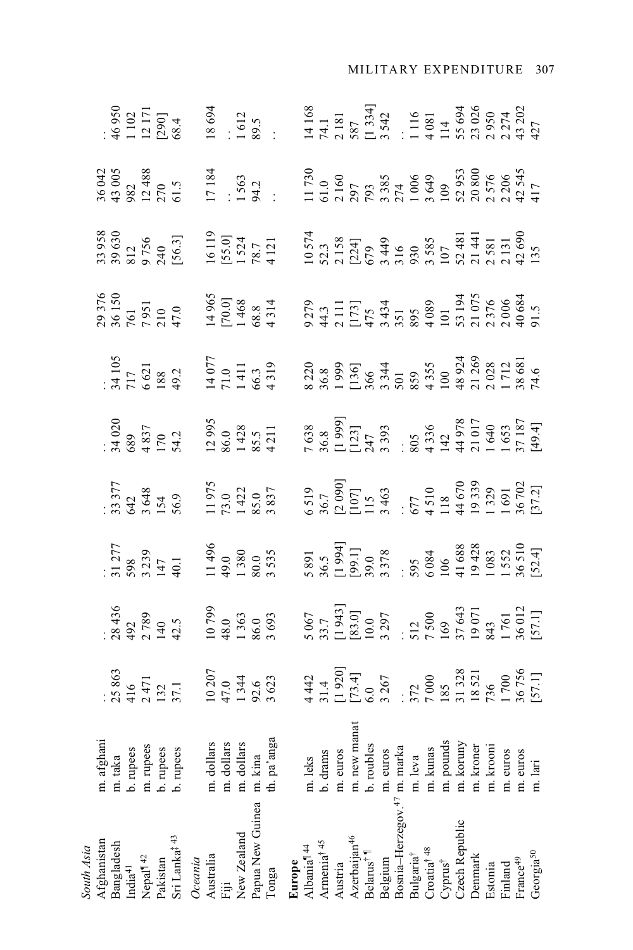| South Asia                                                       |                                                                                             |                                                                                                    |                                                                                                                                                                                                                    |                                                                                                                                                                 |                                                                                                                                                                                                                                                                 |                                                                                                                                                                                                                                                                  |                                                                                                                                                                                                                                                                                                               |                                                                                                         |  |                                                                                                                                                                                                                                                                                                     |
|------------------------------------------------------------------|---------------------------------------------------------------------------------------------|----------------------------------------------------------------------------------------------------|--------------------------------------------------------------------------------------------------------------------------------------------------------------------------------------------------------------------|-----------------------------------------------------------------------------------------------------------------------------------------------------------------|-----------------------------------------------------------------------------------------------------------------------------------------------------------------------------------------------------------------------------------------------------------------|------------------------------------------------------------------------------------------------------------------------------------------------------------------------------------------------------------------------------------------------------------------|---------------------------------------------------------------------------------------------------------------------------------------------------------------------------------------------------------------------------------------------------------------------------------------------------------------|---------------------------------------------------------------------------------------------------------|--|-----------------------------------------------------------------------------------------------------------------------------------------------------------------------------------------------------------------------------------------------------------------------------------------------------|
|                                                                  |                                                                                             |                                                                                                    |                                                                                                                                                                                                                    |                                                                                                                                                                 |                                                                                                                                                                                                                                                                 |                                                                                                                                                                                                                                                                  |                                                                                                                                                                                                                                                                                                               |                                                                                                         |  |                                                                                                                                                                                                                                                                                                     |
| Afghanistan                                                      | m. afghani                                                                                  |                                                                                                    |                                                                                                                                                                                                                    |                                                                                                                                                                 |                                                                                                                                                                                                                                                                 |                                                                                                                                                                                                                                                                  |                                                                                                                                                                                                                                                                                                               |                                                                                                         |  |                                                                                                                                                                                                                                                                                                     |
|                                                                  | m. taka                                                                                     |                                                                                                    |                                                                                                                                                                                                                    |                                                                                                                                                                 |                                                                                                                                                                                                                                                                 |                                                                                                                                                                                                                                                                  |                                                                                                                                                                                                                                                                                                               |                                                                                                         |  |                                                                                                                                                                                                                                                                                                     |
| ${\bf Bangladesh} \\ {\bf India}^{41}$                           | b. rupees                                                                                   |                                                                                                    |                                                                                                                                                                                                                    |                                                                                                                                                                 |                                                                                                                                                                                                                                                                 |                                                                                                                                                                                                                                                                  |                                                                                                                                                                                                                                                                                                               |                                                                                                         |  |                                                                                                                                                                                                                                                                                                     |
|                                                                  | m. rupees                                                                                   |                                                                                                    |                                                                                                                                                                                                                    |                                                                                                                                                                 |                                                                                                                                                                                                                                                                 |                                                                                                                                                                                                                                                                  |                                                                                                                                                                                                                                                                                                               |                                                                                                         |  |                                                                                                                                                                                                                                                                                                     |
|                                                                  | b. rupees                                                                                   |                                                                                                    |                                                                                                                                                                                                                    |                                                                                                                                                                 |                                                                                                                                                                                                                                                                 |                                                                                                                                                                                                                                                                  |                                                                                                                                                                                                                                                                                                               |                                                                                                         |  |                                                                                                                                                                                                                                                                                                     |
| Nepal <sup>¶42</sup><br>Pakistan<br>Sri Lanka <sup>‡43</sup>     | b. rupees                                                                                   |                                                                                                    |                                                                                                                                                                                                                    |                                                                                                                                                                 | $\begin{array}{r} .33377 \\ 33377 \\ 642 \\ 5648 \\ 154 \\ 164 \\ 11975 \\ 11975 \\ 1422 \\ 1195 \\ 1422 \\ 1385.0 \\ 1837 \\ 837 \end{array}$                                                                                                                  | $\begin{array}{r} \n 34020 \\  34037 \\  4837 \\  54.2 \\  170.2 \\  54.2 \\  12.995 \\  1428 \\  85.5 \\  14211 \\  85.5 \\  85.5 \\  14211 \\  4211\n \end{array}$                                                                                             |                                                                                                                                                                                                                                                                                                               | 29 376<br>36 150<br>7 951<br>7 951<br>7 965<br>1 4 965<br>1 4 3 14<br>1 3 14                            |  |                                                                                                                                                                                                                                                                                                     |
| Oceania                                                          |                                                                                             |                                                                                                    |                                                                                                                                                                                                                    |                                                                                                                                                                 |                                                                                                                                                                                                                                                                 |                                                                                                                                                                                                                                                                  |                                                                                                                                                                                                                                                                                                               |                                                                                                         |  |                                                                                                                                                                                                                                                                                                     |
|                                                                  | m. dollars                                                                                  |                                                                                                    |                                                                                                                                                                                                                    |                                                                                                                                                                 |                                                                                                                                                                                                                                                                 |                                                                                                                                                                                                                                                                  |                                                                                                                                                                                                                                                                                                               |                                                                                                         |  |                                                                                                                                                                                                                                                                                                     |
| Australia<br>Fiji                                                |                                                                                             |                                                                                                    |                                                                                                                                                                                                                    |                                                                                                                                                                 |                                                                                                                                                                                                                                                                 |                                                                                                                                                                                                                                                                  |                                                                                                                                                                                                                                                                                                               |                                                                                                         |  |                                                                                                                                                                                                                                                                                                     |
| New Zealand                                                      | m. dollars<br>m. dollars<br>m. kina                                                         |                                                                                                    |                                                                                                                                                                                                                    |                                                                                                                                                                 |                                                                                                                                                                                                                                                                 |                                                                                                                                                                                                                                                                  |                                                                                                                                                                                                                                                                                                               |                                                                                                         |  |                                                                                                                                                                                                                                                                                                     |
| Papua New Guinea                                                 | m. kina                                                                                     |                                                                                                    |                                                                                                                                                                                                                    |                                                                                                                                                                 |                                                                                                                                                                                                                                                                 |                                                                                                                                                                                                                                                                  |                                                                                                                                                                                                                                                                                                               |                                                                                                         |  |                                                                                                                                                                                                                                                                                                     |
| Tonga                                                            | th. pa'anga                                                                                 | $25863$<br>25 863<br>416<br>47 1132<br>37 1134<br>3623<br>47 1344<br>1344                          | $\begin{array}{r} . & 436 \\ 28436 \\ 492 \\ 140 \\ 140 \\ 100 \\ 799 \\ 1363 \\ 1363 \\ 1363 \\ 86.0 \\ 3693 \\ 86.0 \\ 3693 \\ \end{array}$                                                                      |                                                                                                                                                                 |                                                                                                                                                                                                                                                                 |                                                                                                                                                                                                                                                                  | $\begin{array}{r} \n 1.105 \\  34105 \\  6621 \\  188 \\  188 \\  14077 \\  1.11 \\  1411 \\  1411 \\  1411 \\  1411 \\  66.3 \\  4319\n \end{array}$                                                                                                                                                         |                                                                                                         |  | $\begin{array}{r} .8950\\ +421111\\ +6934\\ 112101\\ -12301\\ -12301\\ -12301\\ -12301\\ -12301\\ -12301\\ -12301\\ -12301\\ -12301\\ -12301\\ -12301\\ -12301\\ -12301\\ -12301\\ -12301\\ -12301\\ -12301\\ -12301\\ -12301\\ -12301\\ -12301\\ -12301\\ -12301\\ -12301\\ -12301\\ -12301\\ -12$ |
| Europe                                                           |                                                                                             |                                                                                                    |                                                                                                                                                                                                                    |                                                                                                                                                                 |                                                                                                                                                                                                                                                                 |                                                                                                                                                                                                                                                                  |                                                                                                                                                                                                                                                                                                               |                                                                                                         |  |                                                                                                                                                                                                                                                                                                     |
| Albania <sup><math>144</math></sup>                              | m. leks                                                                                     |                                                                                                    |                                                                                                                                                                                                                    |                                                                                                                                                                 |                                                                                                                                                                                                                                                                 |                                                                                                                                                                                                                                                                  |                                                                                                                                                                                                                                                                                                               |                                                                                                         |  |                                                                                                                                                                                                                                                                                                     |
| Armenia <sup>†45</sup>                                           | b. drams                                                                                    |                                                                                                    |                                                                                                                                                                                                                    |                                                                                                                                                                 |                                                                                                                                                                                                                                                                 |                                                                                                                                                                                                                                                                  |                                                                                                                                                                                                                                                                                                               |                                                                                                         |  |                                                                                                                                                                                                                                                                                                     |
| Austria                                                          |                                                                                             |                                                                                                    |                                                                                                                                                                                                                    |                                                                                                                                                                 |                                                                                                                                                                                                                                                                 |                                                                                                                                                                                                                                                                  |                                                                                                                                                                                                                                                                                                               |                                                                                                         |  |                                                                                                                                                                                                                                                                                                     |
| Azerbaijan <sup>46</sup>                                         | A. euros<br>m. new manat<br>"vubles                                                         |                                                                                                    |                                                                                                                                                                                                                    |                                                                                                                                                                 |                                                                                                                                                                                                                                                                 |                                                                                                                                                                                                                                                                  |                                                                                                                                                                                                                                                                                                               |                                                                                                         |  |                                                                                                                                                                                                                                                                                                     |
| Belarus <sup>†1</sup>                                            |                                                                                             |                                                                                                    |                                                                                                                                                                                                                    |                                                                                                                                                                 |                                                                                                                                                                                                                                                                 |                                                                                                                                                                                                                                                                  |                                                                                                                                                                                                                                                                                                               |                                                                                                         |  |                                                                                                                                                                                                                                                                                                     |
| Belgium                                                          | m. euros                                                                                    |                                                                                                    |                                                                                                                                                                                                                    |                                                                                                                                                                 |                                                                                                                                                                                                                                                                 |                                                                                                                                                                                                                                                                  |                                                                                                                                                                                                                                                                                                               |                                                                                                         |  |                                                                                                                                                                                                                                                                                                     |
|                                                                  |                                                                                             |                                                                                                    |                                                                                                                                                                                                                    |                                                                                                                                                                 |                                                                                                                                                                                                                                                                 |                                                                                                                                                                                                                                                                  |                                                                                                                                                                                                                                                                                                               |                                                                                                         |  |                                                                                                                                                                                                                                                                                                     |
| Bosnia–Herzegov $^{47}$ m. marka Bulgaria<br>† $$\rm \,m$.$ leva |                                                                                             |                                                                                                    |                                                                                                                                                                                                                    |                                                                                                                                                                 |                                                                                                                                                                                                                                                                 |                                                                                                                                                                                                                                                                  |                                                                                                                                                                                                                                                                                                               |                                                                                                         |  |                                                                                                                                                                                                                                                                                                     |
| Croatia <sup>†48</sup>                                           |                                                                                             |                                                                                                    |                                                                                                                                                                                                                    |                                                                                                                                                                 |                                                                                                                                                                                                                                                                 |                                                                                                                                                                                                                                                                  |                                                                                                                                                                                                                                                                                                               |                                                                                                         |  |                                                                                                                                                                                                                                                                                                     |
| Cyprus <sup>†</sup>                                              |                                                                                             |                                                                                                    |                                                                                                                                                                                                                    |                                                                                                                                                                 |                                                                                                                                                                                                                                                                 |                                                                                                                                                                                                                                                                  |                                                                                                                                                                                                                                                                                                               |                                                                                                         |  |                                                                                                                                                                                                                                                                                                     |
| Czech Republic                                                   |                                                                                             |                                                                                                    |                                                                                                                                                                                                                    |                                                                                                                                                                 |                                                                                                                                                                                                                                                                 |                                                                                                                                                                                                                                                                  |                                                                                                                                                                                                                                                                                                               |                                                                                                         |  |                                                                                                                                                                                                                                                                                                     |
| Denmark                                                          | $\begin{tabular}{l} m. leva \\ m. kunas \\ m. pounds \\ m. kormy \\ m. kormy \end{tabular}$ |                                                                                                    |                                                                                                                                                                                                                    |                                                                                                                                                                 |                                                                                                                                                                                                                                                                 |                                                                                                                                                                                                                                                                  |                                                                                                                                                                                                                                                                                                               |                                                                                                         |  |                                                                                                                                                                                                                                                                                                     |
| Estonia                                                          | m. krooni                                                                                   |                                                                                                    |                                                                                                                                                                                                                    |                                                                                                                                                                 |                                                                                                                                                                                                                                                                 |                                                                                                                                                                                                                                                                  |                                                                                                                                                                                                                                                                                                               |                                                                                                         |  |                                                                                                                                                                                                                                                                                                     |
| Finland                                                          | m. euros                                                                                    |                                                                                                    |                                                                                                                                                                                                                    |                                                                                                                                                                 |                                                                                                                                                                                                                                                                 |                                                                                                                                                                                                                                                                  |                                                                                                                                                                                                                                                                                                               |                                                                                                         |  |                                                                                                                                                                                                                                                                                                     |
| France <sup>49</sup>                                             | m. euros                                                                                    |                                                                                                    |                                                                                                                                                                                                                    |                                                                                                                                                                 |                                                                                                                                                                                                                                                                 |                                                                                                                                                                                                                                                                  |                                                                                                                                                                                                                                                                                                               |                                                                                                         |  |                                                                                                                                                                                                                                                                                                     |
| Georgia <sup>50</sup>                                            | m. lari                                                                                     | 4 442<br>31.4<br>51.4<br>53.267<br>53.267<br>53.521<br>53.521<br>53.521<br>57.1]<br>57.1]<br>57.1] | $5067$<br>$[1943]$<br>$[1943]$<br>$[1943]$<br>$[1943]$<br>$[1943]$<br>$[1943]$<br>$[1943]$<br>$[1943]$<br>$[1943]$<br>$[1950]$<br>$[1960]$<br>$[1960]$<br>$[1960]$<br>$[1961]$<br>$[1961]$<br>$[1961]$<br>$[1961]$ | 5 891<br>36.5<br>36.5<br>1994]<br>1991<br>1991<br>1993<br>36.00<br>1983<br>1983<br>1983<br>1983<br>1983<br>1983<br>1983<br>1983<br>1983<br>1983<br>1983<br>1983 | $\begin{array}{l} 6\,519\\ 36.7\\ 16.7\\ 2\,690\\ 1\,15\\ 3\,463\\ 6\,7\\ 7\,7\\ 4\,510\\ 6\,70\\ 1\,8\\ 1\,9\\ 1\,9\\ 1\,3\,9\\ 1\,0\\ 1\,6\,1\\ 1\,6\,1\\ 1\,6\,1\\ 3\,6\,7\,0\\ 3\,6\,7\,0\\ 3\,6\,7\,0\\ 3\,6\,7\,0\\ 3\,6\,7\,0\\ 3\,6\,7\,0\\ 3\,6\,7\,0$ | $\begin{array}{l} 7\,638\\ 36.8\\ [1\,999]\\ [1\,21]\\ 24\,7\\ 3\,43\,9\\ 3\,6\\ 4\,3\,9\\ 1\,4\,2\\ 1\,4\,2\\ 1\,4\,9\\ 1\,6\,3\\ 1\,6\,3\\ 1\,5\,3\\ 7\,1\,87\\ 1\,7\,1\,87\\ 1\,7\,1\,87\\ 1\,7\,1\,87\\ 1\,7\,1\,87\\ 1\,4\,9\,7\,1\,87\\ 1\,7\,1\,87\\ 1\,$ | $\begin{array}{l} 8.220 \\ 36.8 \\ 1.999 \\ 1.90 \\ 1.90 \\ 1.90 \\ 1.90 \\ 1.90 \\ 1.90 \\ 1.91 \\ 1.90 \\ 1.91 \\ 1.90 \\ 1.91 \\ 1.91 \\ 1.91 \\ 1.91 \\ 1.91 \\ 1.91 \\ 1.91 \\ 1.91 \\ 1.91 \\ 1.91 \\ 1.91 \\ 1.91 \\ 1.91 \\ 1.91 \\ 1.91 \\ 1.91 \\ 1.91 \\ 1.91 \\ 1.91 \\ 1.91 \\ 1.91 \\ 1.91 \\ $ | 9279<br>44.3<br>44.3 111731<br>54.3 10006<br>54.3 10006<br>40.3 1000684<br>50.3 1000684<br>50.5 1000684 |  |                                                                                                                                                                                                                                                                                                     |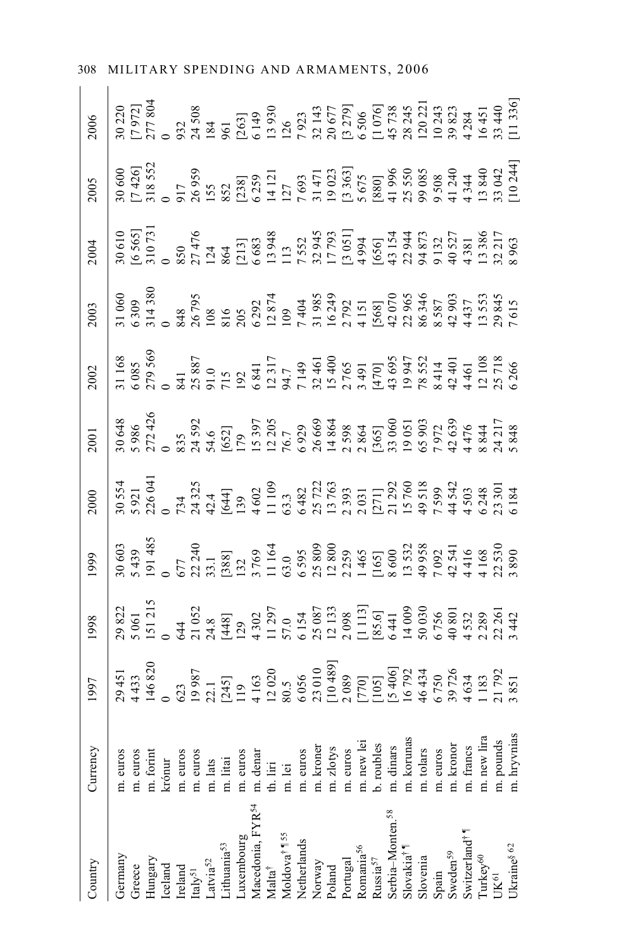| Country                                              | Currency                | 166 | 998                                                                                                                                                                                                                                                                                                           |  |  |  |  |
|------------------------------------------------------|-------------------------|-----|---------------------------------------------------------------------------------------------------------------------------------------------------------------------------------------------------------------------------------------------------------------------------------------------------------------|--|--|--|--|
| Germany                                              | m. euros                |     | $\begin{bmatrix} 1882 \\ 1806 \\ 15121 \\ 2632 \\ 3644 \\ 4405 \\ 5000 \\ 6000 \\ 7000 \\ 8000 \\ 7000 \\ 8000 \\ 7000 \\ 7000 \\ 7000 \\ 7000 \\ 7000 \\ 7000 \\ 7000 \\ 7000 \\ 7000 \\ 7000 \\ 7000 \\ 7000 \\ 7000 \\ 7000 \\ 7000 \\ 7000 \\ 7000 \\ 7000 \\ 7000 \\ 7000 \\ 7000 \\ 7000 \\ 7000 \\ 70$ |  |  |  |  |
| Greece                                               | m. euros                |     |                                                                                                                                                                                                                                                                                                               |  |  |  |  |
| $\rm{Hungary}$                                       | n. forint               |     |                                                                                                                                                                                                                                                                                                               |  |  |  |  |
| Iceland                                              | krónur                  |     |                                                                                                                                                                                                                                                                                                               |  |  |  |  |
| Ireland                                              | m. euros                |     |                                                                                                                                                                                                                                                                                                               |  |  |  |  |
| $\mbox{Italy}^{51}$                                  |                         |     |                                                                                                                                                                                                                                                                                                               |  |  |  |  |
| Latvia <sup>52</sup>                                 | m. euros<br>m. lats     |     |                                                                                                                                                                                                                                                                                                               |  |  |  |  |
|                                                      | m. litai                |     |                                                                                                                                                                                                                                                                                                               |  |  |  |  |
| Lithuania <sup>53</sup><br>Luxembourg                | m. euros                |     |                                                                                                                                                                                                                                                                                                               |  |  |  |  |
|                                                      | m. denar<br>th. liri    |     |                                                                                                                                                                                                                                                                                                               |  |  |  |  |
| Vlacedonia, FYR <sup>54</sup><br>Vlalta <sup>†</sup> |                         |     |                                                                                                                                                                                                                                                                                                               |  |  |  |  |
| Moldova <sup>†</sup> 1 <sup>55</sup><br>Netherlands  | m. lei                  |     |                                                                                                                                                                                                                                                                                                               |  |  |  |  |
|                                                      | m. euros                |     |                                                                                                                                                                                                                                                                                                               |  |  |  |  |
| Norway                                               | m. kroner               |     |                                                                                                                                                                                                                                                                                                               |  |  |  |  |
| Poland                                               | m. zlotys               |     |                                                                                                                                                                                                                                                                                                               |  |  |  |  |
| Portugal                                             | m. euros                |     |                                                                                                                                                                                                                                                                                                               |  |  |  |  |
|                                                      | m. new le               |     |                                                                                                                                                                                                                                                                                                               |  |  |  |  |
| Romania <sup>56</sup><br>Russia <sup>57</sup>        | b. roubles              |     |                                                                                                                                                                                                                                                                                                               |  |  |  |  |
|                                                      |                         |     |                                                                                                                                                                                                                                                                                                               |  |  |  |  |
| Serbia–Monten. <sup>58</sup><br>Slovakia†¶           | m. dinars<br>m. korunas |     |                                                                                                                                                                                                                                                                                                               |  |  |  |  |
|                                                      | m. tolars               |     |                                                                                                                                                                                                                                                                                                               |  |  |  |  |
| Slovenia<br>Spain                                    | m. euros                |     |                                                                                                                                                                                                                                                                                                               |  |  |  |  |
| Sweden <sup>59</sup><br>Switzerland <sup>† 1</sup>   | m. kronor               |     |                                                                                                                                                                                                                                                                                                               |  |  |  |  |
|                                                      | m. francs               |     |                                                                                                                                                                                                                                                                                                               |  |  |  |  |
| Turkey <sup>60</sup><br>UK <sup>61</sup>             | m. new lira             |     |                                                                                                                                                                                                                                                                                                               |  |  |  |  |
|                                                      | m. pounds               |     |                                                                                                                                                                                                                                                                                                               |  |  |  |  |
| Ukraine<br>8 $62\,$                                  | m. hryvnias             |     |                                                                                                                                                                                                                                                                                                               |  |  |  |  |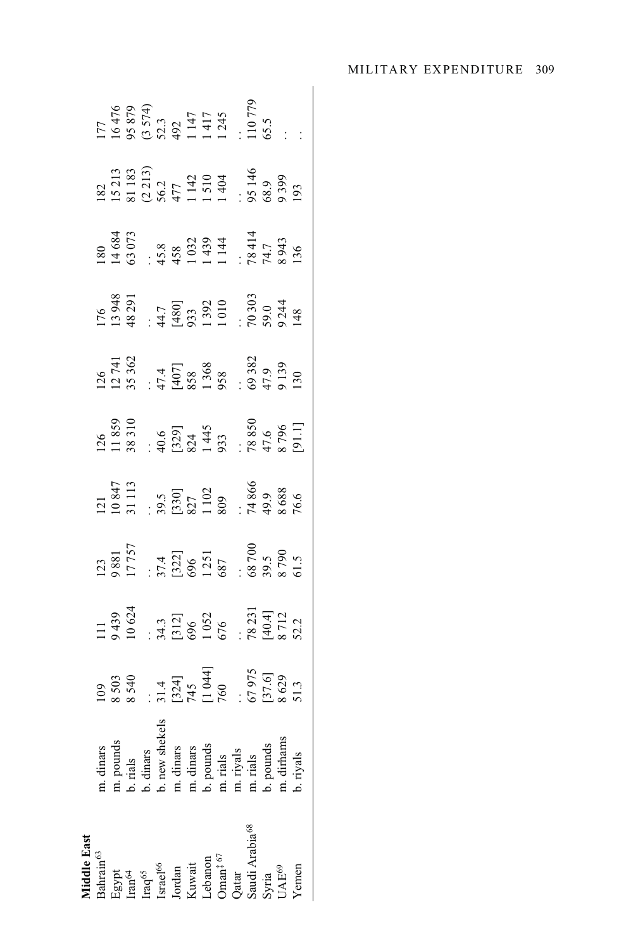| <b>Aiddle East</b>                                                                                                                                                                                                                                                                                                                                                                              |                                                                                                                                            |                                                                                       |                                                                          |                                                                                                                 |                                                                                                      |                                                                                                   |                                                                                                               |                                                                                               |                                                                                                                                       |                                                                                                |                                                                                                               |
|-------------------------------------------------------------------------------------------------------------------------------------------------------------------------------------------------------------------------------------------------------------------------------------------------------------------------------------------------------------------------------------------------|--------------------------------------------------------------------------------------------------------------------------------------------|---------------------------------------------------------------------------------------|--------------------------------------------------------------------------|-----------------------------------------------------------------------------------------------------------------|------------------------------------------------------------------------------------------------------|---------------------------------------------------------------------------------------------------|---------------------------------------------------------------------------------------------------------------|-----------------------------------------------------------------------------------------------|---------------------------------------------------------------------------------------------------------------------------------------|------------------------------------------------------------------------------------------------|---------------------------------------------------------------------------------------------------------------|
| $\begin{array}{l} \mbox{Bahrani}^{63} \\ \mbox{Egypt} \\ \mbox{Im}^{64} \\ \mbox{Im}^{65} \\ \mbox{Israel}^{66} \\ \mbox{Jordan} \\ \mbox{Kuvait} \\ \mbox{Cohano} \\ \mbox{Oman}^{\ddag}^{\ 67} \\ \mbox{Sylia} \\ \mbox{Sadii} \\ \mbox{Arabia}^{68} \\ \mbox{Sylia} \\ \mbox{Sylria} \\ \mbox{VAE}^{69} \\ \mbox{O} \\ \mbox{VAE}^{69} \\ \mbox{VAE}^{69} \\ \mbox{VAE}^{69} \\ \end{array}$ | m. dinars<br>m. pounds<br>b. rials<br>b. dinars<br>b. new shekels<br>m. dinars<br>m. rials<br>m. rials<br>m. rials<br>m. rials<br>m. rials | 109<br>8 503<br>8 540<br>8 540<br>8 541<br>7 12 41<br>7 13 51.3<br>8 67 975<br>8 51.3 | 111<br>9 439<br>10 624<br>1036<br>1032<br>1032<br>5322<br>5322<br>8 8712 | $\frac{123}{1881}$<br>9881                                                                                      | 121<br>10 847<br>31 113                                                                              | 126<br>11 839<br>38 310<br>40.6<br>43 3<br>1 445<br>1 45 3 850<br>47,6<br>8 796<br>8 796<br>8 796 | $126$<br>$12741$<br>$35362$<br>$47.4$<br>$4971$<br>$4907$<br>$4938$<br>$4938$<br>$4939$<br>$49139$<br>$49139$ | $176$<br>13 948<br>48 291<br>43 33<br>44 44 45 33<br>14 392<br>10 10 5 9 34<br>70 303<br>74 3 | $\begin{array}{r} 180 \\ 14684 \\ 63073 \\ 6303 \\ 458 \\ 1439 \\ 1439 \\ 144 \\ 1414 \\ 7841 \\ 7841 \\ 8943 \\ 8943 \\ \end{array}$ | 182<br>15 213<br>81 183<br>81 183<br>83 184<br>1 1 510<br>1 404<br>15 20 195<br>88.9<br>93 193 | 177<br>16 478<br>16 574<br>19 573, 3<br>19 579<br>11 745<br>11 12 12 12 13 13 13 13 14 13 14 14 15 16 16 1718 |
|                                                                                                                                                                                                                                                                                                                                                                                                 |                                                                                                                                            |                                                                                       |                                                                          |                                                                                                                 |                                                                                                      |                                                                                                   |                                                                                                               |                                                                                               |                                                                                                                                       |                                                                                                |                                                                                                               |
|                                                                                                                                                                                                                                                                                                                                                                                                 |                                                                                                                                            |                                                                                       |                                                                          |                                                                                                                 |                                                                                                      |                                                                                                   |                                                                                                               |                                                                                               |                                                                                                                                       |                                                                                                |                                                                                                               |
|                                                                                                                                                                                                                                                                                                                                                                                                 |                                                                                                                                            |                                                                                       |                                                                          |                                                                                                                 |                                                                                                      |                                                                                                   |                                                                                                               |                                                                                               |                                                                                                                                       |                                                                                                |                                                                                                               |
|                                                                                                                                                                                                                                                                                                                                                                                                 |                                                                                                                                            |                                                                                       |                                                                          | $\begin{array}{r} .714 \\ 37.4 \\ 696 \\ 696 \\ 1251 \\ 687 \\ 687 \\ 8790 \\ 8790 \\ 8790 \\ 51.5 \end{array}$ | $\begin{array}{r} .39.5 \\ 39.5 \\ 827 \\ 1102 \\ 809 \\ 14866 \\ 74866 \\ 3688 \\ 76.6 \end{array}$ |                                                                                                   |                                                                                                               |                                                                                               |                                                                                                                                       |                                                                                                |                                                                                                               |
|                                                                                                                                                                                                                                                                                                                                                                                                 |                                                                                                                                            |                                                                                       |                                                                          |                                                                                                                 |                                                                                                      |                                                                                                   |                                                                                                               |                                                                                               |                                                                                                                                       |                                                                                                |                                                                                                               |
|                                                                                                                                                                                                                                                                                                                                                                                                 |                                                                                                                                            |                                                                                       |                                                                          |                                                                                                                 |                                                                                                      |                                                                                                   |                                                                                                               |                                                                                               |                                                                                                                                       |                                                                                                |                                                                                                               |
|                                                                                                                                                                                                                                                                                                                                                                                                 |                                                                                                                                            |                                                                                       |                                                                          |                                                                                                                 |                                                                                                      |                                                                                                   |                                                                                                               |                                                                                               |                                                                                                                                       |                                                                                                |                                                                                                               |
|                                                                                                                                                                                                                                                                                                                                                                                                 |                                                                                                                                            |                                                                                       |                                                                          |                                                                                                                 |                                                                                                      |                                                                                                   |                                                                                                               |                                                                                               |                                                                                                                                       |                                                                                                |                                                                                                               |
|                                                                                                                                                                                                                                                                                                                                                                                                 |                                                                                                                                            |                                                                                       |                                                                          |                                                                                                                 |                                                                                                      |                                                                                                   |                                                                                                               |                                                                                               |                                                                                                                                       |                                                                                                |                                                                                                               |
|                                                                                                                                                                                                                                                                                                                                                                                                 |                                                                                                                                            |                                                                                       |                                                                          |                                                                                                                 |                                                                                                      |                                                                                                   |                                                                                                               |                                                                                               |                                                                                                                                       |                                                                                                |                                                                                                               |
|                                                                                                                                                                                                                                                                                                                                                                                                 |                                                                                                                                            |                                                                                       |                                                                          |                                                                                                                 |                                                                                                      |                                                                                                   |                                                                                                               |                                                                                               |                                                                                                                                       |                                                                                                |                                                                                                               |
| Yemen                                                                                                                                                                                                                                                                                                                                                                                           |                                                                                                                                            |                                                                                       |                                                                          |                                                                                                                 |                                                                                                      |                                                                                                   |                                                                                                               |                                                                                               |                                                                                                                                       |                                                                                                |                                                                                                               |
|                                                                                                                                                                                                                                                                                                                                                                                                 |                                                                                                                                            |                                                                                       |                                                                          |                                                                                                                 |                                                                                                      |                                                                                                   |                                                                                                               |                                                                                               |                                                                                                                                       |                                                                                                |                                                                                                               |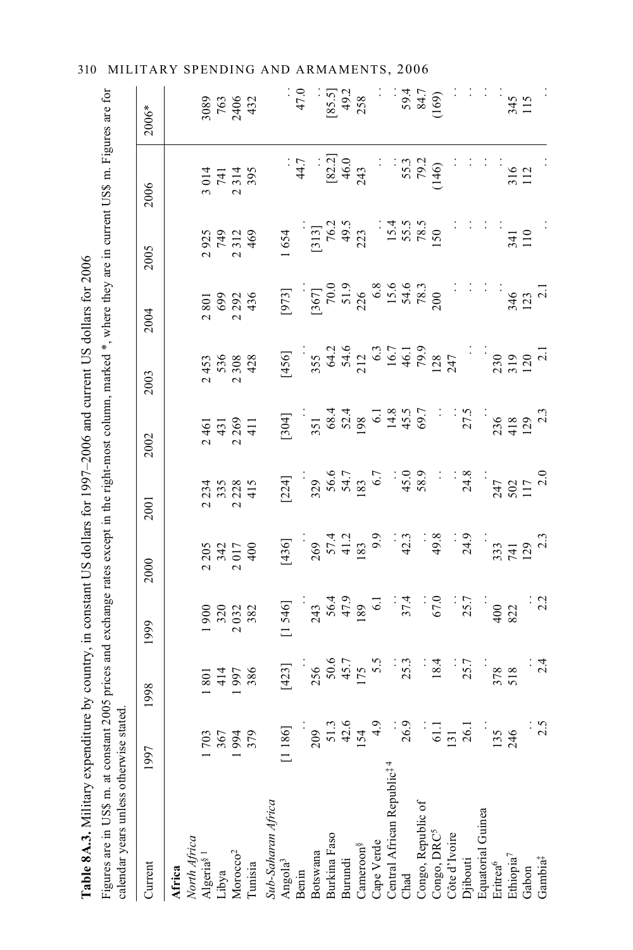| Table 8A.3. Military expenditure by country, in constant US dollars for 1997-2006 and current US dollars for 2006                                                                                        |                |                                  |                                    |                                    |                                    |                                            |                                                         |                                                                                                             |                                                            |                                 |                         |
|----------------------------------------------------------------------------------------------------------------------------------------------------------------------------------------------------------|----------------|----------------------------------|------------------------------------|------------------------------------|------------------------------------|--------------------------------------------|---------------------------------------------------------|-------------------------------------------------------------------------------------------------------------|------------------------------------------------------------|---------------------------------|-------------------------|
| Figures are in US\$ m. at constant 2005 prices and exchange rates except in the right-most column, marked *, where they are in current US\$ m. Figures are for<br>calendar years unless otherwise stated |                |                                  |                                    |                                    |                                    |                                            |                                                         |                                                                                                             |                                                            |                                 |                         |
| Current                                                                                                                                                                                                  | 1997           | 1998                             | 1999                               | 2000                               | 2001                               | 2002                                       | 2003                                                    | 2004                                                                                                        | 2005                                                       | 2006                            | $2006*$                 |
| Africa                                                                                                                                                                                                   |                |                                  |                                    |                                    |                                    |                                            |                                                         |                                                                                                             |                                                            |                                 |                         |
|                                                                                                                                                                                                          |                |                                  |                                    |                                    |                                    |                                            |                                                         |                                                                                                             |                                                            |                                 |                         |
| North Africa<br>Algeria <sup>§ 1</sup>                                                                                                                                                                   | 1703           | 801                              |                                    | 2205                               |                                    | $\overline{6}$<br>$\overline{\mathcal{C}}$ | 453<br>$\overline{\mathcal{C}}$                         | 2801                                                                                                        | 925<br>$\overline{\mathcal{C}}$                            | 3014                            | 3089                    |
| Libya                                                                                                                                                                                                    |                |                                  |                                    |                                    |                                    |                                            |                                                         |                                                                                                             |                                                            |                                 |                         |
| Morocco <sup>2</sup>                                                                                                                                                                                     | 1994<br>1994   | 414<br>997                       | 900<br>320<br>320<br>$\mathcal{L}$ | 342<br>017                         | 2 234<br>3 355<br>2 2 2 3<br>4 1 5 | 431<br>269<br>$\overline{\mathcal{C}}$     | 536<br>308<br>$\mathbf{\Omega}$                         | 69<br>29<br>43<br>4<br>$\overline{\mathcal{C}}$                                                             | 749<br>312<br>$\mathbf{\Omega}$                            | 741<br>314<br>$\mathbf{\Omega}$ | 763<br>2406<br>432      |
| Tunisia                                                                                                                                                                                                  | 379            | 386                              | 382                                | 400                                |                                    | $\frac{1}{4}$                              | 428                                                     |                                                                                                             | 469                                                        | 395                             |                         |
| Sub-Saharan Africa                                                                                                                                                                                       |                |                                  |                                    |                                    |                                    |                                            |                                                         |                                                                                                             |                                                            |                                 |                         |
| Angola <sup>3</sup>                                                                                                                                                                                      | [1186]         | $[423]$                          | [1546]                             | [436]                              | [224]                              | [304]                                      | [456]                                                   | [973]                                                                                                       | 654                                                        |                                 |                         |
| Benin                                                                                                                                                                                                    |                |                                  |                                    |                                    |                                    |                                            |                                                         |                                                                                                             |                                                            | : 44.7                          | 47.0                    |
| Botswana                                                                                                                                                                                                 | 209            |                                  | 243<br>56.4<br>189<br>189<br>6.1   | $269$<br>$57.4$<br>$41.2$<br>$183$ | 329<br>56.6<br>54.7<br>183<br>6.7  | 351                                        |                                                         |                                                                                                             | $\begin{bmatrix} 313 \\ 76.2 \\ 49.5 \\ 223 \end{bmatrix}$ |                                 |                         |
| Burkina Faso                                                                                                                                                                                             | $51.3$<br>42.6 |                                  |                                    |                                    |                                    |                                            |                                                         |                                                                                                             |                                                            | $[82.2]$                        |                         |
| Burundi                                                                                                                                                                                                  |                | 256<br>50.6<br>175<br>175<br>5.5 |                                    |                                    |                                    |                                            |                                                         |                                                                                                             |                                                            | $46.0$<br>243                   | $[85.5]$<br>49.2<br>258 |
| Cameroon <sup>§</sup>                                                                                                                                                                                    | 154            |                                  |                                    |                                    |                                    |                                            |                                                         |                                                                                                             |                                                            |                                 |                         |
| Cape Verde                                                                                                                                                                                               | $\frac{6}{4}$  |                                  |                                    | 6.6                                |                                    |                                            |                                                         |                                                                                                             |                                                            |                                 |                         |
| Central African Republic <sup># 4</sup>                                                                                                                                                                  |                |                                  |                                    |                                    | ÷,                                 | 68.4<br>52.8<br>63.9 5 4 4 6 9.7           |                                                         |                                                                                                             |                                                            |                                 |                         |
| Chad                                                                                                                                                                                                     | <b>26.9</b>    | $\frac{1}{25.3}$                 | 37.4                               | 42.3                               |                                    |                                            |                                                         |                                                                                                             |                                                            |                                 |                         |
| Congo, Republic of                                                                                                                                                                                       |                |                                  |                                    |                                    | 45.0<br>58.9                       |                                            |                                                         |                                                                                                             |                                                            | 55.3                            | 59.4<br>84.7            |
| Congo, DRC <sup>5</sup>                                                                                                                                                                                  | 61.1           | 18.4                             | 67.0                               | 49.8                               | $\ddot{\cdot}$                     |                                            | 355<br>643 03<br>63 03 05 09 08<br>16.7<br>747 09 09 07 | $\begin{bmatrix} 367 \\ 70.0 \\ 51.9 \\ 226 \\ 6.8 \\ 15.6 \\ 78.3 \\ 78.3 \\ 78.3 \\ 200 \\ \end{bmatrix}$ | $15.4$<br>$55.5$<br>$78.5$<br>$150$                        | (146)                           | (169)                   |
| Côte d'Ivoire                                                                                                                                                                                            | 131            |                                  |                                    |                                    |                                    |                                            |                                                         |                                                                                                             |                                                            |                                 |                         |
| Djibouti                                                                                                                                                                                                 | 26.1           | 25.7                             | 25.7                               | 24.9                               | $\frac{34.8}{ }$                   | 27.5                                       |                                                         |                                                                                                             |                                                            |                                 |                         |
| Equatorial Guinea                                                                                                                                                                                        |                |                                  |                                    |                                    |                                    |                                            |                                                         |                                                                                                             |                                                            |                                 |                         |
| Eritrea <sup>6</sup>                                                                                                                                                                                     | 135            |                                  | 400                                | 333                                |                                    |                                            | 230                                                     |                                                                                                             |                                                            |                                 |                         |
| Ethiopia <sup>7</sup>                                                                                                                                                                                    | 246            | 378<br>518                       | 822                                | $\frac{741}{129}$                  | $247$<br>502<br>117<br>117<br>2.0  | $236$<br>418<br>129<br>123                 | $\frac{319}{120}$                                       | $\frac{346}{123}$                                                                                           | 341<br>110                                                 | 316<br>112                      | 345                     |
| Gabon                                                                                                                                                                                                    |                |                                  |                                    |                                    |                                    |                                            |                                                         |                                                                                                             |                                                            |                                 |                         |
| Gambia <sup>‡</sup>                                                                                                                                                                                      | $\frac{5}{25}$ | $\frac{24}{4}$                   | $\frac{2}{2}$                      |                                    |                                    |                                            |                                                         |                                                                                                             |                                                            |                                 |                         |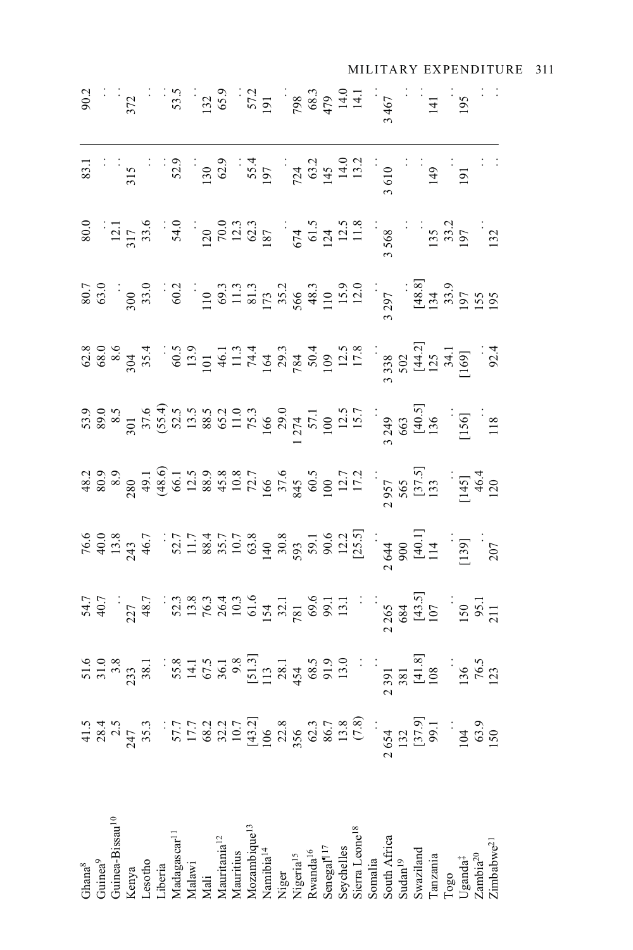| Guinea-Bissau <sup>10</sup><br>Kenya<br>Lesotho<br>Madagascar <sup>11</sup><br>Malini<br>Maliniai <sup>12</sup><br>Mauritania <sup>12</sup><br>Mauritania <sup>12</sup><br>Mauritania <sup>12</sup><br>Mamibia <sup>14</sup><br>Nigerra<br>Nigerra<br>Nigerra<br>Seveelles<br>Seveelles<br>Seveelles<br>Sevenalia<br>Sounalia<br>Sounali<br>$\begin{array}{ll} \text{Togo} \\ \text{Uganda}^\ddagger \\ \text{Zambia}^{20} \\ \text{Zimbabwe}^{21} \end{array}$ | 1999 - 1999 - 1999 - 1999 - 1999 - 1999 - 1999 - 1999 - 1999 - 1999 - 1999 - 1999 - 1999 - 1999 - 1999 - 1999<br>1999 - 1999 - 1999 - 1999 - 1999 - 1999 - 1999 - 1999 - 1999 - 1999 - 1999 - 1999 - 1999 - 1999 - 1999 - 1999<br>1 |  |  |  |                                                                                                                                                                                                                                                                                                                                                      |
|-----------------------------------------------------------------------------------------------------------------------------------------------------------------------------------------------------------------------------------------------------------------------------------------------------------------------------------------------------------------------------------------------------------------------------------------------------------------|-------------------------------------------------------------------------------------------------------------------------------------------------------------------------------------------------------------------------------------|--|--|--|------------------------------------------------------------------------------------------------------------------------------------------------------------------------------------------------------------------------------------------------------------------------------------------------------------------------------------------------------|
|                                                                                                                                                                                                                                                                                                                                                                                                                                                                 |                                                                                                                                                                                                                                     |  |  |  |                                                                                                                                                                                                                                                                                                                                                      |
|                                                                                                                                                                                                                                                                                                                                                                                                                                                                 |                                                                                                                                                                                                                                     |  |  |  | $\frac{3}{2}$<br>$\frac{3}{2}$<br>$\frac{3}{2}$<br>$\frac{3}{2}$<br>$\frac{3}{2}$<br>$\frac{3}{2}$<br>$\frac{3}{2}$<br>$\frac{3}{2}$<br>$\frac{3}{2}$<br>$\frac{3}{2}$<br>$\frac{3}{2}$<br>$\frac{3}{2}$<br>$\frac{3}{2}$<br>$\frac{3}{2}$<br>$\frac{3}{2}$<br>$\frac{3}{2}$<br>$\frac{3}{2}$<br>$\frac{3}{2}$<br>$\frac{3}{2}$<br>$\frac{3}{2}$<br> |
|                                                                                                                                                                                                                                                                                                                                                                                                                                                                 |                                                                                                                                                                                                                                     |  |  |  |                                                                                                                                                                                                                                                                                                                                                      |
|                                                                                                                                                                                                                                                                                                                                                                                                                                                                 |                                                                                                                                                                                                                                     |  |  |  |                                                                                                                                                                                                                                                                                                                                                      |
|                                                                                                                                                                                                                                                                                                                                                                                                                                                                 |                                                                                                                                                                                                                                     |  |  |  |                                                                                                                                                                                                                                                                                                                                                      |
|                                                                                                                                                                                                                                                                                                                                                                                                                                                                 |                                                                                                                                                                                                                                     |  |  |  |                                                                                                                                                                                                                                                                                                                                                      |
|                                                                                                                                                                                                                                                                                                                                                                                                                                                                 |                                                                                                                                                                                                                                     |  |  |  |                                                                                                                                                                                                                                                                                                                                                      |
|                                                                                                                                                                                                                                                                                                                                                                                                                                                                 |                                                                                                                                                                                                                                     |  |  |  |                                                                                                                                                                                                                                                                                                                                                      |
|                                                                                                                                                                                                                                                                                                                                                                                                                                                                 |                                                                                                                                                                                                                                     |  |  |  |                                                                                                                                                                                                                                                                                                                                                      |
|                                                                                                                                                                                                                                                                                                                                                                                                                                                                 |                                                                                                                                                                                                                                     |  |  |  |                                                                                                                                                                                                                                                                                                                                                      |
|                                                                                                                                                                                                                                                                                                                                                                                                                                                                 |                                                                                                                                                                                                                                     |  |  |  |                                                                                                                                                                                                                                                                                                                                                      |
|                                                                                                                                                                                                                                                                                                                                                                                                                                                                 |                                                                                                                                                                                                                                     |  |  |  |                                                                                                                                                                                                                                                                                                                                                      |
|                                                                                                                                                                                                                                                                                                                                                                                                                                                                 |                                                                                                                                                                                                                                     |  |  |  |                                                                                                                                                                                                                                                                                                                                                      |
|                                                                                                                                                                                                                                                                                                                                                                                                                                                                 |                                                                                                                                                                                                                                     |  |  |  |                                                                                                                                                                                                                                                                                                                                                      |
|                                                                                                                                                                                                                                                                                                                                                                                                                                                                 |                                                                                                                                                                                                                                     |  |  |  |                                                                                                                                                                                                                                                                                                                                                      |
|                                                                                                                                                                                                                                                                                                                                                                                                                                                                 |                                                                                                                                                                                                                                     |  |  |  |                                                                                                                                                                                                                                                                                                                                                      |
|                                                                                                                                                                                                                                                                                                                                                                                                                                                                 |                                                                                                                                                                                                                                     |  |  |  |                                                                                                                                                                                                                                                                                                                                                      |
|                                                                                                                                                                                                                                                                                                                                                                                                                                                                 |                                                                                                                                                                                                                                     |  |  |  |                                                                                                                                                                                                                                                                                                                                                      |
|                                                                                                                                                                                                                                                                                                                                                                                                                                                                 |                                                                                                                                                                                                                                     |  |  |  |                                                                                                                                                                                                                                                                                                                                                      |
|                                                                                                                                                                                                                                                                                                                                                                                                                                                                 |                                                                                                                                                                                                                                     |  |  |  |                                                                                                                                                                                                                                                                                                                                                      |
|                                                                                                                                                                                                                                                                                                                                                                                                                                                                 |                                                                                                                                                                                                                                     |  |  |  |                                                                                                                                                                                                                                                                                                                                                      |
|                                                                                                                                                                                                                                                                                                                                                                                                                                                                 |                                                                                                                                                                                                                                     |  |  |  |                                                                                                                                                                                                                                                                                                                                                      |
|                                                                                                                                                                                                                                                                                                                                                                                                                                                                 |                                                                                                                                                                                                                                     |  |  |  |                                                                                                                                                                                                                                                                                                                                                      |
|                                                                                                                                                                                                                                                                                                                                                                                                                                                                 |                                                                                                                                                                                                                                     |  |  |  |                                                                                                                                                                                                                                                                                                                                                      |
|                                                                                                                                                                                                                                                                                                                                                                                                                                                                 |                                                                                                                                                                                                                                     |  |  |  |                                                                                                                                                                                                                                                                                                                                                      |
|                                                                                                                                                                                                                                                                                                                                                                                                                                                                 |                                                                                                                                                                                                                                     |  |  |  |                                                                                                                                                                                                                                                                                                                                                      |
|                                                                                                                                                                                                                                                                                                                                                                                                                                                                 |                                                                                                                                                                                                                                     |  |  |  |                                                                                                                                                                                                                                                                                                                                                      |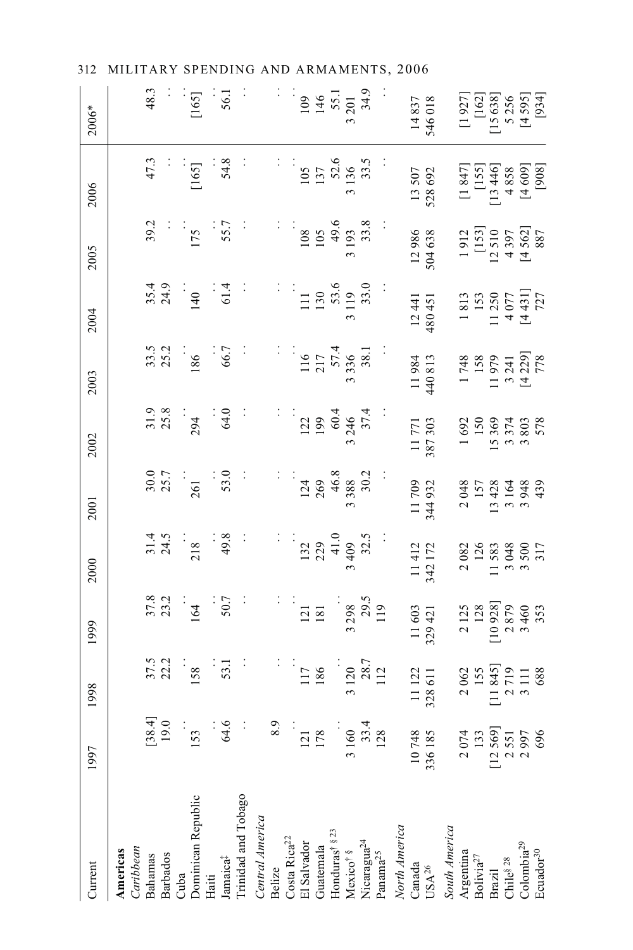312 MILITARY SPENDING AND ARMAMENTS, 2006

| Current                                                                                                   | 1997                                                                    | 1998                                                                                                   | 1999                                                           | 2000                                                                            | 2001                                          | 2002                                                                               | 2003                                                                             | 2004                                                                           | 2005                                                                                             | 2006                                                                                                              | 2006*                                                                                                                                                                                                                                                                                                                                                         |
|-----------------------------------------------------------------------------------------------------------|-------------------------------------------------------------------------|--------------------------------------------------------------------------------------------------------|----------------------------------------------------------------|---------------------------------------------------------------------------------|-----------------------------------------------|------------------------------------------------------------------------------------|----------------------------------------------------------------------------------|--------------------------------------------------------------------------------|--------------------------------------------------------------------------------------------------|-------------------------------------------------------------------------------------------------------------------|---------------------------------------------------------------------------------------------------------------------------------------------------------------------------------------------------------------------------------------------------------------------------------------------------------------------------------------------------------------|
| Caribbean<br>Americas                                                                                     |                                                                         |                                                                                                        |                                                                |                                                                                 |                                               |                                                                                    |                                                                                  |                                                                                |                                                                                                  |                                                                                                                   |                                                                                                                                                                                                                                                                                                                                                               |
| Bahamas                                                                                                   |                                                                         |                                                                                                        |                                                                |                                                                                 |                                               |                                                                                    |                                                                                  |                                                                                |                                                                                                  |                                                                                                                   |                                                                                                                                                                                                                                                                                                                                                               |
| <b>Barbados</b>                                                                                           | $\begin{bmatrix} 38.4 \\ 19.0 \\ \end{bmatrix}$                         |                                                                                                        |                                                                |                                                                                 |                                               |                                                                                    |                                                                                  |                                                                                |                                                                                                  |                                                                                                                   |                                                                                                                                                                                                                                                                                                                                                               |
| Cuba                                                                                                      |                                                                         |                                                                                                        |                                                                |                                                                                 |                                               |                                                                                    |                                                                                  |                                                                                |                                                                                                  |                                                                                                                   |                                                                                                                                                                                                                                                                                                                                                               |
| Dominican Republic                                                                                        | 153                                                                     | $37.5$<br>$12.3$<br>$158$<br>$53.1$                                                                    | $37.8$<br>$23.2$<br>$164$<br>$50.7$                            | $31.4$<br>$24.5$<br>$21.8$<br>$49.8$                                            | $30.0$<br>$25.7$<br>$261$<br>$53.0$           | $31.9$<br>$294$<br>$64.0$<br>$64.0$                                                | $33.5$<br>$25.2$<br>$186$<br>$56.7$                                              | $354$<br>$34$<br>$19$<br>$10$<br>$10$<br>$10$<br>$10$<br>$10$                  | $39.2$<br>$175$<br>$55.7$                                                                        | $47.3$<br>$1.65$<br>$1.65$<br>$54.8$<br>$54.8$                                                                    | $483$<br>$[165]$<br>$56.1$                                                                                                                                                                                                                                                                                                                                    |
| Haiti                                                                                                     |                                                                         |                                                                                                        |                                                                |                                                                                 |                                               |                                                                                    |                                                                                  |                                                                                |                                                                                                  |                                                                                                                   |                                                                                                                                                                                                                                                                                                                                                               |
| Jamaica <sup>‡</sup>                                                                                      | 64.6                                                                    |                                                                                                        |                                                                |                                                                                 |                                               |                                                                                    |                                                                                  |                                                                                |                                                                                                  |                                                                                                                   |                                                                                                                                                                                                                                                                                                                                                               |
| Trinidad and Tobago                                                                                       |                                                                         |                                                                                                        |                                                                |                                                                                 |                                               |                                                                                    |                                                                                  |                                                                                |                                                                                                  |                                                                                                                   |                                                                                                                                                                                                                                                                                                                                                               |
| Central America                                                                                           |                                                                         |                                                                                                        |                                                                |                                                                                 |                                               |                                                                                    |                                                                                  |                                                                                |                                                                                                  |                                                                                                                   |                                                                                                                                                                                                                                                                                                                                                               |
|                                                                                                           | ∞ं                                                                      |                                                                                                        |                                                                |                                                                                 |                                               |                                                                                    |                                                                                  |                                                                                |                                                                                                  |                                                                                                                   |                                                                                                                                                                                                                                                                                                                                                               |
|                                                                                                           |                                                                         |                                                                                                        |                                                                |                                                                                 |                                               |                                                                                    |                                                                                  |                                                                                |                                                                                                  |                                                                                                                   |                                                                                                                                                                                                                                                                                                                                                               |
|                                                                                                           | 121                                                                     |                                                                                                        |                                                                |                                                                                 |                                               |                                                                                    |                                                                                  |                                                                                |                                                                                                  |                                                                                                                   |                                                                                                                                                                                                                                                                                                                                                               |
| Belize<br>Costa Rica <sup>22</sup><br>El Salvador<br>Guatemala<br>Guatemala<br>Honduras <sup>† § 23</sup> | 178                                                                     |                                                                                                        |                                                                |                                                                                 |                                               |                                                                                    | $\frac{116}{117}$<br>$\frac{217}{574}$<br>$\frac{574}{380}$<br>$\frac{381}{381}$ |                                                                                |                                                                                                  | $\frac{105}{137}$<br>$\frac{52}{52.6}$                                                                            | $109$<br>146<br>146<br>55.1<br>3201                                                                                                                                                                                                                                                                                                                           |
|                                                                                                           |                                                                         |                                                                                                        |                                                                |                                                                                 |                                               |                                                                                    |                                                                                  |                                                                                |                                                                                                  |                                                                                                                   |                                                                                                                                                                                                                                                                                                                                                               |
|                                                                                                           |                                                                         |                                                                                                        |                                                                |                                                                                 |                                               |                                                                                    |                                                                                  |                                                                                |                                                                                                  |                                                                                                                   |                                                                                                                                                                                                                                                                                                                                                               |
| $\begin{array}{l} \rm{Mexico}^{\dagger\; \$}\\ \rm{Nicaragua}^{24} \end{array}$                           |                                                                         |                                                                                                        |                                                                |                                                                                 |                                               |                                                                                    |                                                                                  |                                                                                |                                                                                                  |                                                                                                                   |                                                                                                                                                                                                                                                                                                                                                               |
| Panama <sup>25</sup>                                                                                      | $3160$<br>$33.4$<br>$128$                                               | $\frac{117}{186}$<br>$\frac{186}{28.7}$                                                                | $\frac{121}{181}$<br>$\frac{121}{3298}$<br>$\frac{3295}{29.5}$ | $132$<br>$229$<br>$41.0$<br>$3409$<br>$32.5$                                    | $124$<br>$269$<br>$46.8$<br>$3.388$<br>$3.02$ | $\frac{122}{199}$<br>$\frac{123}{374}$<br>$\frac{346}{374}$                        |                                                                                  | $\frac{111}{130}$<br>$\frac{130}{319}$<br>$\frac{330}{330}$                    | $\frac{108}{105}$<br>105<br>49.6<br>3 193                                                        |                                                                                                                   |                                                                                                                                                                                                                                                                                                                                                               |
| North America                                                                                             |                                                                         |                                                                                                        |                                                                |                                                                                 |                                               |                                                                                    |                                                                                  |                                                                                |                                                                                                  |                                                                                                                   |                                                                                                                                                                                                                                                                                                                                                               |
| Canada<br>USA<br>26                                                                                       | 10748<br>336185                                                         |                                                                                                        |                                                                | 11412<br>342 172                                                                |                                               |                                                                                    | 11984<br>440813                                                                  |                                                                                | 12 986<br>504 638                                                                                |                                                                                                                   |                                                                                                                                                                                                                                                                                                                                                               |
|                                                                                                           |                                                                         | 11 122<br>328 611                                                                                      | 11603<br>329 421                                               |                                                                                 | 709<br>932<br>$\frac{11}{34}$                 | 11771<br>387303                                                                    |                                                                                  | 12441<br>480451                                                                |                                                                                                  | 13507<br>528692                                                                                                   | 14837<br>546018                                                                                                                                                                                                                                                                                                                                               |
| South America                                                                                             |                                                                         |                                                                                                        |                                                                |                                                                                 |                                               |                                                                                    |                                                                                  |                                                                                |                                                                                                  |                                                                                                                   |                                                                                                                                                                                                                                                                                                                                                               |
|                                                                                                           |                                                                         |                                                                                                        |                                                                |                                                                                 |                                               |                                                                                    |                                                                                  |                                                                                |                                                                                                  |                                                                                                                   |                                                                                                                                                                                                                                                                                                                                                               |
| Argentina<br>Bolivia $^{27}$                                                                              | $\begin{array}{r} 2.074 \\ 133 \\ 133 \\ 2.551 \\ 2.551 \\ \end{array}$ |                                                                                                        |                                                                |                                                                                 |                                               |                                                                                    |                                                                                  |                                                                                |                                                                                                  |                                                                                                                   |                                                                                                                                                                                                                                                                                                                                                               |
| Brazil                                                                                                    |                                                                         |                                                                                                        |                                                                |                                                                                 |                                               |                                                                                    |                                                                                  |                                                                                |                                                                                                  |                                                                                                                   |                                                                                                                                                                                                                                                                                                                                                               |
| Chile <sup>828</sup>                                                                                      |                                                                         |                                                                                                        |                                                                |                                                                                 |                                               |                                                                                    |                                                                                  |                                                                                |                                                                                                  |                                                                                                                   |                                                                                                                                                                                                                                                                                                                                                               |
| Colombia <sup>29</sup>                                                                                    |                                                                         | $\begin{array}{r} 2\ 062 \\ 155 \\ 1545 \\ 2\ 719 \\ 3\ 111 \\ 3\ 111 \\ 3\ 111 \\ 508 \\ \end{array}$ | 2 125<br>128<br>12 928<br>13 460<br>13 353                     | $\begin{array}{r} 2.082 \\ 126 \\ 11.583 \\ 3.048 \\ 3.500 \\ 3.17 \end{array}$ | 2 048<br>157<br>13 428<br>13 438<br>3 439     | $\begin{array}{r} 1\ 692 \\ 150 \\ 150 \\ 15369 \\ 374 \\ 3803 \\ 578 \end{array}$ |                                                                                  | $\begin{array}{r} 1813 \\ 153 \\ 11250 \\ 4077 \\ 4311 \\ 4311 \\ \end{array}$ | $\begin{array}{r} 1\ 912 \\ 1\ 153 \\ 1\ 2\ 510 \\ 4\ 397 \\ 4\ 562 \\ 1\ 4\ 887 \\ \end{array}$ |                                                                                                                   |                                                                                                                                                                                                                                                                                                                                                               |
| Ecuador <sup>30</sup>                                                                                     | 696                                                                     |                                                                                                        |                                                                |                                                                                 |                                               |                                                                                    | $\begin{array}{r} 1748 \\ 158 \\ 158 \\ 11979 \\ 3241 \\ 429 \\ 778 \end{array}$ |                                                                                |                                                                                                  | $\begin{bmatrix} 1 & 847 \\ 155 \\ 155 \\ 13 & 446 \\ 4 & 858 \\ 4 & 609 \\ 14 & 609 \\ 1 & 608 \\ \end{bmatrix}$ | $[1\ 927] \atop [162] \phantom{00} [162] \atop [15\ 638] \phantom{00} \phantom{00} [162] \atop [15\ 638] \phantom{00} [162] \atop [162] \phantom{0} [163] \atop [163] \phantom{0} [16] \atop [16] \phantom{0} [16] \atop [16] \phantom{0} [16] \atop [16] \phantom{0} [16] \atop [16] \phantom{0} [16] \atop [16] \phantom{0} [16] \atop [16] \phantom{0} [1$ |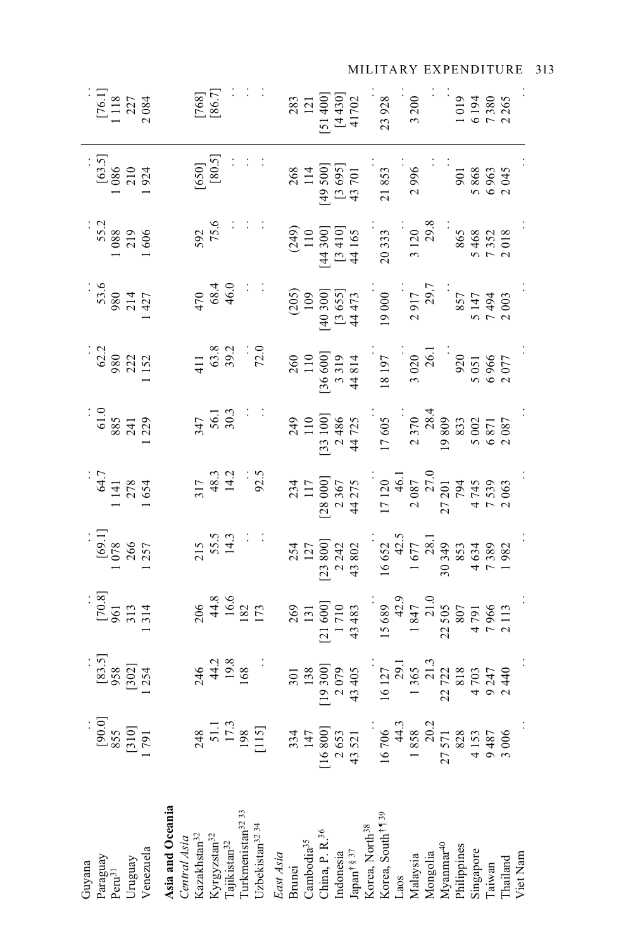| $\begin{array}{c} [76.1] \\ 1 \ 118 \\ 2 \ 27 \\ 2 \ 084 \end{array}$ | $\begin{bmatrix} 768 \\ 86.7 \end{bmatrix}$                                                                                                                     | $[51400]$<br>$[121]$<br>$[4430]$<br>$[4430]$<br>$41702$                                                                                                                                                                                                                                                             | 3 200<br>23928                                                                                                                                                                                                                                                                                                     | 1019<br>6194<br>7380<br>2265                                                       |
|-----------------------------------------------------------------------|-----------------------------------------------------------------------------------------------------------------------------------------------------------------|---------------------------------------------------------------------------------------------------------------------------------------------------------------------------------------------------------------------------------------------------------------------------------------------------------------------|--------------------------------------------------------------------------------------------------------------------------------------------------------------------------------------------------------------------------------------------------------------------------------------------------------------------|------------------------------------------------------------------------------------|
| $\begin{array}{r} [63.5] \\ 1\,086 \\ 2\,10 \\ 1\,924 \end{array}$    | $[650]$<br>$[80.5]$<br>$\therefore$                                                                                                                             | 268<br>114<br>149 500]<br>[3 695]<br>43 701                                                                                                                                                                                                                                                                         | 2996<br>21853                                                                                                                                                                                                                                                                                                      | $\frac{363}{301}$<br>$\frac{863}{5000}$                                            |
| $\begin{array}{r} 55.2 \\ 1088 \\ 219 \\ 1606 \end{array}$            | $592$<br>75.6                                                                                                                                                   | $[100\n110\n110\n[14,300]\n[3,410]\n44,165$                                                                                                                                                                                                                                                                         | $3120$<br>$29.8$<br>20333                                                                                                                                                                                                                                                                                          | $865$<br>5468<br>5468<br>7352<br>7018                                              |
| $\begin{array}{r} 53.6 \\ 980 \\ 214 \\ 1427 \end{array}$             | $470$<br>68.4<br>46.0                                                                                                                                           | $[40\ 300]$ $[3\ 655]$ $[40\ 300]$ $[3\ 655]$                                                                                                                                                                                                                                                                       | $\begin{array}{c} 19\ 0000\\ 2\ 917\\ 2\ 917\\ 857\\ 857\\ 7\ 494\\ 7\ 494\\ 7\ 494\\ 2\ 003 \end{array}.$                                                                                                                                                                                                         |                                                                                    |
| $\frac{62.2}{980}$<br>980<br>1152                                     | 411<br>63.8<br>39.2<br>72.0                                                                                                                                     | 260<br>110<br>136 600]<br>3 319<br>3 319<br>44 814                                                                                                                                                                                                                                                                  | $18197$<br>$3020$<br>$26.1$<br>$5020$<br>$5051$<br>$5051$<br>$6966$<br>$2077$                                                                                                                                                                                                                                      |                                                                                    |
| $\frac{61.0}{885}$<br>$\frac{241}{129}$                               | $\frac{347}{56.1}$                                                                                                                                              | 249<br>110<br>13 100]<br>2 486<br>4 725<br>4 725                                                                                                                                                                                                                                                                    | $\begin{array}{r} 17\ 605 \\ 2\ 370 \\ 2\ 809 \\ 19\ 809 \\ 5\ 002 \\ 6\ 871 \\ 6\ 871 \\ 6\ 871 \\ 6\ 871 \\ 2\ 087 \end{array}$                                                                                                                                                                                  |                                                                                    |
| $64.7$<br>1 141<br>1 278<br>1 654                                     | $317$<br>48.3<br>14.2<br>14.2<br>92.5                                                                                                                           | $\begin{array}{r} 234 \\ 117 \\ 117 \\ 28 000 \\ 2367 \\ 44 275 \end{array}$                                                                                                                                                                                                                                        | 17120<br>$2087$<br>$2087$<br>$27201$<br>$794$<br>$7745$<br>$7745$<br>$7745$<br>$7745$<br>$7745$                                                                                                                                                                                                                    |                                                                                    |
| $\begin{array}{c} [69.1] \\ 1078 \\ 266 \\ 1257 \end{array}$          | 215<br>55.5<br>14.3                                                                                                                                             | $254$ $127$ $127$ $23800$ $243802$                                                                                                                                                                                                                                                                                  | $\begin{array}{r}16\,652\\16\,652\\42.5\\1\,677\\2\,81\\30\,349\\4\,634\\7\,389\\1\,982\\1\,982\\1\,982\\1\,982\\1\,982\\1\,982\\1\,982\\1\,982\\1\,982\\1\,982\\1\,982\\1\,982\\1\,982\\1\,982\\1\,982\\1\,982\\1\,982\\1\,982\\1\,982\\1\,982\\1\,982\\1\,982\\1\,$                                              |                                                                                    |
| $\begin{array}{c} 1.70.81 \\ 561 \\ 313 \\ 1314 \end{array}$          | 206<br>44.8<br>16.6<br>182<br>173                                                                                                                               | 269<br>131<br>[21 600]<br>1710<br>13 483                                                                                                                                                                                                                                                                            | $\begin{array}{r} 15\,689\\ 15\,689\\ 42.9\\ 1\,847\\ 21.0\\ 22\,505\\ 4\,791\\ 7\,966\\ 7\,966\\ 2\,113\\ 2\end{array}$                                                                                                                                                                                           |                                                                                    |
| $\begin{array}{c} [83.5] \\ 958 \\ [302] \\ 1.254 \end{array}$        | $246$<br>$44.2$<br>$19.8$<br>$168$                                                                                                                              | $\begin{array}{c} 301 \\ 138 \\ 19 \\ 207 \\ 43 \\ 43 \end{array}$                                                                                                                                                                                                                                                  | $\begin{array}{r} 16 & 127 \\ 16 & 127 \\ 13 & 65 \\ 13 & 65 \\ 22 & 722 \\ 23 & 813 \\ 4 & 9 & 247 \\ 9 & 2440 \\ 2 & 0 & 240 \\ 2 & 0 & 240 \\ 2 & 0 & 240 \\ 2 & 0 & 240 \\ 2 & 0 & 240 \\ 2 & 0 & 240 \\ 2 & 0 & 240 \\ 2 & 0 & 240 \\ 2 & 0 & 240 \\ 2 & 0 & 240 \\ 2 & 0 & 240 \\ 2 & 0 & 240 \\ 2 & 0 & 24$ |                                                                                    |
| $\begin{bmatrix} 90.0 \\ 855 \\ 1310 \\ 1 \end{bmatrix}$              | $\begin{array}{c} 248 \\ 51.1 \\ 17.3 \\ 198 \\ 1115 \end{array}$                                                                                               | $[16800]$ $[16800]$ $[16800]$ $[16800]$ $43521$                                                                                                                                                                                                                                                                     | $\begin{array}{c} 16\ 706 \\ 44.3 \\ 1858 \end{array}$                                                                                                                                                                                                                                                             | $\begin{array}{r} 20.2 \\ 27.571 \\ 828 \\ 4.153 \\ 9.487 \\ 3.006 \\ \end{array}$ |
| Uruguay<br>Venezuela<br>Paraguay<br>Guyana<br>Peru <sup>31</sup>      | <b>Asia and Oceania</b><br>Central Asia<br>Kazakhstan <sup>32</sup><br>Kyrgyzstan $^{32}$ Tajikistan $^{32}$ Turkmenistan $^{32}$ 33 Uzbekistan $^{32}$ $^{33}$ | East Asia<br>Brunei<br>Cambodia <sup>35</sup><br>China, P. R. <sup>36</sup><br>Indonesia<br>Mapan <sup>t § 37</sup><br>Korea, North <sup>38</sup><br>Korea, South <sup>† 39</sup><br>Laos<br>Malaysia<br>Mongolia<br>Mongolia<br>Mongolia<br>Mongolia<br>Mongolia<br>Mongolia<br>Mongolia<br>Mongolia<br>Milippines |                                                                                                                                                                                                                                                                                                                    | Viet Nam                                                                           |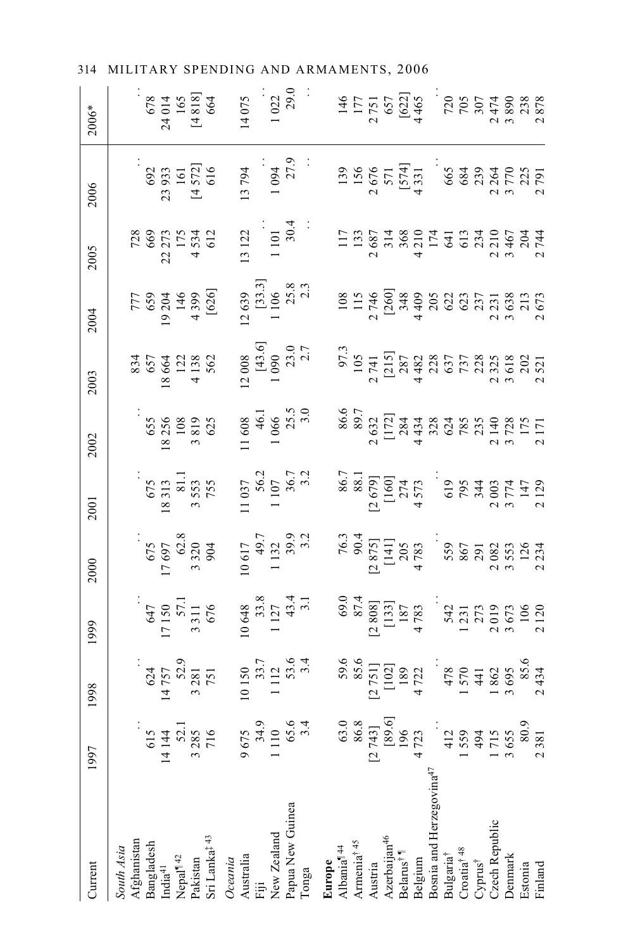| Current                              | 1997                                          | 1998                                                                    | 1999                                                                | 2000                                                                                                                                                                                                                                                                                                                                  | 2001                                                                                                                                                                                                                                                                                                    | 2002                                                              | 2003                                       | 2004                                                                     | 2005                                                                      | 2006                                                                                                                     | $2006*$                                      |
|--------------------------------------|-----------------------------------------------|-------------------------------------------------------------------------|---------------------------------------------------------------------|---------------------------------------------------------------------------------------------------------------------------------------------------------------------------------------------------------------------------------------------------------------------------------------------------------------------------------------|---------------------------------------------------------------------------------------------------------------------------------------------------------------------------------------------------------------------------------------------------------------------------------------------------------|-------------------------------------------------------------------|--------------------------------------------|--------------------------------------------------------------------------|---------------------------------------------------------------------------|--------------------------------------------------------------------------------------------------------------------------|----------------------------------------------|
| Afghanistan<br>South Asia            |                                               |                                                                         |                                                                     |                                                                                                                                                                                                                                                                                                                                       |                                                                                                                                                                                                                                                                                                         |                                                                   |                                            |                                                                          |                                                                           |                                                                                                                          |                                              |
|                                      |                                               |                                                                         |                                                                     |                                                                                                                                                                                                                                                                                                                                       |                                                                                                                                                                                                                                                                                                         |                                                                   |                                            |                                                                          |                                                                           |                                                                                                                          |                                              |
| Bangladesh                           | 615                                           |                                                                         |                                                                     |                                                                                                                                                                                                                                                                                                                                       |                                                                                                                                                                                                                                                                                                         |                                                                   |                                            |                                                                          |                                                                           |                                                                                                                          |                                              |
| india <sup>41</sup>                  | 14144                                         |                                                                         |                                                                     |                                                                                                                                                                                                                                                                                                                                       |                                                                                                                                                                                                                                                                                                         |                                                                   |                                            |                                                                          |                                                                           |                                                                                                                          |                                              |
|                                      |                                               |                                                                         |                                                                     |                                                                                                                                                                                                                                                                                                                                       |                                                                                                                                                                                                                                                                                                         |                                                                   |                                            |                                                                          |                                                                           |                                                                                                                          |                                              |
| Nepal <sup>¶42</sup><br>Pakistan     | $3285$<br>$716$                               |                                                                         |                                                                     |                                                                                                                                                                                                                                                                                                                                       |                                                                                                                                                                                                                                                                                                         |                                                                   |                                            |                                                                          |                                                                           |                                                                                                                          |                                              |
| Sri Lanka‡ <sup>43</sup>             | 716                                           | $\begin{array}{r} 624 \\ 14757 \\ 52.9 \\ 3.281 \\ 751 \end{array}$     | $647$<br>17 150<br>17 150<br>57.1<br>57.1<br>3 3 11                 | $\begin{array}{r} .75 \\ 675 \\ 17697 \\ 62.8 \\ 3320 \\ 3320 \end{array}$                                                                                                                                                                                                                                                            | $\begin{array}{r} .75 \\ 18313 \\ 811 \\ 81.1 \\ 3553 \\ 755 \end{array}$                                                                                                                                                                                                                               | $\begin{array}{r} 655 \\ 18256 \\ 108 \\ 3819 \\ 625 \end{array}$ | 834<br>657<br>18 664<br>13 362<br>4 13 862 | 777<br>659<br>659<br>146<br>14399<br>4396]                               | $728\n669\n22 273\n175\n4 534\n612$                                       | $692$<br>23 933<br>161<br>14 572]<br>4 616                                                                               | $678$<br>24 014<br>165<br>14 818]<br>[4 818] |
| Oceania                              |                                               |                                                                         |                                                                     |                                                                                                                                                                                                                                                                                                                                       |                                                                                                                                                                                                                                                                                                         |                                                                   |                                            |                                                                          |                                                                           |                                                                                                                          |                                              |
| Australia                            | 9675                                          |                                                                         |                                                                     |                                                                                                                                                                                                                                                                                                                                       |                                                                                                                                                                                                                                                                                                         |                                                                   |                                            |                                                                          |                                                                           |                                                                                                                          |                                              |
|                                      |                                               |                                                                         |                                                                     |                                                                                                                                                                                                                                                                                                                                       |                                                                                                                                                                                                                                                                                                         |                                                                   |                                            |                                                                          |                                                                           |                                                                                                                          |                                              |
| New Zealand                          |                                               |                                                                         |                                                                     |                                                                                                                                                                                                                                                                                                                                       |                                                                                                                                                                                                                                                                                                         |                                                                   |                                            |                                                                          |                                                                           |                                                                                                                          | $14075$<br>$1022$<br>$29.0$                  |
| apua New Guinea                      |                                               |                                                                         |                                                                     |                                                                                                                                                                                                                                                                                                                                       |                                                                                                                                                                                                                                                                                                         |                                                                   |                                            |                                                                          |                                                                           |                                                                                                                          |                                              |
| longa                                | 34.9<br>1 110<br>65.6<br>3.4                  | $\begin{array}{c} 10\,150 \\ 33.7 \\ 1\,112 \\ 53.6 \\ 3.4 \end{array}$ | $\begin{array}{r} 10\,648 \\ 33.8 \\ 1\,127 \\ 43.4 \\ \end{array}$ | $\begin{array}{c} 10\ 617 \\ 49.7 \\ 1\ 132 \\ 39.9 \\ 3.2 \end{array}$                                                                                                                                                                                                                                                               | $\begin{array}{c} 11\ 037 \\ 56.2 \\ 1\ 107 \\ 36.7 \\ 36.7 \end{array}$                                                                                                                                                                                                                                | 11 608<br>46.1<br>1 066<br>1 25.5<br>25.5                         | 12 008<br>[43.6]<br>1 090<br>23.0<br>2.7   | $\begin{bmatrix} 12\ 639 \\ 133.3 \end{bmatrix}$<br>1 106<br>25.8<br>2.3 | $\begin{array}{c} 13 \ 122 \\ \ 1 \ 101 \\ \ 30.4 \\ \end{array} \quad .$ | $\begin{array}{c} 13\ 794 \\ 1\ 094 \\ 27.9 \end{array}$                                                                 |                                              |
| Europe                               |                                               |                                                                         |                                                                     |                                                                                                                                                                                                                                                                                                                                       |                                                                                                                                                                                                                                                                                                         |                                                                   |                                            |                                                                          |                                                                           |                                                                                                                          |                                              |
| Albania <sup>14</sup>                |                                               |                                                                         |                                                                     |                                                                                                                                                                                                                                                                                                                                       |                                                                                                                                                                                                                                                                                                         |                                                                   |                                            |                                                                          |                                                                           |                                                                                                                          |                                              |
| Armenia <sup>† 45</sup>              | $[2 743]$ $[2 743]$ $[89.6]$ $[89.6]$ $4 723$ |                                                                         |                                                                     |                                                                                                                                                                                                                                                                                                                                       |                                                                                                                                                                                                                                                                                                         |                                                                   |                                            |                                                                          |                                                                           |                                                                                                                          |                                              |
| Austria                              |                                               |                                                                         |                                                                     |                                                                                                                                                                                                                                                                                                                                       |                                                                                                                                                                                                                                                                                                         |                                                                   |                                            |                                                                          |                                                                           |                                                                                                                          |                                              |
| Azerbaijan <sup>46</sup>             |                                               |                                                                         |                                                                     |                                                                                                                                                                                                                                                                                                                                       |                                                                                                                                                                                                                                                                                                         |                                                                   |                                            |                                                                          |                                                                           |                                                                                                                          |                                              |
| 3elarus†1                            |                                               |                                                                         |                                                                     |                                                                                                                                                                                                                                                                                                                                       |                                                                                                                                                                                                                                                                                                         |                                                                   |                                            |                                                                          |                                                                           |                                                                                                                          |                                              |
| Belgium                              | 4723                                          |                                                                         |                                                                     |                                                                                                                                                                                                                                                                                                                                       |                                                                                                                                                                                                                                                                                                         |                                                                   |                                            |                                                                          |                                                                           |                                                                                                                          |                                              |
| Bosnia and Herzegovina <sup>47</sup> |                                               |                                                                         |                                                                     |                                                                                                                                                                                                                                                                                                                                       |                                                                                                                                                                                                                                                                                                         |                                                                   |                                            |                                                                          |                                                                           |                                                                                                                          |                                              |
| <sup>3</sup> ulgaria <sup>†</sup>    |                                               |                                                                         |                                                                     |                                                                                                                                                                                                                                                                                                                                       |                                                                                                                                                                                                                                                                                                         |                                                                   |                                            |                                                                          |                                                                           |                                                                                                                          |                                              |
| Croatia <sup>†48</sup>               | 412<br>1559                                   |                                                                         |                                                                     |                                                                                                                                                                                                                                                                                                                                       |                                                                                                                                                                                                                                                                                                         |                                                                   |                                            |                                                                          |                                                                           |                                                                                                                          |                                              |
| Cyprus <sup>†</sup>                  |                                               |                                                                         |                                                                     |                                                                                                                                                                                                                                                                                                                                       |                                                                                                                                                                                                                                                                                                         |                                                                   |                                            |                                                                          |                                                                           |                                                                                                                          |                                              |
| Czech Republic                       | 494<br>1715<br>3655                           |                                                                         |                                                                     |                                                                                                                                                                                                                                                                                                                                       |                                                                                                                                                                                                                                                                                                         |                                                                   |                                            |                                                                          |                                                                           |                                                                                                                          |                                              |
| <b>Denmark</b>                       |                                               |                                                                         |                                                                     |                                                                                                                                                                                                                                                                                                                                       |                                                                                                                                                                                                                                                                                                         |                                                                   |                                            |                                                                          |                                                                           |                                                                                                                          |                                              |
| Estonia                              |                                               |                                                                         |                                                                     | $\begin{array}{r} 76.3 \\ 76.3 \\ 90.4 \\ 20.5 \\ 20.4 \\ 14.1 \\ 20.5 \\ 30.5 \\ 4 \\ 5.5 \\ 9 \\ 8.5 \\ 7.0 \\ 8.5 \\ 7.0 \\ 2.3 \\ 7.2 \\ 3.4 \\ 2.3 \\ 4 \\ 2.3 \\ 4 \\ 2.3 \\ 4 \\ 2.3 \\ 4 \\ 2.3 \\ 4 \\ 2.3 \\ 4 \\ 2.3 \\ 4 \\ 2.3 \\ 4 \\ 2.3 \\ 4 \\ 2.3 \\ 4 \\ 2.3 \\ 4 \\ 2.3 \\ 4 \\ 2.3 \\ 4 \\ 2.3 \\ 4 \\ 2.3 \\ 2$ | 86,7<br>88.18,7<br>88.18,7<br>88.19<br>89.7<br>89.7<br>89.7<br>99.7<br>99.7<br>99.7<br>90.7<br>90.7<br>90.7<br>90.7<br>90.7<br>90.7<br>70.7<br>90.7<br>70.7<br>70.7<br>70.7<br>70.7<br>70.7<br>70.7<br>70.7<br>70.7<br>70.7<br>70.7<br>70.7<br>70.7<br>70.7<br>70.7<br>70.7<br>70.7<br>70.7<br>70.7<br> |                                                                   |                                            |                                                                          |                                                                           | $\begin{array}{r} 139 \\ 156 \\ 2 \ 67 \\ 571 \\ 1574 \\ 431 \\ 663 \\ 684 \\ 684 \\ 204 \\ 270 \\ 279 \\ 1 \end{array}$ |                                              |
| Finland                              | 2381                                          |                                                                         |                                                                     |                                                                                                                                                                                                                                                                                                                                       |                                                                                                                                                                                                                                                                                                         |                                                                   |                                            |                                                                          |                                                                           |                                                                                                                          |                                              |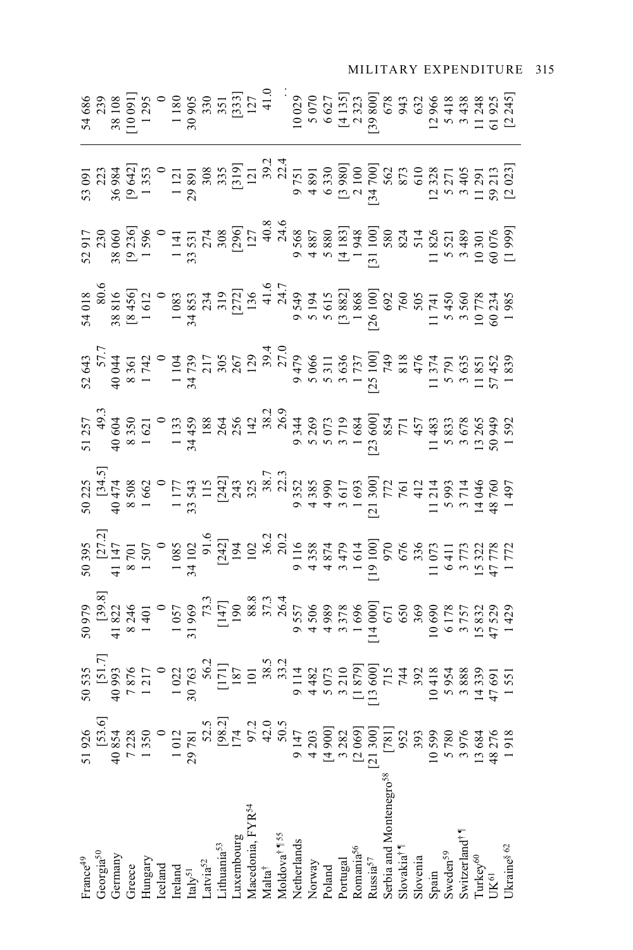#### Nalta† 42.0 38.5 37.3 38.5 37.3 38.2 38.2 39.4 41.6 41.6 40.8 40.8 40.4 41.0 Moldova† ¶ 55 50.5 33.2 26.4 20.2 22.3 26.9 27.0 24.7 24.6 22.4 . .  $3.898$   $\frac{3.898}{3.898}$   $\frac{3.898}{3.898}$   $\frac{3.898}{3.898}$   $\frac{3.898}{3.898}$   $\frac{3.898}{3.898}$   $\frac{3.898}{3.898}$   $\frac{3.898}{3.898}$   $\frac{3.898}{3.898}$   $\frac{3.898}{3.898}$   $\frac{3.898}{3.898}$   $\frac{3.898}{3.898}$   $\frac{3.898}{3.898$ Greece 7 238 7 876 8 350 8 350 8 362 8 362 8 246 8 247 8 248 8 362 8 247 8 242 8 242 8 242 8 242 8 242 8 242 8 Luxembourg 174 187 187 187 194 194 256 256 267 174 175 1879 1943 174 1879 1940 Portugal 14 13 3 3282 3 3282 1 3 3 3 3 3 3 3 3 3 3 3 3 3 3 3 3 3 4 3 3 4 3 4 3 4 3 4 3 4 3 4 3 980] [4 135] [2000 001 121 2001 121 2000 121 2000 122 2000 122 2000 122 2000 122 2000 122 2000 122 2000 132 2000 132 2000 1 Ukraine§ 1 905 [1 908 1 908 1 902 1 429 1 429 1 429 1 429 1 425 [1 9245] [2 023] [2 023] [2 023] [2 023] [2 0245] France49 51 926 50 535 50 979 50 395 50 225 51 257 52 643 54 018 52 917 53 091 54 686 Georgia<sup>50</sup> [53.6] [51.7] [51.7] [31.5] [34.5] [34.5] 57.7 57.7 80.6 230 233 Germany 40 993 864 91 828 41 920 94 424 94 424 94 422 147 148 128 14 108 044 408 944 380 945 38 108 108 108 10 Hungary 1 350 1 350 1 350 1 1 401 1 401 1 402 1 402 1 402 1 404 1 404 1 404 1 404 1 404 1 404 1 404 1 404 1 40 Iceland 0 0 0 0 0 0 0 0 0 0 0 Ireland 1 1141 1 141 1 141 1 141 1 141 1 141 1 141 1 141 1 141 1 141 1 141 1 141 1 141 1 141 1 141 1 141 1 141 Italy51 29 781 30 763 31 969 34 102 33 543 34 459 34 739 34 853 33 531 29 891 30 905 Latvia<sup>52</sup> 52.5 56.2 56.2 73.3 91.6 115 188 217 2234 274 308 309 Lithuania<sup>53</sup> | 335 | 336 | 336 | 336 | 336 | 335 | 335 | 335 | 342 | 351 | 351 | 351 | 351 | 351 | 351 | 351 | 351 | 351 | 351 | 351 | 351 | 351 | 351 | 352 | 352 | 353 | 353 | 353 | 353 | 353 | 353 | 353 | 353 | 353 | 35 Macedonia, FYR<sup>54</sup> | I21 97.2 101 101 102 325 142 142 120 136 127 121 | 121 | 127 Netherlation 1975 9 1476 9 1476 9 116 1256 9 116 116 116 9 148 9 560 9 116 9 141 9 141 9 141 9 141 9 141 9 141 الكات المكان المكان المعالمي المكان المكان المكان المكان المكان المكان المكان المكان المكان المكان المكان المك<br>المكان المكان المكان المكان المكان المكان المكان المكان المكان المكان المكان المكان المكان المكان المكان المكا Poland [4 900] 5 073 4 989 4 874 4 990 5 073 5 311 5 615 5 880 6 330 6 627 Romanias 1948 1 948 1 948 1 696 1 696 1 696 1 696 1 696 1 697 1 698 1 698 1 698 1 698 1 698 1 698 10 Serbia and Montenegro<sup>58</sup> [781] 715 715 772 970 970 749 749 594 678 592 580 580 562 678 Slovakia† ¶ 952 744 650 676 761 771 818 760 824 873 943 Slovenia 393 392 392 412 412 457 457 505 505 514 510 610 632 Spain 10 599 10 418 10 690 11 073 11 214 11 483 11 374 11 741 11 826 12 328 12 966 Sweden<sup>59</sup> 5 780 5 954 6 178 6 178 5 833 5 833 5 5 950 5 950 5 5 5 5 11 5 5 418 Switzerland† ¶ 3 976 3 888 3 757 3 773 3 714 3 678 3 635 3 560 3 489 3 405 3 438 Turkey60 13 684 13 334 884 14 339 14 046 13 326 3272 14 046 13 332 14 046 11 285 11 285 11 285 11 285 11 285 1 UK61 48 276 47 691 47 789 48760 50.09 50.090 57 452 60.024 60.076 57.31 61.925  $\begin{array}{ccccccccc} 0.91 & 0.91 & 0.91 & 0.91 & 0.91 & 0.91 & 0.91 & 0.91 & 0.91 & 0.91 & 0.91 & 0.91 & 0.91 & 0.91 & 0.91 & 0.91 & 0.91 & 0.91 & 0.91 & 0.91 & 0.91 & 0.91 & 0.91 & 0.91 & 0.91 & 0.91 & 0.91 & 0.91 & 0.91 & 0.91 & 0.91 & 0.91 & 0.91 & 0.91 & 0.91 &$  $32.77$ <br>  $43.77$ <br>  $54.77$ <br>  $64.77$ <br>  $64.77$ <br>  $64.77$ <br>  $64.77$ <br>  $64.77$ <br>  $64.77$ <br>  $64.77$ <br>  $64.77$ <br>  $64.77$ <br>  $64.77$ <br>  $64.77$ <br>  $64.77$ <br>  $64.77$ <br>  $64.77$ <br>  $64.77$ <br>  $64.77$ <br>  $64.77$ <br>  $64.77$ <br>  $64.77$ <br>  $64.77$ <br>  $64.77$ <br>  $64.7$  $\begin{array}{r} 12.2335 \\ 12.21 \\ 13.50 \\ 14.60 \\ 15.60 \\ 16.60 \\ 17.70 \\ 18.60 \\ 19.60 \\ 10.80 \\ 11.41 \\ 13.41 \\ 14.41 \\ 15.41 \\ 16.42 \\ 17.43 \\ 18.435 \\ 19.44 \\ 19.45 \\ 19.45 \\ 19.45 \\ 19.45 \\ 19.45 \\ 19.45 \\ 19.45 \\ 19.45 \\ 19.45 \\ 19.45 \\ 19.45 \\ 19.45 \\$  $\begin{array}{l} 6355 \\ 6398 \\ 9987 \\ 1021 \\ 1030 \\ 630 \\ 630 \\ 631 \\ 111 \\ 128 \\ 139 \\ 631 \\ 148 \\ 631 \\ 631 \\ 632 \\ 633 \\ 633 \\ 631 \\ 631 \\ 632 \\ 633 \\ 633 \\ 633 \\ 631 \\ 631 \\ 631 \\ 632 \\ 633 \\ 633 \\ 633 \\ 631 \\ 631 \\ 632 \\ 633 \\ 633 \\ 631 \\ 631 \\ 632 \\ 633 \\ 633 \\ 63$  $\begin{array}{r} 50000\\ 10000\\ 20000\\ 30000\\ 40000\\ 50000\\ 50000\\ 60000\\ 70000\\ 8000\\ 7000\\ 8000\\ 7000\\ 7000\\ 7000\\ 7000\\ 7000\\ 7000\\ 7000\\ 7000\\ 7000\\ 7000\\ 7000\\ 7000\\ 7000\\ 7000\\ 7000\\ 7000\\ 7000\\ 7000\\ 7000\\ 7000\\ 7000\\ 7000\\$ serbia and Montenegro<sup>58</sup> Aacedonia, FYR54 Moldova<sup>†</sup> ¶<sup>55</sup><br>Netherlands witzerland<sup>†</sup> uxembourg ithuania<sup>53</sup> Slovakia†¶<br>Slovenia Portugal<br>Romania<sup>56</sup> Spain<br>Sweden<sup>59</sup> Georgia<sup>50</sup> urkey<sup>60</sup> rance<sup>49</sup> jermany ireece<br>Iungary reland<br>taly<sup>51</sup><br>.atvia<sup>52</sup>  $\lambda$ ussia $57$ Norway celand Malta<sup>†</sup> butloc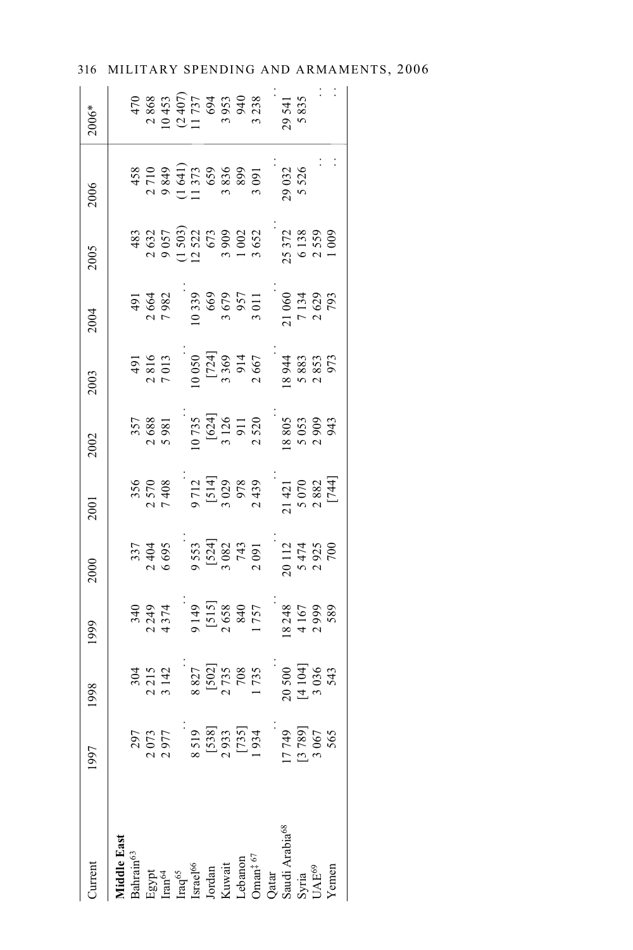| <b>Jurrent</b>                                                                                                                                                                                                                                                                      | 1997                                                                                                                                                                                                                                                                                             | 1998                                                                                                                                                                                                                                                                                                                                                                                     | 1999                                                                                                                                                                                                                                                                                     | 2000                                                                             | 2001                                                                                                                                                                                                                                                                                                        | 2002 | 2003                                                                                                                                                                                                                                                                                                                                                 | 2004                                                                                                                                                          | 2005                                                                                                                                                                                                                                                                     | 2006 | 2006*  |
|-------------------------------------------------------------------------------------------------------------------------------------------------------------------------------------------------------------------------------------------------------------------------------------|--------------------------------------------------------------------------------------------------------------------------------------------------------------------------------------------------------------------------------------------------------------------------------------------------|------------------------------------------------------------------------------------------------------------------------------------------------------------------------------------------------------------------------------------------------------------------------------------------------------------------------------------------------------------------------------------------|------------------------------------------------------------------------------------------------------------------------------------------------------------------------------------------------------------------------------------------------------------------------------------------|----------------------------------------------------------------------------------|-------------------------------------------------------------------------------------------------------------------------------------------------------------------------------------------------------------------------------------------------------------------------------------------------------------|------|------------------------------------------------------------------------------------------------------------------------------------------------------------------------------------------------------------------------------------------------------------------------------------------------------------------------------------------------------|---------------------------------------------------------------------------------------------------------------------------------------------------------------|--------------------------------------------------------------------------------------------------------------------------------------------------------------------------------------------------------------------------------------------------------------------------|------|--------|
| iddle East                                                                                                                                                                                                                                                                          |                                                                                                                                                                                                                                                                                                  |                                                                                                                                                                                                                                                                                                                                                                                          |                                                                                                                                                                                                                                                                                          |                                                                                  |                                                                                                                                                                                                                                                                                                             |      |                                                                                                                                                                                                                                                                                                                                                      |                                                                                                                                                               |                                                                                                                                                                                                                                                                          |      |        |
| ${\bf q}$ ahrain $^{\rm 63}$                                                                                                                                                                                                                                                        |                                                                                                                                                                                                                                                                                                  |                                                                                                                                                                                                                                                                                                                                                                                          |                                                                                                                                                                                                                                                                                          |                                                                                  |                                                                                                                                                                                                                                                                                                             |      |                                                                                                                                                                                                                                                                                                                                                      |                                                                                                                                                               |                                                                                                                                                                                                                                                                          |      |        |
|                                                                                                                                                                                                                                                                                     |                                                                                                                                                                                                                                                                                                  |                                                                                                                                                                                                                                                                                                                                                                                          |                                                                                                                                                                                                                                                                                          |                                                                                  |                                                                                                                                                                                                                                                                                                             |      |                                                                                                                                                                                                                                                                                                                                                      |                                                                                                                                                               |                                                                                                                                                                                                                                                                          |      |        |
|                                                                                                                                                                                                                                                                                     |                                                                                                                                                                                                                                                                                                  |                                                                                                                                                                                                                                                                                                                                                                                          |                                                                                                                                                                                                                                                                                          |                                                                                  |                                                                                                                                                                                                                                                                                                             |      |                                                                                                                                                                                                                                                                                                                                                      |                                                                                                                                                               |                                                                                                                                                                                                                                                                          |      |        |
|                                                                                                                                                                                                                                                                                     |                                                                                                                                                                                                                                                                                                  |                                                                                                                                                                                                                                                                                                                                                                                          |                                                                                                                                                                                                                                                                                          |                                                                                  |                                                                                                                                                                                                                                                                                                             |      |                                                                                                                                                                                                                                                                                                                                                      |                                                                                                                                                               |                                                                                                                                                                                                                                                                          |      |        |
|                                                                                                                                                                                                                                                                                     |                                                                                                                                                                                                                                                                                                  |                                                                                                                                                                                                                                                                                                                                                                                          |                                                                                                                                                                                                                                                                                          |                                                                                  |                                                                                                                                                                                                                                                                                                             |      |                                                                                                                                                                                                                                                                                                                                                      |                                                                                                                                                               |                                                                                                                                                                                                                                                                          |      |        |
|                                                                                                                                                                                                                                                                                     |                                                                                                                                                                                                                                                                                                  |                                                                                                                                                                                                                                                                                                                                                                                          |                                                                                                                                                                                                                                                                                          |                                                                                  |                                                                                                                                                                                                                                                                                                             |      |                                                                                                                                                                                                                                                                                                                                                      |                                                                                                                                                               |                                                                                                                                                                                                                                                                          |      |        |
|                                                                                                                                                                                                                                                                                     |                                                                                                                                                                                                                                                                                                  |                                                                                                                                                                                                                                                                                                                                                                                          |                                                                                                                                                                                                                                                                                          |                                                                                  |                                                                                                                                                                                                                                                                                                             |      |                                                                                                                                                                                                                                                                                                                                                      |                                                                                                                                                               |                                                                                                                                                                                                                                                                          |      |        |
|                                                                                                                                                                                                                                                                                     |                                                                                                                                                                                                                                                                                                  |                                                                                                                                                                                                                                                                                                                                                                                          |                                                                                                                                                                                                                                                                                          |                                                                                  |                                                                                                                                                                                                                                                                                                             |      |                                                                                                                                                                                                                                                                                                                                                      |                                                                                                                                                               |                                                                                                                                                                                                                                                                          |      |        |
| $\begin{array}{l} \mbox{Egypt} \\ \mbox{Im} \, \pi^6 \\ \mbox{Im} \, \pi^6 \\ \mbox{Im} \, \pi^6 \\ \mbox{Im} \, \pi^6 \\ \mbox{Im} \, \pi^6 \\ \mbox{Kumait} \\ \mbox{Kumait} \\ \mbox{Channon} \\ \mbox{Dman}^+ \, \pi^6 \\ \mbox{Dman} \\ \mbox{Dman}^+ \, \pi^6 \\ \end{array}$ | $\begin{array}{cc} 297 \\ 2\,073 \\ 2\,977 \\ 2\,93 \\ 8\,519 \\ 8\,933 \\ 8\,1033 \\ 2\,933 \\ 1\,934 \\ 1\,934 \\ 1\,2\,99 \\ 1\,7\,49 \\ 1\,3\,89 \\ 1\,2\,89 \\ 1\,2\,99 \\ 1\,3\,90 \\ 3\,9 \\ 3\,9 \\ 3\,9 \\ 3\,9 \\ 3\,9 \\ 3\,9 \\ 3\,9 \\ 3\,9 \\ 3\,9 \\ 3\,9 \\ 3\,9 \\ 3\,9 \\ 3\,$ | $\begin{array}{cccc}\n & 304 \\  & 215 \\  & 142 \\  & 827 \\  & 827 \\  & 142 \\  & 827 \\  & 142 \\  & 142 \\  & 142 \\  & 142 \\  & 142 \\  & 142 \\  & 142 \\  & 142 \\  & 142 \\  & 142 \\  & 142 \\  & 142 \\  & 142 \\  & 142 \\  & 142 \\  & 142 \\  & 142 \\  & 142 \\  & 142 \\  & 142 \\  & 142 \\  & 142 \\  & 142 \\  & 142 \\  & 142 \\  & 142 \\  & 142 \\  & 142 \\  & $ | $23437$<br>$2345$<br>$314$<br>$515$<br>$2658$<br>$515$<br>$2658$<br>$155$<br>$155$<br>$155$<br>$155$<br>$155$<br>$155$<br>$155$<br>$155$<br>$155$<br>$155$<br>$155$<br>$155$<br>$155$<br>$155$<br>$155$<br>$155$<br>$155$<br>$155$<br>$155$<br>$155$<br>$155$<br>$155$<br>$155$<br>$155$ | 377<br>2403<br>260321374<br>2005<br>2007<br>2007<br>2007<br>2007<br>2007<br>2007 |                                                                                                                                                                                                                                                                                                             |      | $\begin{array}{cccc}\n 491 \\  2816 \\  7815 \\  1050 \\  1050 \\  1050 \\  1050 \\  1050 \\  1450 \\  1450 \\  1650 \\  1650 \\  1650 \\  1650 \\  1650 \\  1650 \\  1650 \\  1650 \\  1650 \\  1650 \\  1650 \\  1650 \\  1650 \\  1650 \\  1650 \\  1650 \\  1650 \\  1650 \\  1650 \\  1650 \\  1650 \\  1650 \\  1650 \\  1650 \\  1650 \\  16$ | $\begin{array}{c} 491 \\ 2\,664 \\ 7\,982 \\ 10\,339 \\ 699 \\ 300 \\ 7\,98 \\ 111 \\ 7\,134 \\ 7\,134 \\ 7\,134 \\ 7\,134 \\ 7\,629 \\ 7\,93 \\ \end{array}$ | $\begin{array}{cccc} 483\\ 3632\\ 0.675\\ 0.905\\ 0.907\\ 0.903\\ 0.900\\ 0.900\\ 0.900\\ 0.900\\ 0.900\\ 0.900\\ 0.900\\ 0.900\\ 0.900\\ 0.900\\ 0.900\\ 0.900\\ 0.900\\ 0.900\\ 0.900\\ 0.900\\ 0.900\\ 0.900\\ 0.900\\ 0.900\\ 0.900\\ 0.900\\ 0.900\\ 0.900\\ 0.900$ |      |        |
|                                                                                                                                                                                                                                                                                     |                                                                                                                                                                                                                                                                                                  |                                                                                                                                                                                                                                                                                                                                                                                          |                                                                                                                                                                                                                                                                                          |                                                                                  |                                                                                                                                                                                                                                                                                                             |      |                                                                                                                                                                                                                                                                                                                                                      |                                                                                                                                                               |                                                                                                                                                                                                                                                                          |      |        |
|                                                                                                                                                                                                                                                                                     |                                                                                                                                                                                                                                                                                                  |                                                                                                                                                                                                                                                                                                                                                                                          |                                                                                                                                                                                                                                                                                          |                                                                                  |                                                                                                                                                                                                                                                                                                             |      |                                                                                                                                                                                                                                                                                                                                                      |                                                                                                                                                               |                                                                                                                                                                                                                                                                          |      | 29 541 |
| Saudi Arabia <sup>68</sup><br>Syria<br>UAE <sup>69</sup>                                                                                                                                                                                                                            |                                                                                                                                                                                                                                                                                                  |                                                                                                                                                                                                                                                                                                                                                                                          |                                                                                                                                                                                                                                                                                          |                                                                                  |                                                                                                                                                                                                                                                                                                             |      |                                                                                                                                                                                                                                                                                                                                                      |                                                                                                                                                               |                                                                                                                                                                                                                                                                          |      |        |
|                                                                                                                                                                                                                                                                                     |                                                                                                                                                                                                                                                                                                  |                                                                                                                                                                                                                                                                                                                                                                                          |                                                                                                                                                                                                                                                                                          |                                                                                  |                                                                                                                                                                                                                                                                                                             |      |                                                                                                                                                                                                                                                                                                                                                      |                                                                                                                                                               |                                                                                                                                                                                                                                                                          |      |        |
| Yemen                                                                                                                                                                                                                                                                               | 565                                                                                                                                                                                                                                                                                              |                                                                                                                                                                                                                                                                                                                                                                                          |                                                                                                                                                                                                                                                                                          |                                                                                  | $\begin{bmatrix} 356 \\ 2570 \\ 7408 \\ 9712 \\ 5028 \\ 5014 \\ 5141 \\ 740 \\ 828 \\ 702 \\ 2020 \\ 741 \\ 7141 \\ 7141 \\ 7141 \\ 7141 \\ 7142 \\ 71441 \\ 71441 \\ 71441 \\ 71441 \\ 71441 \\ 71441 \\ 71441 \\ 71441 \\ 71441 \\ 71441 \\ 71441 \\ 7141 \\ 7141 \\ 7141 \\ 7141 \\ 7141 \\ 7141 \\ 714$ |      |                                                                                                                                                                                                                                                                                                                                                      |                                                                                                                                                               |                                                                                                                                                                                                                                                                          |      |        |
|                                                                                                                                                                                                                                                                                     |                                                                                                                                                                                                                                                                                                  |                                                                                                                                                                                                                                                                                                                                                                                          |                                                                                                                                                                                                                                                                                          |                                                                                  |                                                                                                                                                                                                                                                                                                             |      |                                                                                                                                                                                                                                                                                                                                                      |                                                                                                                                                               |                                                                                                                                                                                                                                                                          |      |        |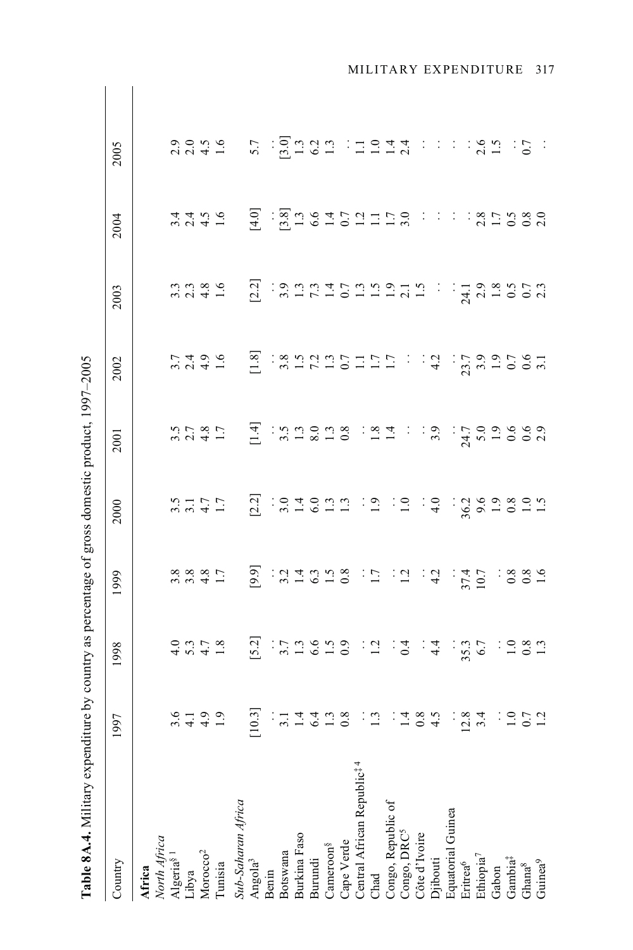| r strand process controlling to the product of the strand of the controlling of the controlling of the controlling of the control of the control of the control of the control of the control of the control of the control of |                                                                                                                                                                                                                                |      |      |      |                             |                                       |                                                               |      |                                                                                                                |  |
|--------------------------------------------------------------------------------------------------------------------------------------------------------------------------------------------------------------------------------|--------------------------------------------------------------------------------------------------------------------------------------------------------------------------------------------------------------------------------|------|------|------|-----------------------------|---------------------------------------|---------------------------------------------------------------|------|----------------------------------------------------------------------------------------------------------------|--|
| Country                                                                                                                                                                                                                        | 1997                                                                                                                                                                                                                           | 1998 | 1999 | 2000 | 2001                        | 2002                                  | 2003                                                          | 2004 | 2005                                                                                                           |  |
| Africa                                                                                                                                                                                                                         |                                                                                                                                                                                                                                |      |      |      |                             |                                       |                                                               |      |                                                                                                                |  |
| North Africa                                                                                                                                                                                                                   |                                                                                                                                                                                                                                |      |      |      |                             |                                       |                                                               |      |                                                                                                                |  |
| Algeria <sup>§1</sup>                                                                                                                                                                                                          |                                                                                                                                                                                                                                |      |      |      |                             |                                       |                                                               |      |                                                                                                                |  |
| Libya                                                                                                                                                                                                                          |                                                                                                                                                                                                                                |      |      |      |                             |                                       |                                                               |      |                                                                                                                |  |
| $M$ orocco <sup>2</sup>                                                                                                                                                                                                        |                                                                                                                                                                                                                                |      |      |      |                             |                                       |                                                               |      |                                                                                                                |  |
| Tunisia                                                                                                                                                                                                                        | a 1990 - 1911 - 1920 - 1920 - 1920 - 1920 - 1920 - 1920 - 1920 - 1920 - 1920 - 1920 - 1920 - 1920 - 1920 - 19<br>A 1920 - 1921 - 1922 - 1922 - 1922 - 1922 - 1922 - 1922 - 1922 - 1922 - 1922 - 1922 - 1922 - 1922 - 1922 - 19 |      |      |      | 3241 H 3258 324 : 3256 5000 | n 1994 - E RAHAU PHENIN I SA RAHA BOR | n 2 3 5 2 3 2 3 2 3 3 4 5 5 5 5 6 7 5 7 5 7 7 7 7 8 7 8 7 6 7 |      | 2009: 2009: 2009: 2009: 2009: 2009: 2009: 2009: 2009: 2009: 2009: 2009: 2009: 2009: 2009: 2009: 2009: 2009: 20 |  |
| Sub-Saharan Africa                                                                                                                                                                                                             |                                                                                                                                                                                                                                |      |      |      |                             |                                       |                                                               |      |                                                                                                                |  |
| Angola <sup>3</sup>                                                                                                                                                                                                            |                                                                                                                                                                                                                                |      |      |      |                             |                                       |                                                               |      |                                                                                                                |  |
| Benin                                                                                                                                                                                                                          |                                                                                                                                                                                                                                |      |      |      |                             |                                       |                                                               |      |                                                                                                                |  |
| Botswana                                                                                                                                                                                                                       |                                                                                                                                                                                                                                |      |      |      |                             |                                       |                                                               |      |                                                                                                                |  |
| Burkina Faso                                                                                                                                                                                                                   |                                                                                                                                                                                                                                |      |      |      |                             |                                       |                                                               |      |                                                                                                                |  |
| Burundi                                                                                                                                                                                                                        |                                                                                                                                                                                                                                |      |      |      |                             |                                       |                                                               |      |                                                                                                                |  |
| Cameroon <sup>§</sup>                                                                                                                                                                                                          |                                                                                                                                                                                                                                |      |      |      |                             |                                       |                                                               |      |                                                                                                                |  |
| Cape Verde                                                                                                                                                                                                                     |                                                                                                                                                                                                                                |      |      |      |                             |                                       |                                                               |      |                                                                                                                |  |
| Central African Republic <sup># 4</sup>                                                                                                                                                                                        |                                                                                                                                                                                                                                |      |      |      |                             |                                       |                                                               |      |                                                                                                                |  |
| Chad                                                                                                                                                                                                                           |                                                                                                                                                                                                                                |      |      |      |                             |                                       |                                                               |      |                                                                                                                |  |
| Congo, Republic of                                                                                                                                                                                                             |                                                                                                                                                                                                                                |      |      |      |                             |                                       |                                                               |      |                                                                                                                |  |
| Congo, DRC <sup>5</sup>                                                                                                                                                                                                        |                                                                                                                                                                                                                                |      |      |      |                             |                                       |                                                               |      |                                                                                                                |  |
|                                                                                                                                                                                                                                |                                                                                                                                                                                                                                |      |      |      |                             |                                       |                                                               |      |                                                                                                                |  |
| Côte d'Ivoire<br>Djibouti                                                                                                                                                                                                      |                                                                                                                                                                                                                                |      |      |      |                             |                                       |                                                               |      |                                                                                                                |  |
| Equatorial Guinea                                                                                                                                                                                                              |                                                                                                                                                                                                                                |      |      |      |                             |                                       |                                                               |      |                                                                                                                |  |
| Eritrea <sup>6</sup>                                                                                                                                                                                                           |                                                                                                                                                                                                                                |      |      |      |                             |                                       |                                                               |      |                                                                                                                |  |
| Ethiopia <sup>7</sup>                                                                                                                                                                                                          |                                                                                                                                                                                                                                |      |      |      |                             |                                       |                                                               |      |                                                                                                                |  |
| Gabon                                                                                                                                                                                                                          |                                                                                                                                                                                                                                |      |      |      |                             |                                       |                                                               |      |                                                                                                                |  |
| Gambia <sup><math>\ddagger</math></sup>                                                                                                                                                                                        |                                                                                                                                                                                                                                |      |      |      |                             |                                       |                                                               |      |                                                                                                                |  |
| Ghana $^8$                                                                                                                                                                                                                     |                                                                                                                                                                                                                                |      |      |      |                             |                                       |                                                               |      |                                                                                                                |  |
| $G$ uinea $9$                                                                                                                                                                                                                  |                                                                                                                                                                                                                                |      |      |      |                             |                                       |                                                               |      |                                                                                                                |  |

**Table 8.4.4.** Military expenditure by country as percentage of gross domestic product  $1997-2005$ **Table 8A.4.** Military expenditure by country as percentage of gross domestic product, 1997–2005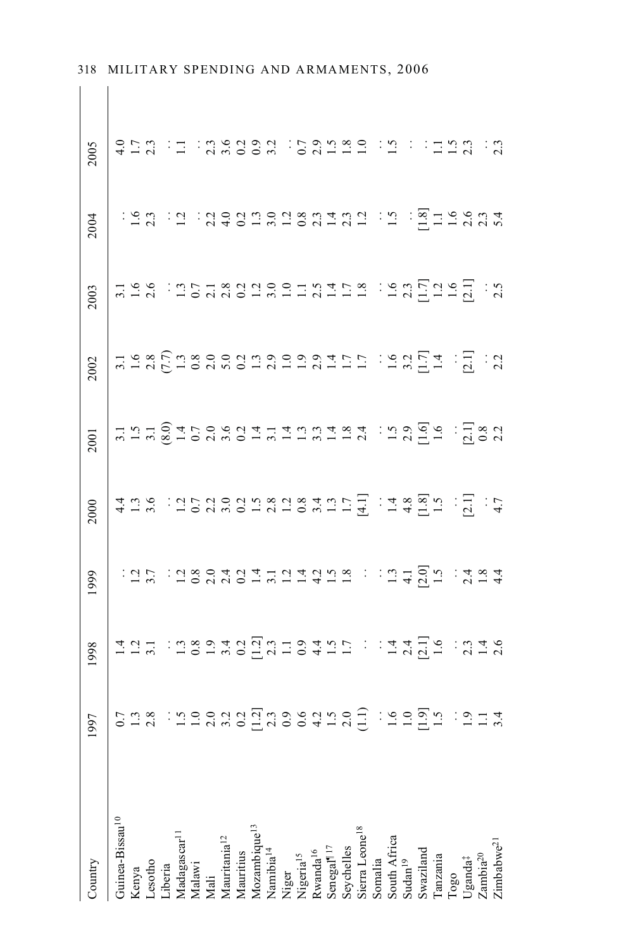| Country                                                                                                                                       | 1997                               | 1998                                   | 1999                                                                            | 2000 | 2001 | 2002                          | 2003                       | 2004                              | 2005                                 |
|-----------------------------------------------------------------------------------------------------------------------------------------------|------------------------------------|----------------------------------------|---------------------------------------------------------------------------------|------|------|-------------------------------|----------------------------|-----------------------------------|--------------------------------------|
| Guinea-Bissau <sup>10</sup>                                                                                                                   | cha : hodaddhas edhad : hodh : bha |                                        |                                                                                 |      |      | 5986598889999999155 19951 151 |                            |                                   | AHN H : SASSA : SAHAR : E : HHAN : S |
|                                                                                                                                               |                                    |                                        |                                                                                 |      |      |                               |                            |                                   |                                      |
| Kenya<br>Lesotho<br>Liberia<br>Madagascar <sup>11</sup><br>Malawi<br>Mali<br>Mauritiania <sup>12</sup><br>Mauritius<br>Mauritius<br>Mauritius |                                    |                                        |                                                                                 |      |      |                               |                            |                                   |                                      |
|                                                                                                                                               |                                    |                                        |                                                                                 |      |      |                               |                            |                                   |                                      |
|                                                                                                                                               |                                    |                                        |                                                                                 |      |      |                               |                            |                                   |                                      |
|                                                                                                                                               |                                    |                                        |                                                                                 |      |      |                               |                            |                                   |                                      |
|                                                                                                                                               |                                    |                                        |                                                                                 |      |      |                               |                            |                                   |                                      |
|                                                                                                                                               |                                    |                                        |                                                                                 |      |      |                               |                            |                                   |                                      |
|                                                                                                                                               |                                    |                                        |                                                                                 |      |      |                               |                            |                                   |                                      |
|                                                                                                                                               |                                    |                                        |                                                                                 |      |      |                               |                            |                                   |                                      |
|                                                                                                                                               |                                    |                                        |                                                                                 |      |      |                               |                            |                                   |                                      |
|                                                                                                                                               |                                    |                                        |                                                                                 |      |      |                               |                            |                                   |                                      |
| Niger<br>Nigeria <sup>15</sup><br>Rwanda <sup>16</sup>                                                                                        |                                    |                                        |                                                                                 |      |      |                               |                            |                                   |                                      |
|                                                                                                                                               |                                    |                                        |                                                                                 |      |      |                               |                            |                                   |                                      |
|                                                                                                                                               |                                    |                                        |                                                                                 |      |      |                               |                            |                                   |                                      |
|                                                                                                                                               |                                    |                                        |                                                                                 |      |      |                               |                            |                                   |                                      |
| Senegal <sup>117</sup><br>Seychelles<br>Sierra Leone <sup>18</sup><br>Somalia<br>South Africa<br>Sudan <sup>19</sup>                          |                                    |                                        |                                                                                 |      |      |                               |                            |                                   |                                      |
|                                                                                                                                               |                                    |                                        |                                                                                 |      |      |                               |                            |                                   |                                      |
|                                                                                                                                               |                                    |                                        |                                                                                 |      |      |                               |                            |                                   |                                      |
|                                                                                                                                               |                                    |                                        |                                                                                 |      |      |                               |                            |                                   |                                      |
| Swaziland<br>Tanzania                                                                                                                         |                                    |                                        |                                                                                 |      |      |                               |                            |                                   |                                      |
|                                                                                                                                               |                                    |                                        |                                                                                 |      |      |                               |                            |                                   |                                      |
| Togo<br>Uganda‡<br>Zambia <sup>20</sup>                                                                                                       |                                    |                                        |                                                                                 |      |      |                               |                            |                                   |                                      |
|                                                                                                                                               |                                    |                                        |                                                                                 |      |      |                               |                            |                                   |                                      |
|                                                                                                                                               |                                    |                                        |                                                                                 |      |      |                               |                            |                                   |                                      |
| Zimbabwe <sup>21</sup>                                                                                                                        |                                    | Humana and Humana and hand and the sea | - 12 5 - 12 8 9 4 2 4 5 4 5 4 5 5 6 7 1 1 5 4 5 5 7 1 3 4 5 6 5 7 4 5 6 7 1 3 4 |      |      |                               | HER : HERSEERIES : ESPEREN | ing in industrial and in indianal |                                      |

 $\mathbb{R}^+$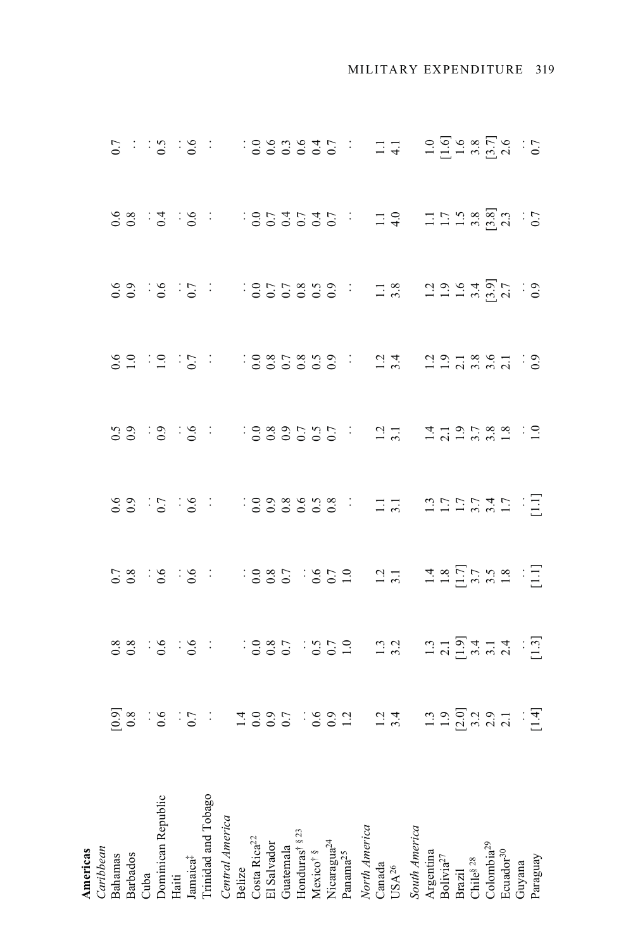| Caribbean<br>Americas                                                                                                                                                                       |                                |                                                 |  |                              |  |  |
|---------------------------------------------------------------------------------------------------------------------------------------------------------------------------------------------|--------------------------------|-------------------------------------------------|--|------------------------------|--|--|
| Bahamas                                                                                                                                                                                     |                                |                                                 |  |                              |  |  |
| Barbados<br>Cuba                                                                                                                                                                            |                                |                                                 |  |                              |  |  |
|                                                                                                                                                                                             |                                |                                                 |  |                              |  |  |
| Oominican Republic                                                                                                                                                                          |                                |                                                 |  |                              |  |  |
|                                                                                                                                                                                             |                                |                                                 |  |                              |  |  |
|                                                                                                                                                                                             |                                |                                                 |  |                              |  |  |
| Haiti<br>Jamaica‡<br>Trinidad and Tobago                                                                                                                                                    |                                |                                                 |  | 92:2:5: 385899: 23 2258841:3 |  |  |
| Central America                                                                                                                                                                             |                                |                                                 |  |                              |  |  |
|                                                                                                                                                                                             |                                |                                                 |  |                              |  |  |
| Belize<br>Costa Rica <sup>22</sup><br>El Salvador                                                                                                                                           |                                |                                                 |  |                              |  |  |
|                                                                                                                                                                                             |                                |                                                 |  |                              |  |  |
|                                                                                                                                                                                             |                                |                                                 |  |                              |  |  |
|                                                                                                                                                                                             |                                |                                                 |  |                              |  |  |
|                                                                                                                                                                                             |                                |                                                 |  |                              |  |  |
| Guatemala<br>Honduras <sup>† § 23</sup><br>Mexico <sup>† §</sup><br>Nicaragua <sup>24</sup><br>Nicaragua <sup>24</sup>                                                                      |                                |                                                 |  |                              |  |  |
|                                                                                                                                                                                             |                                |                                                 |  |                              |  |  |
| North America                                                                                                                                                                               |                                |                                                 |  |                              |  |  |
|                                                                                                                                                                                             |                                |                                                 |  |                              |  |  |
| Canada<br>USA<br>$^{26}$                                                                                                                                                                    |                                |                                                 |  |                              |  |  |
| South America                                                                                                                                                                               |                                |                                                 |  |                              |  |  |
| $\begin{array}{l} {\bf {\rm Argentina}} \\ {\bf {\rm Bolvia}^{\rm 27}} \\ {\bf {\rm Brazil}} \\ {\bf {\rm Chil}} \\ {\rm \mathcal S}^{\rm 18} \\ {\bf {\rm Colonbia}^{\rm 29}} \end{array}$ |                                |                                                 |  |                              |  |  |
|                                                                                                                                                                                             |                                |                                                 |  |                              |  |  |
|                                                                                                                                                                                             |                                |                                                 |  |                              |  |  |
|                                                                                                                                                                                             |                                |                                                 |  |                              |  |  |
|                                                                                                                                                                                             |                                |                                                 |  |                              |  |  |
| Ecuador <sup>30</sup>                                                                                                                                                                       |                                |                                                 |  |                              |  |  |
| Guyana                                                                                                                                                                                      |                                |                                                 |  |                              |  |  |
| Paraguay                                                                                                                                                                                    | 88:9:9: 1885:959 123 1454-4:51 | 58 : 9 : 9 : 9 : 1885 : 952 13 13 13 553 32 : 1 |  |                              |  |  |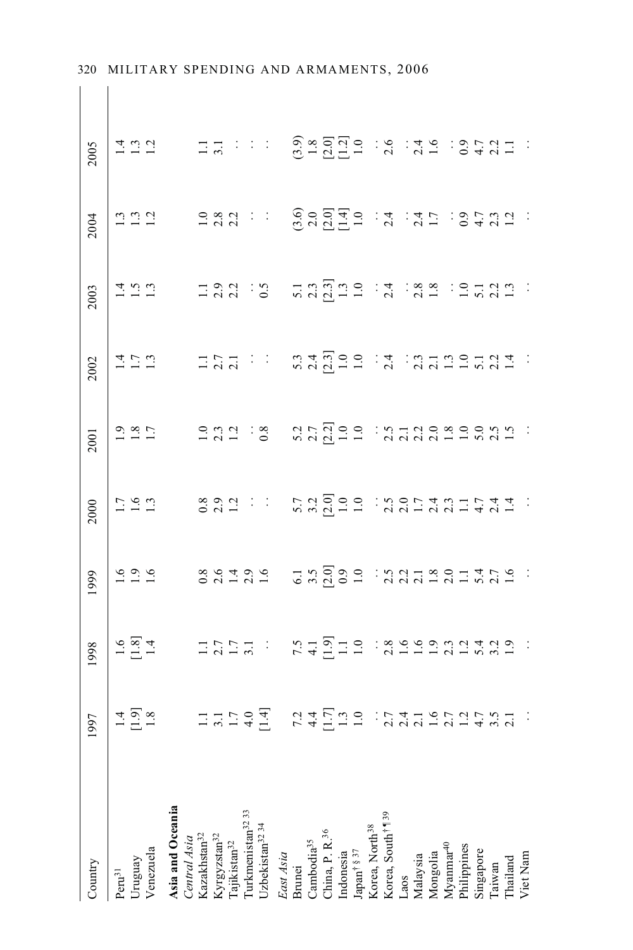| Country                                                                                                                                                                                                                                               | $\begin{array}{c c} 1997 \\ \hline 14 \\ \hline 1.9 \\ 1.8 \end{array}$ | 1998                             | 1999                            | 2000                         | 2001 | 2002                   | 2003                          | 2004                                                                                                                                                                                                                                                                                                                                                                                                                                | 2005                                                                                                                                                                                                                                                                                                                                                                                                                                                                    |  |
|-------------------------------------------------------------------------------------------------------------------------------------------------------------------------------------------------------------------------------------------------------|-------------------------------------------------------------------------|----------------------------------|---------------------------------|------------------------------|------|------------------------|-------------------------------|-------------------------------------------------------------------------------------------------------------------------------------------------------------------------------------------------------------------------------------------------------------------------------------------------------------------------------------------------------------------------------------------------------------------------------------|-------------------------------------------------------------------------------------------------------------------------------------------------------------------------------------------------------------------------------------------------------------------------------------------------------------------------------------------------------------------------------------------------------------------------------------------------------------------------|--|
| $Peru^{31}$                                                                                                                                                                                                                                           |                                                                         |                                  |                                 |                              |      |                        |                               |                                                                                                                                                                                                                                                                                                                                                                                                                                     |                                                                                                                                                                                                                                                                                                                                                                                                                                                                         |  |
| Uruguay                                                                                                                                                                                                                                               |                                                                         |                                  |                                 |                              |      |                        |                               |                                                                                                                                                                                                                                                                                                                                                                                                                                     |                                                                                                                                                                                                                                                                                                                                                                                                                                                                         |  |
| Venezuela                                                                                                                                                                                                                                             |                                                                         |                                  |                                 |                              |      |                        |                               |                                                                                                                                                                                                                                                                                                                                                                                                                                     |                                                                                                                                                                                                                                                                                                                                                                                                                                                                         |  |
| Asia and Oceania                                                                                                                                                                                                                                      |                                                                         | Fault Horns reflue assessant san | 1999 - 86496 H 2000 M 211801456 | ISAN 892 : ENGOO SOFTANIETAI |      | En Han Handel Manneral | HER HAN S HANGHE A AS ELANH : | $\begin{array}{lllllllll} \texttt{m} & \texttt{m} & \texttt{m} & \texttt{m} & \texttt{m} \\ \texttt{m} & \texttt{m} & \texttt{m} & \texttt{m} & \texttt{m} & \texttt{m} \\ \texttt{m} & \texttt{m} & \texttt{m} & \texttt{m} & \texttt{m} & \texttt{m} \\ \texttt{m} & \texttt{m} & \texttt{m} & \texttt{m} & \texttt{m} & \texttt{m} \\ \texttt{m} & \texttt{m} & \texttt{m} & \texttt{m} & \texttt{m} & \texttt{m} \\ \texttt{m}$ | $\begin{array}{lllllllll} \Xi & \Xi & \Xi & \Xi & \Xi & \Xi \\ \Xi & \Xi & \Xi & \Xi & \Xi & \Xi \\ \Xi & \Xi & \Xi & \Xi & \Xi & \Xi \\ \Xi & \Xi & \Xi & \Xi & \Xi & \Xi \\ \Xi & \Xi & \Xi & \Xi & \Xi & \Xi \\ \Xi & \Xi & \Xi & \Xi & \Xi & \Xi \\ \Xi & \Xi & \Xi & \Xi & \Xi & \Xi \\ \Xi & \Xi & \Xi & \Xi & \Xi & \Xi \\ \Xi & \Xi & \Xi & \Xi & \Xi & \Xi \\ \Xi & \Xi & \Xi & \Xi & \Xi & \Xi \\ \Xi & \Xi & \Xi & \Xi & \Xi & \Xi \\ \Xi & \Xi & \Xi & \Xi$ |  |
|                                                                                                                                                                                                                                                       |                                                                         |                                  |                                 |                              |      |                        |                               |                                                                                                                                                                                                                                                                                                                                                                                                                                     |                                                                                                                                                                                                                                                                                                                                                                                                                                                                         |  |
| $\label{eq:central-sim} Central\ Asia$ Kazakhstan<br>$^{32}$                                                                                                                                                                                          |                                                                         |                                  |                                 |                              |      |                        |                               |                                                                                                                                                                                                                                                                                                                                                                                                                                     |                                                                                                                                                                                                                                                                                                                                                                                                                                                                         |  |
|                                                                                                                                                                                                                                                       |                                                                         |                                  |                                 |                              |      |                        |                               |                                                                                                                                                                                                                                                                                                                                                                                                                                     |                                                                                                                                                                                                                                                                                                                                                                                                                                                                         |  |
| $\rm Kyrgyzstan^{32}$<br>Tajikistan $^{32}$                                                                                                                                                                                                           |                                                                         |                                  |                                 |                              |      |                        |                               |                                                                                                                                                                                                                                                                                                                                                                                                                                     |                                                                                                                                                                                                                                                                                                                                                                                                                                                                         |  |
|                                                                                                                                                                                                                                                       |                                                                         |                                  |                                 |                              |      |                        |                               |                                                                                                                                                                                                                                                                                                                                                                                                                                     |                                                                                                                                                                                                                                                                                                                                                                                                                                                                         |  |
| Turkmenistan $^{32}$ 33<br>Uzbekistan $^{32}$ 34                                                                                                                                                                                                      | Hundah Kahha kudayan sarta da                                           |                                  |                                 |                              |      |                        |                               |                                                                                                                                                                                                                                                                                                                                                                                                                                     |                                                                                                                                                                                                                                                                                                                                                                                                                                                                         |  |
| East Asia                                                                                                                                                                                                                                             |                                                                         |                                  |                                 |                              |      |                        |                               |                                                                                                                                                                                                                                                                                                                                                                                                                                     |                                                                                                                                                                                                                                                                                                                                                                                                                                                                         |  |
|                                                                                                                                                                                                                                                       |                                                                         |                                  |                                 |                              |      |                        |                               |                                                                                                                                                                                                                                                                                                                                                                                                                                     |                                                                                                                                                                                                                                                                                                                                                                                                                                                                         |  |
|                                                                                                                                                                                                                                                       |                                                                         |                                  |                                 |                              |      |                        |                               |                                                                                                                                                                                                                                                                                                                                                                                                                                     |                                                                                                                                                                                                                                                                                                                                                                                                                                                                         |  |
| Brunei<br>Cambodia <sup>35</sup><br>China, P. R. <sup>36</sup><br>Indonesia<br>Indonesia<br>Mongolia<br>Korea, South <sup>†</sup> 1 <sup>39</sup><br>Laos<br>Laos<br>Malaysia<br>Malaysia<br>Mongolia<br>Mongolia<br>Mongolia<br>Mongolia<br>Mongolia |                                                                         |                                  |                                 |                              |      |                        |                               |                                                                                                                                                                                                                                                                                                                                                                                                                                     |                                                                                                                                                                                                                                                                                                                                                                                                                                                                         |  |
|                                                                                                                                                                                                                                                       |                                                                         |                                  |                                 |                              |      |                        |                               |                                                                                                                                                                                                                                                                                                                                                                                                                                     |                                                                                                                                                                                                                                                                                                                                                                                                                                                                         |  |
|                                                                                                                                                                                                                                                       |                                                                         |                                  |                                 |                              |      |                        |                               |                                                                                                                                                                                                                                                                                                                                                                                                                                     |                                                                                                                                                                                                                                                                                                                                                                                                                                                                         |  |
|                                                                                                                                                                                                                                                       |                                                                         |                                  |                                 |                              |      |                        |                               |                                                                                                                                                                                                                                                                                                                                                                                                                                     |                                                                                                                                                                                                                                                                                                                                                                                                                                                                         |  |
|                                                                                                                                                                                                                                                       |                                                                         |                                  |                                 |                              |      |                        |                               |                                                                                                                                                                                                                                                                                                                                                                                                                                     |                                                                                                                                                                                                                                                                                                                                                                                                                                                                         |  |
|                                                                                                                                                                                                                                                       |                                                                         |                                  |                                 |                              |      |                        |                               |                                                                                                                                                                                                                                                                                                                                                                                                                                     |                                                                                                                                                                                                                                                                                                                                                                                                                                                                         |  |
|                                                                                                                                                                                                                                                       |                                                                         |                                  |                                 |                              |      |                        |                               |                                                                                                                                                                                                                                                                                                                                                                                                                                     |                                                                                                                                                                                                                                                                                                                                                                                                                                                                         |  |
|                                                                                                                                                                                                                                                       |                                                                         |                                  |                                 |                              |      |                        |                               |                                                                                                                                                                                                                                                                                                                                                                                                                                     |                                                                                                                                                                                                                                                                                                                                                                                                                                                                         |  |
|                                                                                                                                                                                                                                                       |                                                                         |                                  |                                 |                              |      |                        |                               |                                                                                                                                                                                                                                                                                                                                                                                                                                     |                                                                                                                                                                                                                                                                                                                                                                                                                                                                         |  |
|                                                                                                                                                                                                                                                       |                                                                         |                                  |                                 |                              |      |                        |                               |                                                                                                                                                                                                                                                                                                                                                                                                                                     |                                                                                                                                                                                                                                                                                                                                                                                                                                                                         |  |
|                                                                                                                                                                                                                                                       |                                                                         |                                  |                                 |                              |      |                        |                               |                                                                                                                                                                                                                                                                                                                                                                                                                                     |                                                                                                                                                                                                                                                                                                                                                                                                                                                                         |  |
|                                                                                                                                                                                                                                                       |                                                                         |                                  |                                 |                              |      |                        |                               |                                                                                                                                                                                                                                                                                                                                                                                                                                     |                                                                                                                                                                                                                                                                                                                                                                                                                                                                         |  |
| Thailand                                                                                                                                                                                                                                              |                                                                         |                                  |                                 |                              |      |                        |                               |                                                                                                                                                                                                                                                                                                                                                                                                                                     |                                                                                                                                                                                                                                                                                                                                                                                                                                                                         |  |
| Viet Nam                                                                                                                                                                                                                                              |                                                                         |                                  |                                 |                              |      |                        |                               |                                                                                                                                                                                                                                                                                                                                                                                                                                     |                                                                                                                                                                                                                                                                                                                                                                                                                                                                         |  |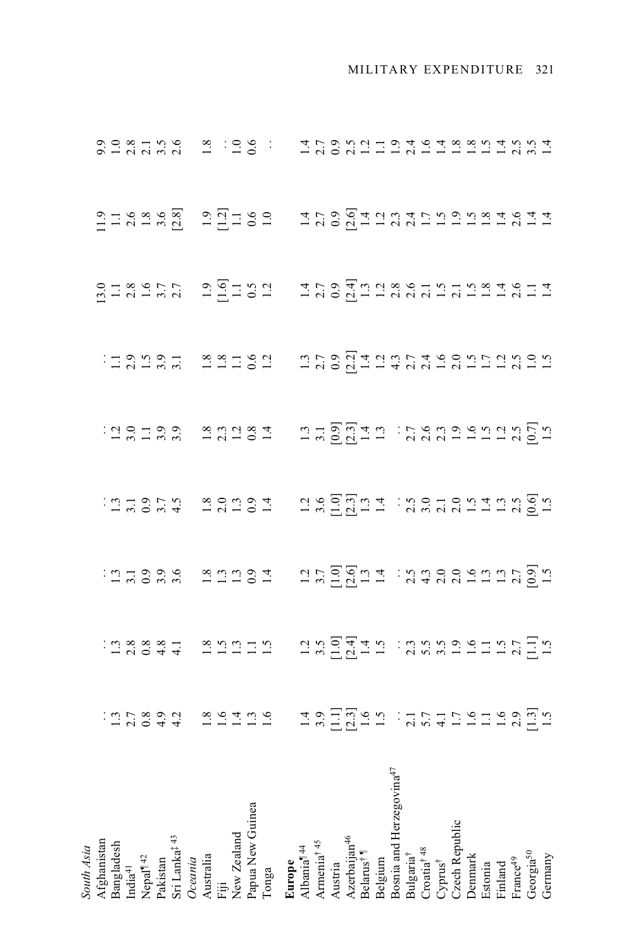| South Asia                                                                                                |                                    |                                                                                                                                                                                                                                                                                     |  |                                                                                                                                                                                                                                                                                                                                                                                                                                                                                                                                                     |                                 |                                 |                                                         |                                                        |
|-----------------------------------------------------------------------------------------------------------|------------------------------------|-------------------------------------------------------------------------------------------------------------------------------------------------------------------------------------------------------------------------------------------------------------------------------------|--|-----------------------------------------------------------------------------------------------------------------------------------------------------------------------------------------------------------------------------------------------------------------------------------------------------------------------------------------------------------------------------------------------------------------------------------------------------------------------------------------------------------------------------------------------------|---------------------------------|---------------------------------|---------------------------------------------------------|--------------------------------------------------------|
|                                                                                                           |                                    |                                                                                                                                                                                                                                                                                     |  |                                                                                                                                                                                                                                                                                                                                                                                                                                                                                                                                                     |                                 |                                 |                                                         |                                                        |
| Afghanistan<br>Bangladesh                                                                                 |                                    |                                                                                                                                                                                                                                                                                     |  |                                                                                                                                                                                                                                                                                                                                                                                                                                                                                                                                                     |                                 |                                 |                                                         |                                                        |
| $\mathrm{India}^{41}$                                                                                     |                                    |                                                                                                                                                                                                                                                                                     |  |                                                                                                                                                                                                                                                                                                                                                                                                                                                                                                                                                     |                                 |                                 |                                                         |                                                        |
|                                                                                                           |                                    |                                                                                                                                                                                                                                                                                     |  |                                                                                                                                                                                                                                                                                                                                                                                                                                                                                                                                                     |                                 |                                 |                                                         |                                                        |
|                                                                                                           |                                    |                                                                                                                                                                                                                                                                                     |  |                                                                                                                                                                                                                                                                                                                                                                                                                                                                                                                                                     |                                 |                                 |                                                         |                                                        |
| Nepal <sup>¶42</sup><br>Pakistan<br>Sri Lanka <sup>‡43</sup><br>O <i>ceania</i><br>Australia<br>Australia |                                    |                                                                                                                                                                                                                                                                                     |  |                                                                                                                                                                                                                                                                                                                                                                                                                                                                                                                                                     |                                 |                                 |                                                         |                                                        |
|                                                                                                           |                                    |                                                                                                                                                                                                                                                                                     |  |                                                                                                                                                                                                                                                                                                                                                                                                                                                                                                                                                     |                                 |                                 |                                                         |                                                        |
|                                                                                                           |                                    |                                                                                                                                                                                                                                                                                     |  |                                                                                                                                                                                                                                                                                                                                                                                                                                                                                                                                                     |                                 |                                 |                                                         |                                                        |
|                                                                                                           |                                    |                                                                                                                                                                                                                                                                                     |  |                                                                                                                                                                                                                                                                                                                                                                                                                                                                                                                                                     |                                 |                                 |                                                         |                                                        |
| New Zealand                                                                                               |                                    |                                                                                                                                                                                                                                                                                     |  |                                                                                                                                                                                                                                                                                                                                                                                                                                                                                                                                                     |                                 |                                 |                                                         |                                                        |
| Papua New Guinea                                                                                          |                                    |                                                                                                                                                                                                                                                                                     |  |                                                                                                                                                                                                                                                                                                                                                                                                                                                                                                                                                     |                                 |                                 |                                                         |                                                        |
| Tonga                                                                                                     | indesta sering registri der singen |                                                                                                                                                                                                                                                                                     |  | $\frac{1}{2} \frac{\alpha}{2} \frac{\alpha}{2} \frac{\alpha}{2} \frac{\alpha}{2} \frac{\alpha}{2} \frac{\alpha}{2} \frac{\alpha}{2} \frac{\alpha}{2} \frac{\alpha}{2} \frac{\alpha}{2} \frac{\alpha}{2} \frac{\alpha}{2} \frac{\alpha}{2} \frac{\alpha}{2} \frac{\alpha}{2} \frac{\alpha}{2} \frac{\alpha}{2} \frac{\alpha}{2} \frac{\alpha}{2} \frac{\alpha}{2} \frac{\alpha}{2} \frac{\alpha}{2} \frac{\alpha}{2} \frac{\alpha}{2} \frac{\alpha}{2} \frac{\alpha}{2} \frac{\alpha}{2} \frac{\alpha}{2} \frac{\alpha}{2} \frac{\alpha}{2} \frac{\$ | ingnat aanga ngodhaadahangnagan | SHASH SHISH 1094528851532184517 | nu sa sa sa ni nu sa ni na sa ni na ni na na na na ni n | 9.9.8.7.5.9. 8:9.9: 4.5.9.8.2.1.9.4.9.4.2.3.2.1.4.9.4. |
| Europe                                                                                                    |                                    |                                                                                                                                                                                                                                                                                     |  |                                                                                                                                                                                                                                                                                                                                                                                                                                                                                                                                                     |                                 |                                 |                                                         |                                                        |
| Albania <sup>144</sup>                                                                                    |                                    | $\begin{array}{lll} 12.5 & 12.5 & 12.5 & 12.5 \\ 15.5 & 12.5 & 12.5 & 12.5 \\ 15.5 & 15.5 & 12.5 & 12.5 \\ 15.5 & 15.5 & 12.5 & 12.5 \\ 15.5 & 15.5 & 12.5 & 12.5 \\ 15.5 & 15.5 & 12.5 & 12.5 \\ 16.5 & 15.5 & 12.5 & 12.5 \\ 17.5 & 18.5 & 12.5 & 12.5 \\ 18.5 & 12.5 & 12.5 & 1$ |  |                                                                                                                                                                                                                                                                                                                                                                                                                                                                                                                                                     |                                 |                                 |                                                         |                                                        |
| Armenia <sup>†45</sup>                                                                                    |                                    |                                                                                                                                                                                                                                                                                     |  |                                                                                                                                                                                                                                                                                                                                                                                                                                                                                                                                                     |                                 |                                 |                                                         |                                                        |
| Austria                                                                                                   |                                    |                                                                                                                                                                                                                                                                                     |  |                                                                                                                                                                                                                                                                                                                                                                                                                                                                                                                                                     |                                 |                                 |                                                         |                                                        |
| Azerbaijan <sup>46</sup><br>Belarus <sup>† ¶</sup><br>Belgium                                             |                                    |                                                                                                                                                                                                                                                                                     |  |                                                                                                                                                                                                                                                                                                                                                                                                                                                                                                                                                     |                                 |                                 |                                                         |                                                        |
|                                                                                                           |                                    |                                                                                                                                                                                                                                                                                     |  |                                                                                                                                                                                                                                                                                                                                                                                                                                                                                                                                                     |                                 |                                 |                                                         |                                                        |
|                                                                                                           |                                    |                                                                                                                                                                                                                                                                                     |  |                                                                                                                                                                                                                                                                                                                                                                                                                                                                                                                                                     |                                 |                                 |                                                         |                                                        |
| Bosnia and Herzegovina <sup>47</sup>                                                                      |                                    |                                                                                                                                                                                                                                                                                     |  |                                                                                                                                                                                                                                                                                                                                                                                                                                                                                                                                                     |                                 |                                 |                                                         |                                                        |
|                                                                                                           |                                    |                                                                                                                                                                                                                                                                                     |  |                                                                                                                                                                                                                                                                                                                                                                                                                                                                                                                                                     |                                 |                                 |                                                         |                                                        |
|                                                                                                           |                                    |                                                                                                                                                                                                                                                                                     |  |                                                                                                                                                                                                                                                                                                                                                                                                                                                                                                                                                     |                                 |                                 |                                                         |                                                        |
| Bulgaria <sup>†</sup><br>Croatia† <sup>48</sup><br>Cyprus†<br>Czech Republic                              |                                    |                                                                                                                                                                                                                                                                                     |  |                                                                                                                                                                                                                                                                                                                                                                                                                                                                                                                                                     |                                 |                                 |                                                         |                                                        |
|                                                                                                           |                                    |                                                                                                                                                                                                                                                                                     |  |                                                                                                                                                                                                                                                                                                                                                                                                                                                                                                                                                     |                                 |                                 |                                                         |                                                        |
| Denmark                                                                                                   |                                    |                                                                                                                                                                                                                                                                                     |  |                                                                                                                                                                                                                                                                                                                                                                                                                                                                                                                                                     |                                 |                                 |                                                         |                                                        |
| Estonia                                                                                                   |                                    |                                                                                                                                                                                                                                                                                     |  |                                                                                                                                                                                                                                                                                                                                                                                                                                                                                                                                                     |                                 |                                 |                                                         |                                                        |
| Finland                                                                                                   |                                    |                                                                                                                                                                                                                                                                                     |  |                                                                                                                                                                                                                                                                                                                                                                                                                                                                                                                                                     |                                 |                                 |                                                         |                                                        |
| France <sup>49</sup>                                                                                      |                                    |                                                                                                                                                                                                                                                                                     |  |                                                                                                                                                                                                                                                                                                                                                                                                                                                                                                                                                     |                                 |                                 |                                                         |                                                        |
| Georgia <sup>50</sup>                                                                                     |                                    |                                                                                                                                                                                                                                                                                     |  |                                                                                                                                                                                                                                                                                                                                                                                                                                                                                                                                                     |                                 |                                 |                                                         |                                                        |
| Germany                                                                                                   |                                    |                                                                                                                                                                                                                                                                                     |  |                                                                                                                                                                                                                                                                                                                                                                                                                                                                                                                                                     |                                 |                                 |                                                         |                                                        |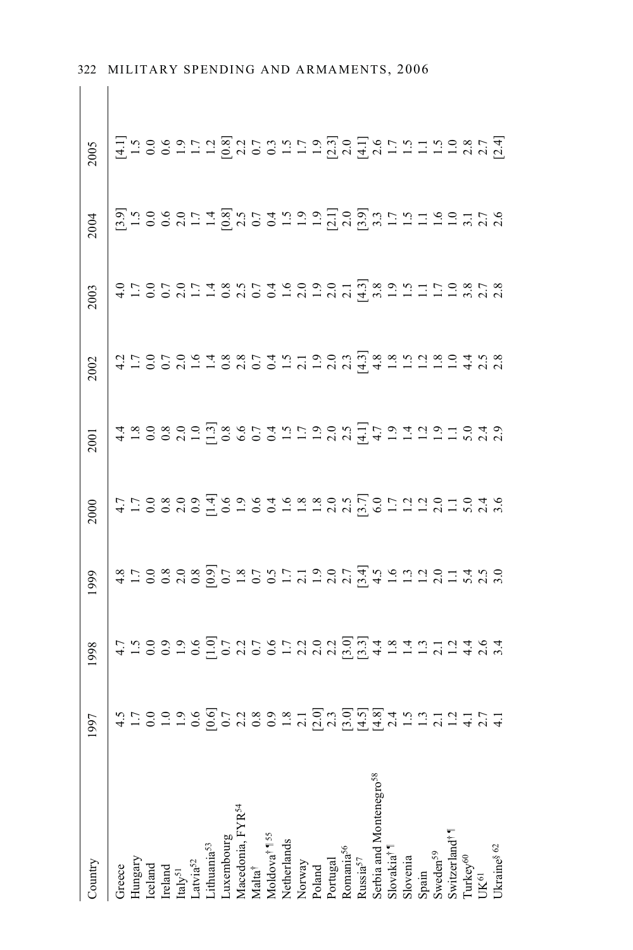| Country                                                                                                                  | 997 | 1998                                      | 1999                                               | 2000                                                            | 2001                               | 2002                             | 2003                                      | 2004 | 2005                                 |
|--------------------------------------------------------------------------------------------------------------------------|-----|-------------------------------------------|----------------------------------------------------|-----------------------------------------------------------------|------------------------------------|----------------------------------|-------------------------------------------|------|--------------------------------------|
| Greece                                                                                                                   |     |                                           |                                                    |                                                                 |                                    |                                  |                                           |      |                                      |
|                                                                                                                          |     |                                           |                                                    |                                                                 |                                    |                                  |                                           |      |                                      |
| Hungary<br>Iceland                                                                                                       |     |                                           |                                                    |                                                                 |                                    |                                  |                                           |      |                                      |
|                                                                                                                          |     |                                           |                                                    |                                                                 |                                    |                                  |                                           |      |                                      |
| $\begin{array}{c} \mathrm{Ireland} \\ \mathrm{Italy}^{51} \end{array}$                                                   |     |                                           |                                                    |                                                                 |                                    |                                  |                                           |      |                                      |
|                                                                                                                          |     |                                           |                                                    |                                                                 |                                    |                                  |                                           |      |                                      |
| Latvia <sup>52</sup><br>Lithuania <sup>53</sup><br>Luxembourg                                                            |     |                                           |                                                    |                                                                 |                                    |                                  |                                           |      |                                      |
|                                                                                                                          |     |                                           |                                                    |                                                                 |                                    |                                  |                                           |      |                                      |
|                                                                                                                          |     |                                           |                                                    |                                                                 |                                    |                                  |                                           |      |                                      |
| Macedonia, FYR <sup>54</sup><br>Malta <sup>†</sup>                                                                       |     |                                           |                                                    |                                                                 |                                    |                                  |                                           |      |                                      |
| Moldova <sup>† 155</sup>                                                                                                 |     |                                           |                                                    |                                                                 |                                    |                                  |                                           |      |                                      |
| Netherlands                                                                                                              |     |                                           |                                                    |                                                                 |                                    |                                  |                                           |      |                                      |
| Norway                                                                                                                   |     |                                           |                                                    |                                                                 |                                    |                                  |                                           |      |                                      |
| Poland                                                                                                                   |     |                                           |                                                    |                                                                 |                                    |                                  |                                           |      |                                      |
|                                                                                                                          |     |                                           |                                                    |                                                                 |                                    |                                  |                                           |      |                                      |
| Portugal<br>Romania <sup>56</sup>                                                                                        |     |                                           |                                                    |                                                                 |                                    |                                  |                                           |      |                                      |
| Russia $57$                                                                                                              |     |                                           |                                                    |                                                                 |                                    |                                  |                                           |      |                                      |
| Serbia and Montenegro <sup>58</sup>                                                                                      |     |                                           |                                                    |                                                                 |                                    |                                  |                                           |      |                                      |
| Slovakia <sup>†</sup>                                                                                                    |     |                                           |                                                    |                                                                 |                                    |                                  |                                           |      |                                      |
|                                                                                                                          |     |                                           |                                                    |                                                                 |                                    |                                  |                                           |      |                                      |
| Slovenia<br>Spain                                                                                                        |     |                                           |                                                    |                                                                 |                                    |                                  |                                           |      |                                      |
|                                                                                                                          |     |                                           |                                                    |                                                                 |                                    |                                  |                                           |      |                                      |
| $\begin{array}{l} \text{Sweden}^{59} \\ \text{Swizerland}^{\dagger} \\ \text{Turkey}^{60} \\ \text{UK}^{61} \end{array}$ |     |                                           |                                                    |                                                                 |                                    |                                  |                                           |      |                                      |
|                                                                                                                          |     |                                           |                                                    |                                                                 |                                    |                                  |                                           |      |                                      |
|                                                                                                                          |     | およりのいいのにことのいいのには、日本にはにはあるはないのでは、これはこれである。 | おけの808回7875日はもの7年56日にかいことをするのは、そののこの回りはのの110000日は、 |                                                                 |                                    | 41000211002001212202124122231242 |                                           |      |                                      |
| Ukraine <sup>§ 62</sup>                                                                                                  |     |                                           |                                                    | 4 1 0 0 0 0 0 1 0 1 0 1 0 1 2 3 3 0 1 5 0 1 2 1 2 3 1 0 1 0 1 0 | 4 10002000528600112223554122121252 |                                  | 4 100211020012122 4 5 6 1 1 1 1 2 3 6 7 8 |      | H 1009212282153215222152152111122875 |

 $\vert \vert$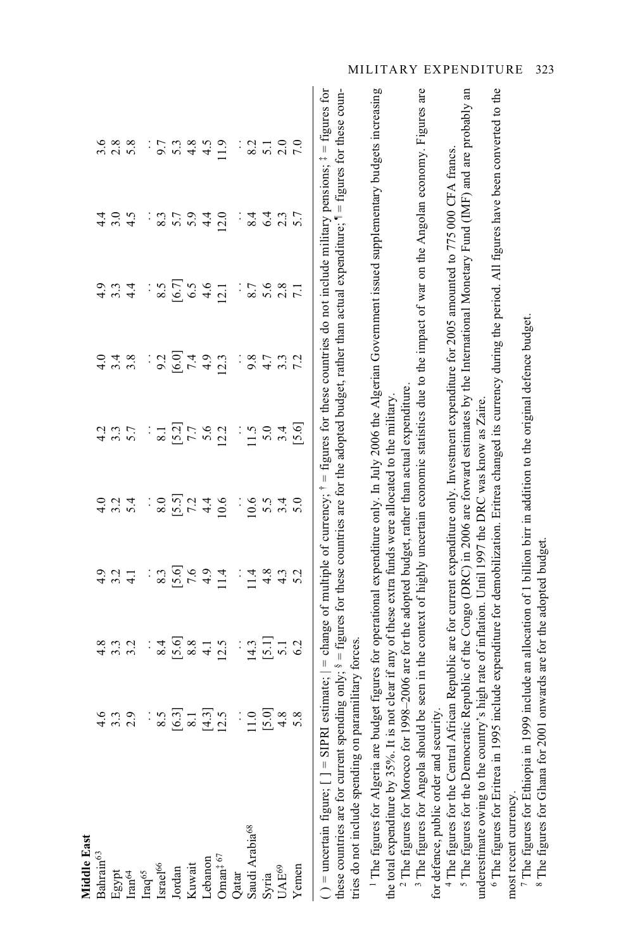| Middle East                                                                                                                                                                                                                                                                    |                |                                            |                         |                      |                     |                  |                     |      |                                                                                                                                                   |
|--------------------------------------------------------------------------------------------------------------------------------------------------------------------------------------------------------------------------------------------------------------------------------|----------------|--------------------------------------------|-------------------------|----------------------|---------------------|------------------|---------------------|------|---------------------------------------------------------------------------------------------------------------------------------------------------|
| Bahrain <sup>63</sup>                                                                                                                                                                                                                                                          | 4.6            |                                            |                         |                      |                     |                  |                     |      | 3.6                                                                                                                                               |
|                                                                                                                                                                                                                                                                                | 3.3            | 3.3                                        |                         | 3.2                  | 3.7                 | $3.\overline{8}$ | 3, 4                | 3.0  |                                                                                                                                                   |
| Egypt<br>Iran <sup>64</sup>                                                                                                                                                                                                                                                    | 2.9            | 3.2                                        | $3.\overline{2}$<br>4.1 | 5.4                  |                     |                  |                     | 4.5  | $2.8$<br>5.8                                                                                                                                      |
| Iraq <sup>65</sup>                                                                                                                                                                                                                                                             | $\vdots$       |                                            | $\vdots$                |                      |                     | $\vdots$         |                     |      |                                                                                                                                                   |
| $\mbox{Israel}^{66}$                                                                                                                                                                                                                                                           | 8.5            | 8.4                                        | 8.3                     | 8.0                  | 8.1                 | 9.2              | 8.5                 | 8.3  | 9.7                                                                                                                                               |
| Jordan                                                                                                                                                                                                                                                                         | [6.3]          |                                            |                         |                      |                     | [6.0]            |                     | 5.7  | 5.3                                                                                                                                               |
| Kuwait                                                                                                                                                                                                                                                                         | 8.1            | $\begin{bmatrix} 5.6 \\ 8.8 \end{bmatrix}$ | $\frac{6}{7.6}$         | $\frac{5}{7}$<br>7.2 | $\frac{[5.2]}{7.7}$ |                  | $\frac{[6.7]}{6.5}$ | 5.9  | 4.8                                                                                                                                               |
| Lebanon                                                                                                                                                                                                                                                                        | $\overline{3}$ | $\overline{4}$                             | 4.9                     | 4.4                  | 5.6                 | 4.9              | 4.6                 | 4.4  | 4.5                                                                                                                                               |
| $O$ man <sup><math>\ddagger</math> 67</sup>                                                                                                                                                                                                                                    | 2.5            | 12.5                                       | 11.4                    | 10.6                 | 12.2                | 12.3             | 12.1                | 12.0 | 11.9                                                                                                                                              |
| Qatar                                                                                                                                                                                                                                                                          | $\vdots$       | $\vdots$                                   | $\vdots$                |                      | $\vdots$            | ÷                |                     |      | $\ddot{\cdot}$                                                                                                                                    |
| Saudi Arabia <sup>68</sup>                                                                                                                                                                                                                                                     | 1.0            | 14.3                                       | 11.4                    | 10.6                 | 11.5                | 9.8              | 8.7                 | 8.4  | 8.2                                                                                                                                               |
| Syria                                                                                                                                                                                                                                                                          | 5.0            | $\begin{bmatrix} 5.1 \\ 5.1 \end{bmatrix}$ | 4.8                     | 5.5                  | 5.0                 | 4.7              | 5.6                 | 6.4  | 5.1                                                                                                                                               |
| UAE <sup>69</sup>                                                                                                                                                                                                                                                              | 4.8            |                                            | 4.3                     | 3.4                  | 3.4                 | 3.3              | 2.8                 | 2.3  | 2.0                                                                                                                                               |
| Yemen                                                                                                                                                                                                                                                                          | 5.8            | 6.2                                        | 5.2                     | 5.0                  | [5.6]               | 7.2              |                     |      | 7.0                                                                                                                                               |
| these countries are for current spending only; $s = figures$ for these countries are for the adopted budget, rather than actual expenditure; $1 = figures$ for these coun-<br>tries do not include spending on paramilitary forces.<br>$( )$ = uncertain figure; $[ ]$ = SIPRI |                |                                            |                         |                      |                     |                  |                     |      | estimate; $  =$ change of multiple of currency; $\hat{ } =$ figures for these countries do not include military pensions; $\hat{ } =$ figures for |
| The figures for Algeria are budget figures for operational expenditure only. In July 2006 the Algerian Government issued supplementary budgets increasing                                                                                                                      |                |                                            |                         |                      |                     |                  |                     |      |                                                                                                                                                   |
| <sup>2</sup> The figures for Morocco for 1998-2006 are for the adopted budget, rather than actual expenditure.<br>the total expenditure by 35%. It is not clear if any of these extra funds were allocated to the military                                                     |                |                                            |                         |                      |                     |                  |                     |      |                                                                                                                                                   |
| <sup>3</sup> The figures for Angola should                                                                                                                                                                                                                                     |                |                                            |                         |                      |                     |                  |                     |      | be seen in the context of highly uncertain economic statistics due to the impact of war on the Angolan economy. Figures are                       |
| for defence, public order and security                                                                                                                                                                                                                                         |                |                                            |                         |                      |                     |                  |                     |      |                                                                                                                                                   |
| <sup>4</sup> The figures for the Central African Republic are for current expenditure only. Investment expenditure for 2005 amounted to 775 000 CFA francs.                                                                                                                    |                |                                            |                         |                      |                     |                  |                     |      |                                                                                                                                                   |
| <sup>5</sup> The figures for the Democratic Republic of the Congo (DRC) in 2006 are forward estimates by the International Monetary Fund (IMF) and are probably an<br>underestimate owing to the country's high rate of inflation. Until 1997 the DRC was know as Zaire.       |                |                                            |                         |                      |                     |                  |                     |      |                                                                                                                                                   |
| $6$ The figures for Eritrea in 1995                                                                                                                                                                                                                                            |                |                                            |                         |                      |                     |                  |                     |      | include expenditure for demobilization. Eritrea changed its currency during the period. All figures have been converted to the                    |
| The figures for Ethiopia in 1999 include an allocation of 1 billion birr in addition to the original defence budget.<br>most recent currency.                                                                                                                                  |                |                                            |                         |                      |                     |                  |                     |      |                                                                                                                                                   |

<sup>7</sup> The figures for Ethiopia in 1999 include an allocation of 1 billion birr in addition to the original defence budget.<br><sup>8</sup> The figures for Ghana for 2001 onwards are for the adopted budget. 8 The figures for Ghana for 2001 onwards are for the adopted budget.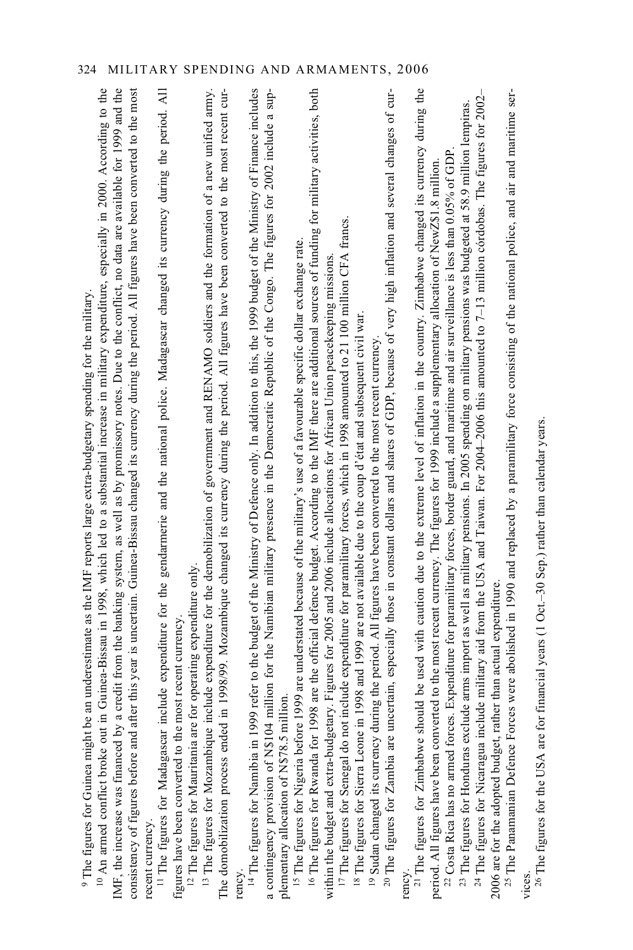| include expenditure for the gendarmerie and the national police. Madagascar changed its currency during the period. All<br>in Guinea-Bissau in 1998, which led to a substantial increase in military expenditure, especially in 2000. According to the<br>a credit from the banking system, as well as by promissory notes. Due to the conflict, no data are available for 1999 and the<br>consistency of figures before and after this year is uncertain. Guinea-Bissau changed its currency during the period. All figures have been converted to the most<br><sup>9</sup> The figures for Guinea might be an underestimate as the IMF reports large extra-budgetary spending for the military.<br>figures have been converted to the most recent currency<br>IMF, the increase was financed by<br><sup>10</sup> An armed conflict broke out<br><sup>11</sup> The figures for Madagascar<br>recent currency. | include expenditure for the demobilization of government and RENAMO soldiers and the formation of a new unified army.<br>in 1998/99. Mozambique changed its currency during the period. All figures have been converted to the most recent cur-<br><sup>2</sup> The figures for Mauritania are for operating expenditure only.<br>The domobilization process ended<br><sup>13</sup> The figures for Mozambique | rency.<br><sup>14</sup> The figures for Namibia in 1999 refer to the budget of the Ministry of Defence only. In addition to this, the 1999 budget of the Ministry of Finance includes<br>A probability of the Ministry of Defence only. In ad<br>a contingency provision of N\$104 million for the Namibian military presence in the Democratic Republic of the Congo. The figures for 2002 include a sup-<br>plementary allocation of N\$78.5 million | <sup>16</sup> The figures for Rwanda for 1998 are the official defence budget. According to the IMF there are additional sources of funding for military activities, both<br>include expenditure for paramilitary forces, which in 1998 amounted to 21 100 million CFA francs.<br><sup>15</sup> The figures for Nigeria before 1999 are understated because of the military's use of a favourable specific dollar exchange rate.<br>within the budget and extra-budgetary. Figures for 2005 and 2006 include allocations for African Union peacekeeping missions<br><sup>17</sup> The figures for Senegal do not | 20 The figures for Zambia are uncertain, especially those in constant dollars and shares of GDP, because of very high inflation and several changes of cur-<br><sup>18</sup> The figures for Sierra Leone in 1998 and 1999 are not available due to the coup d'état and subsequent civil war.<br><sup>19</sup> Sudan changed its currency during the period. All figures have been converted to the most recent currency. | rency.<br><sup>21</sup> The figures for Zimbabwe should be used with caution due to the extreme level of inflation in the country. Zimbabwe changed its currency during the $^{21}$ The figures for Zimbabwe changed its currency during t<br><sup>22</sup> The Panamanian Defence Forces were abolished in 1990 and replaced by a paramilitary force consisting of the national police, and air and maritime ser-<br><sup>24</sup> The figures for Nicaragua include military aid from the USA and Taiwan. For 2004-2006 this amounted to 7-13 million cordobas. The figures for 2002-<br><sup>23</sup> The figures for Honduras exclude arms import as well as military pensions. In 2005 spending on military pensions was budgeted at 58.9 million lempiras.<br><sup>22</sup> Costa Rica has no armed forces. Expenditure for paramilitary forces, border guard, and maritime and air surveillance is less than 0.05% of GDP.<br>period. All figures have been converted to the most recent currency. The figures for 1999 include a supplementary allocation of NewZ\$1.8 million<br>2006 are for the adopted budget, rather than actual expenditure. |  |
|----------------------------------------------------------------------------------------------------------------------------------------------------------------------------------------------------------------------------------------------------------------------------------------------------------------------------------------------------------------------------------------------------------------------------------------------------------------------------------------------------------------------------------------------------------------------------------------------------------------------------------------------------------------------------------------------------------------------------------------------------------------------------------------------------------------------------------------------------------------------------------------------------------------|----------------------------------------------------------------------------------------------------------------------------------------------------------------------------------------------------------------------------------------------------------------------------------------------------------------------------------------------------------------------------------------------------------------|--------------------------------------------------------------------------------------------------------------------------------------------------------------------------------------------------------------------------------------------------------------------------------------------------------------------------------------------------------------------------------------------------------------------------------------------------------|------------------------------------------------------------------------------------------------------------------------------------------------------------------------------------------------------------------------------------------------------------------------------------------------------------------------------------------------------------------------------------------------------------------------------------------------------------------------------------------------------------------------------------------------------------------------------------------------------------------|---------------------------------------------------------------------------------------------------------------------------------------------------------------------------------------------------------------------------------------------------------------------------------------------------------------------------------------------------------------------------------------------------------------------------|------------------------------------------------------------------------------------------------------------------------------------------------------------------------------------------------------------------------------------------------------------------------------------------------------------------------------------------------------------------------------------------------------------------------------------------------------------------------------------------------------------------------------------------------------------------------------------------------------------------------------------------------------------------------------------------------------------------------------------------------------------------------------------------------------------------------------------------------------------------------------------------------------------------------------------------------------------------------------------------------------------------------------------------------------------------------------------------------------------------------------------------------------------|--|
|----------------------------------------------------------------------------------------------------------------------------------------------------------------------------------------------------------------------------------------------------------------------------------------------------------------------------------------------------------------------------------------------------------------------------------------------------------------------------------------------------------------------------------------------------------------------------------------------------------------------------------------------------------------------------------------------------------------------------------------------------------------------------------------------------------------------------------------------------------------------------------------------------------------|----------------------------------------------------------------------------------------------------------------------------------------------------------------------------------------------------------------------------------------------------------------------------------------------------------------------------------------------------------------------------------------------------------------|--------------------------------------------------------------------------------------------------------------------------------------------------------------------------------------------------------------------------------------------------------------------------------------------------------------------------------------------------------------------------------------------------------------------------------------------------------|------------------------------------------------------------------------------------------------------------------------------------------------------------------------------------------------------------------------------------------------------------------------------------------------------------------------------------------------------------------------------------------------------------------------------------------------------------------------------------------------------------------------------------------------------------------------------------------------------------------|---------------------------------------------------------------------------------------------------------------------------------------------------------------------------------------------------------------------------------------------------------------------------------------------------------------------------------------------------------------------------------------------------------------------------|------------------------------------------------------------------------------------------------------------------------------------------------------------------------------------------------------------------------------------------------------------------------------------------------------------------------------------------------------------------------------------------------------------------------------------------------------------------------------------------------------------------------------------------------------------------------------------------------------------------------------------------------------------------------------------------------------------------------------------------------------------------------------------------------------------------------------------------------------------------------------------------------------------------------------------------------------------------------------------------------------------------------------------------------------------------------------------------------------------------------------------------------------------|--|

vices.<br>  $^{26}$  The figures for the USA are for financial years (1 Oct.-30 Sep.) rather than calendar years. <sup>26</sup> The figures for the USA are for financial years (1 Oct.–30 Sep.) rather than calendar years.